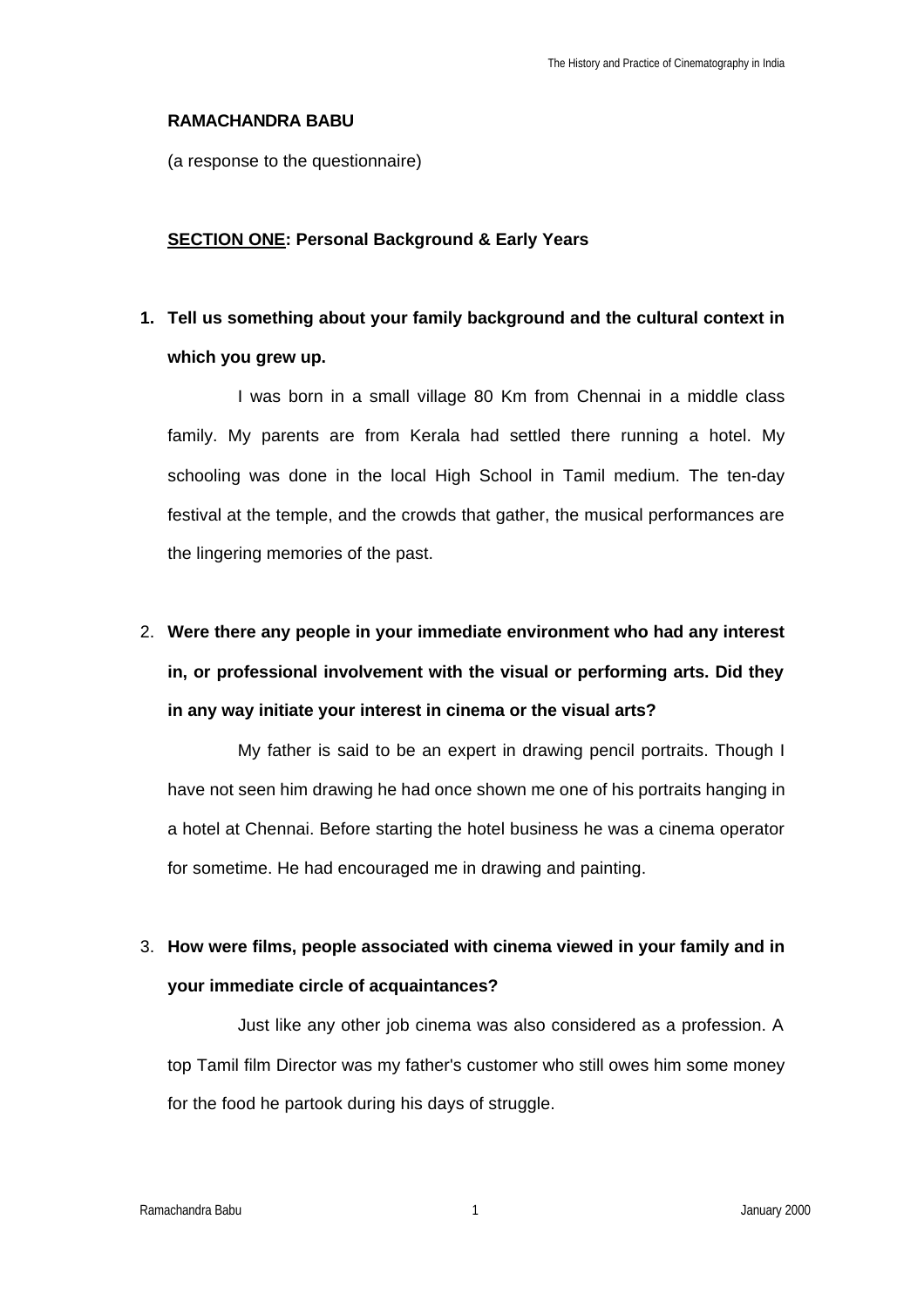#### **RAMACHANDRA BABU**

(a response to the questionnaire)

#### **SECTION ONE: Personal Background & Early Years**

## **1. Tell us something about your family background and the cultural context in which you grew up.**

I was born in a small village 80 Km from Chennai in a middle class family. My parents are from Kerala had settled there running a hotel. My schooling was done in the local High School in Tamil medium. The ten-day festival at the temple, and the crowds that gather, the musical performances are the lingering memories of the past.

# 2. **Were there any people in your immediate environment who had any interest in, or professional involvement with the visual or performing arts. Did they in any way initiate your interest in cinema or the visual arts?**

My father is said to be an expert in drawing pencil portraits. Though I have not seen him drawing he had once shown me one of his portraits hanging in a hotel at Chennai. Before starting the hotel business he was a cinema operator for sometime. He had encouraged me in drawing and painting.

### 3. **How were films, people associated with cinema viewed in your family and in your immediate circle of acquaintances?**

Just like any other job cinema was also considered as a profession. A top Tamil film Director was my father's customer who still owes him some money for the food he partook during his days of struggle.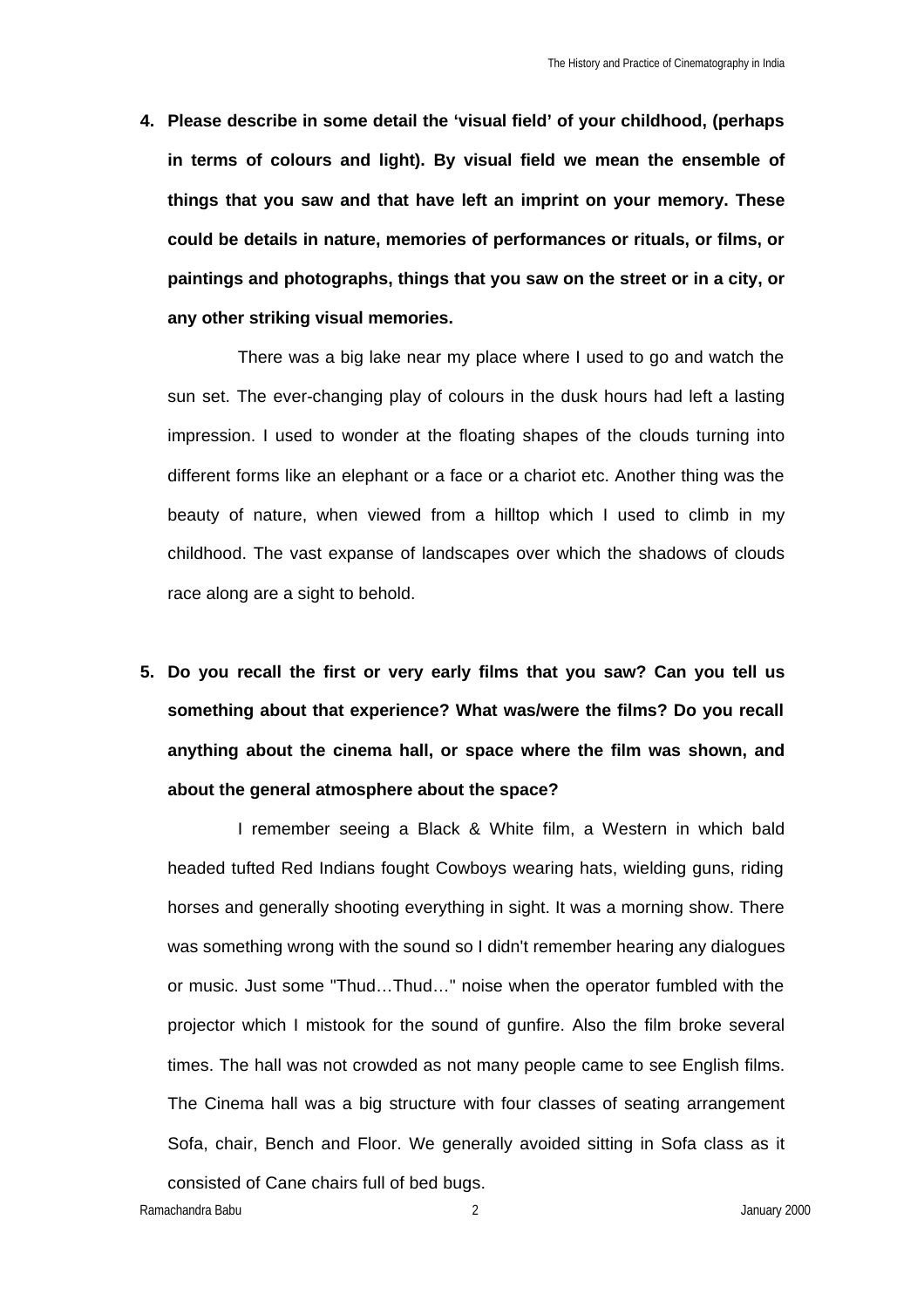**4. Please describe in some detail the 'visual field' of your childhood, (perhaps in terms of colours and light). By visual field we mean the ensemble of things that you saw and that have left an imprint on your memory. These could be details in nature, memories of performances or rituals, or films, or paintings and photographs, things that you saw on the street or in a city, or any other striking visual memories.** 

There was a big lake near my place where I used to go and watch the sun set. The ever-changing play of colours in the dusk hours had left a lasting impression. I used to wonder at the floating shapes of the clouds turning into different forms like an elephant or a face or a chariot etc. Another thing was the beauty of nature, when viewed from a hilltop which I used to climb in my childhood. The vast expanse of landscapes over which the shadows of clouds race along are a sight to behold.

**5. Do you recall the first or very early films that you saw? Can you tell us something about that experience? What was/were the films? Do you recall anything about the cinema hall, or space where the film was shown, and about the general atmosphere about the space?** 

I remember seeing a Black & White film, a Western in which bald headed tufted Red Indians fought Cowboys wearing hats, wielding guns, riding horses and generally shooting everything in sight. It was a morning show. There was something wrong with the sound so I didn't remember hearing any dialogues or music. Just some "Thud…Thud…" noise when the operator fumbled with the projector which I mistook for the sound of gunfire. Also the film broke several times. The hall was not crowded as not many people came to see English films. The Cinema hall was a big structure with four classes of seating arrangement Sofa, chair, Bench and Floor. We generally avoided sitting in Sofa class as it consisted of Cane chairs full of bed bugs.

Ramachandra Babu 2 January 2000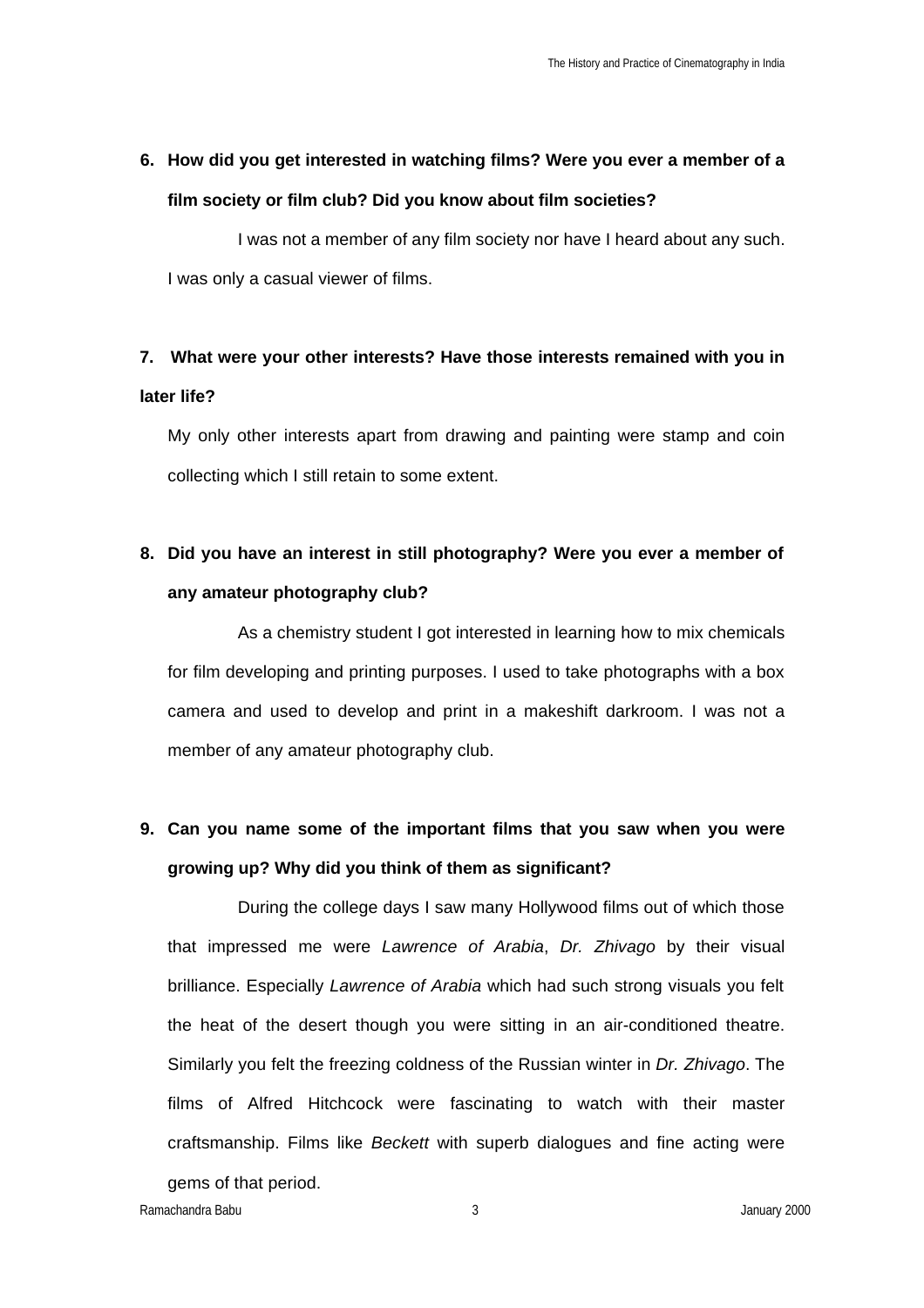## **6. How did you get interested in watching films? Were you ever a member of a film society or film club? Did you know about film societies?**

I was not a member of any film society nor have I heard about any such. I was only a casual viewer of films.

### **7. What were your other interests? Have those interests remained with you in later life?**

My only other interests apart from drawing and painting were stamp and coin collecting which I still retain to some extent.

### **8. Did you have an interest in still photography? Were you ever a member of any amateur photography club?**

As a chemistry student I got interested in learning how to mix chemicals for film developing and printing purposes. I used to take photographs with a box camera and used to develop and print in a makeshift darkroom. I was not a member of any amateur photography club.

### **9. Can you name some of the important films that you saw when you were growing up? Why did you think of them as significant?**

During the college days I saw many Hollywood films out of which those that impressed me were *Lawrence of Arabia*, *Dr. Zhivago* by their visual brilliance. Especially *Lawrence of Arabia* which had such strong visuals you felt the heat of the desert though you were sitting in an air-conditioned theatre. Similarly you felt the freezing coldness of the Russian winter in *Dr. Zhivago*. The films of Alfred Hitchcock were fascinating to watch with their master craftsmanship. Films like *Beckett* with superb dialogues and fine acting were gems of that period.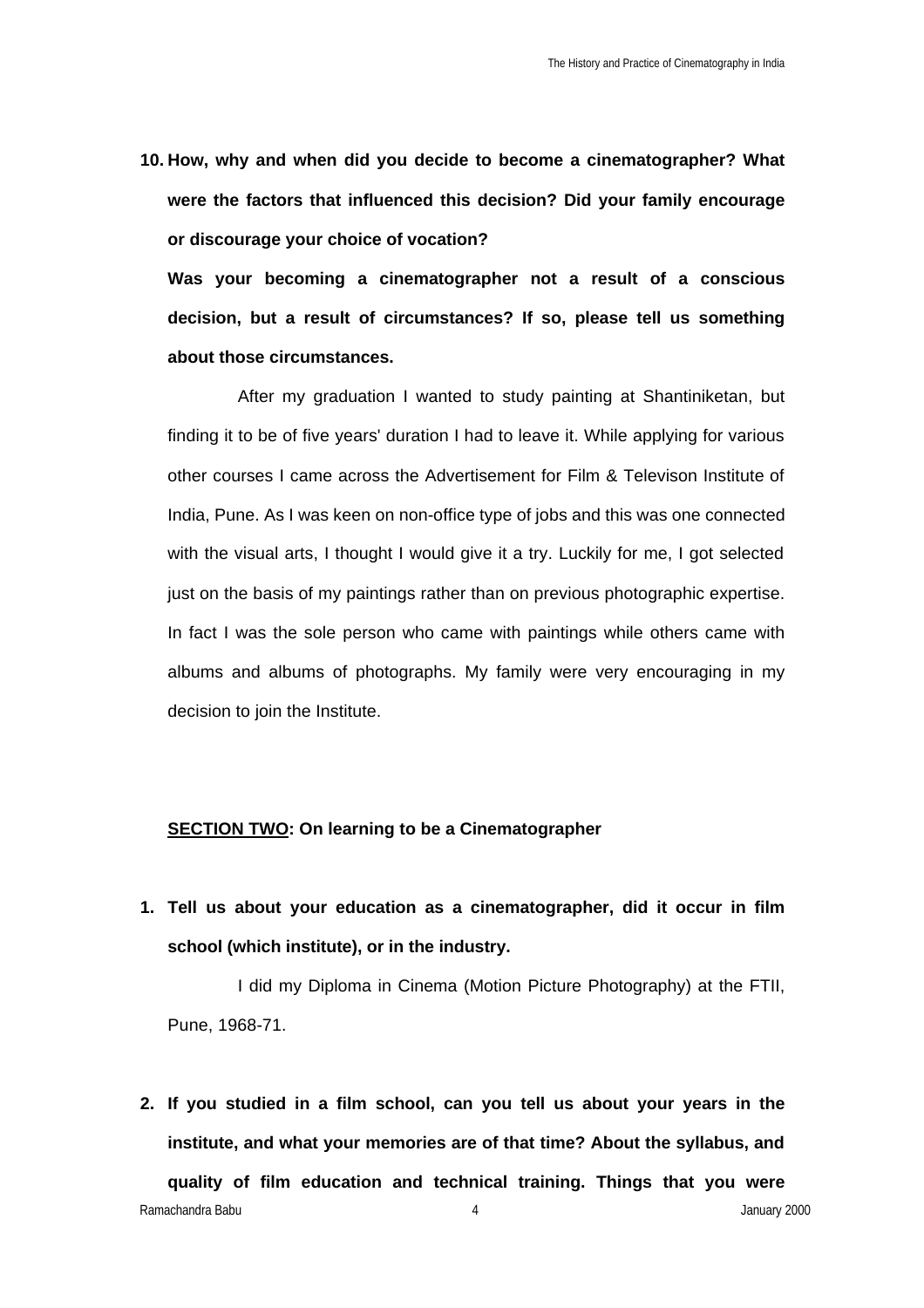**10. How, why and when did you decide to become a cinematographer? What were the factors that influenced this decision? Did your family encourage or discourage your choice of vocation?**

**Was your becoming a cinematographer not a result of a conscious decision, but a result of circumstances? If so, please tell us something about those circumstances.**

After my graduation I wanted to study painting at Shantiniketan, but finding it to be of five years' duration I had to leave it. While applying for various other courses I came across the Advertisement for Film & Televison Institute of India, Pune. As I was keen on non-office type of jobs and this was one connected with the visual arts, I thought I would give it a try. Luckily for me, I got selected just on the basis of my paintings rather than on previous photographic expertise. In fact I was the sole person who came with paintings while others came with albums and albums of photographs. My family were very encouraging in my decision to join the Institute.

#### **SECTION TWO: On learning to be a Cinematographer**

**1. Tell us about your education as a cinematographer, did it occur in film school (which institute), or in the industry.** 

I did my Diploma in Cinema (Motion Picture Photography) at the FTII, Pune, 1968-71.

Ramachandra Babu 4 January 2000 **2. If you studied in a film school, can you tell us about your years in the institute, and what your memories are of that time? About the syllabus, and quality of film education and technical training. Things that you were**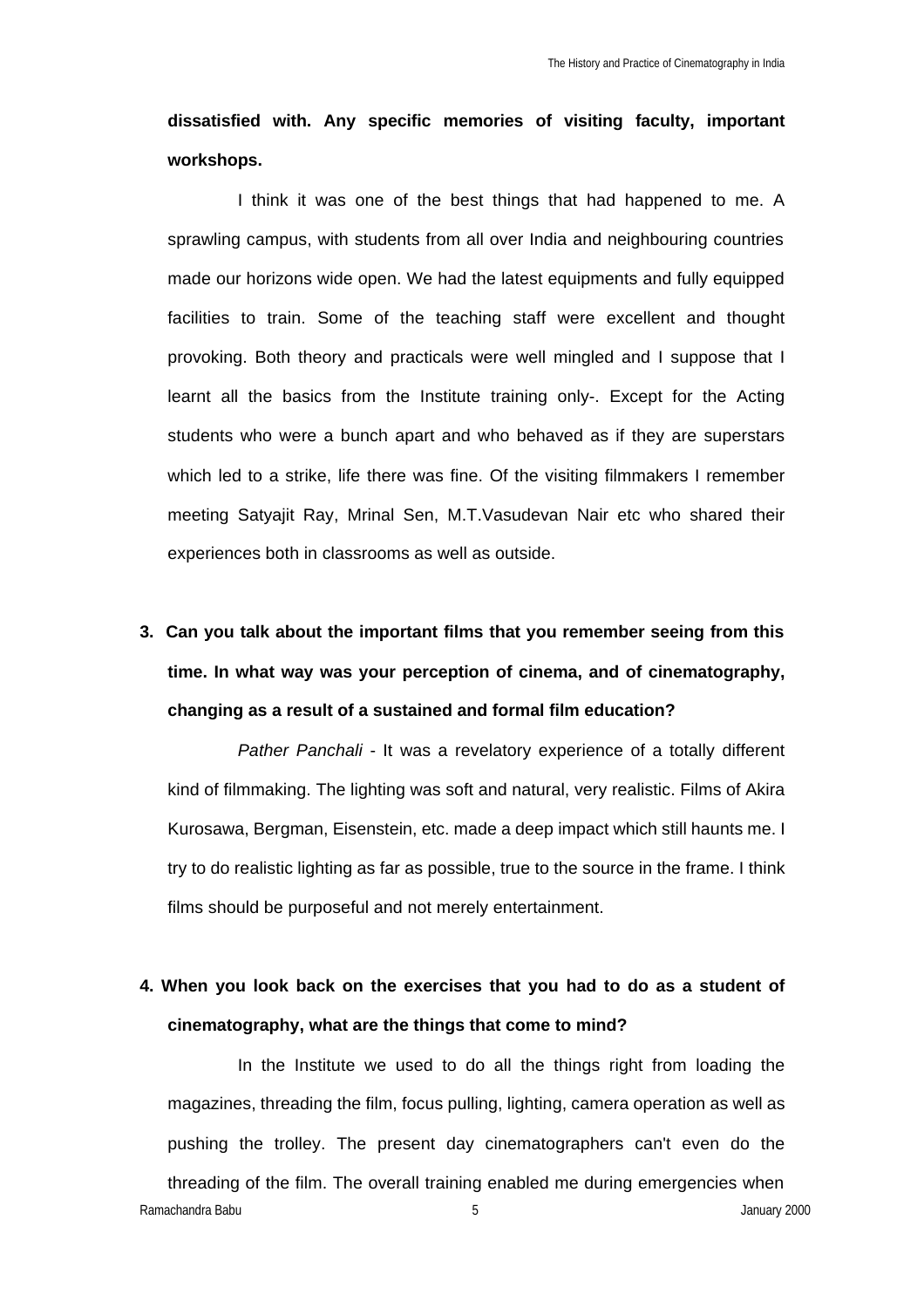## **dissatisfied with. Any specific memories of visiting faculty, important workshops.**

I think it was one of the best things that had happened to me. A sprawling campus, with students from all over India and neighbouring countries made our horizons wide open. We had the latest equipments and fully equipped facilities to train. Some of the teaching staff were excellent and thought provoking. Both theory and practicals were well mingled and I suppose that I learnt all the basics from the Institute training only-. Except for the Acting students who were a bunch apart and who behaved as if they are superstars which led to a strike, life there was fine. Of the visiting filmmakers I remember meeting Satyajit Ray, Mrinal Sen, M.T.Vasudevan Nair etc who shared their experiences both in classrooms as well as outside.

# **3. Can you talk about the important films that you remember seeing from this time. In what way was your perception of cinema, and of cinematography, changing as a result of a sustained and formal film education?**

*Pather Panchali* - It was a revelatory experience of a totally different kind of filmmaking. The lighting was soft and natural, very realistic. Films of Akira Kurosawa, Bergman, Eisenstein, etc. made a deep impact which still haunts me. I try to do realistic lighting as far as possible, true to the source in the frame. I think films should be purposeful and not merely entertainment.

### **4. When you look back on the exercises that you had to do as a student of cinematography, what are the things that come to mind?**

Ramachandra Babu 5 January 2000 1 and 2000 1 and 2000 1 and 2000 1 and 2000 1 and 2000 1 and 2000 1 and 2000 1 and 2000 1 and 2000 1 and 2000 1 and 2000 1 and 2000 1 and 2000 1 and 2000 1 and 2000 1 and 2000 1 and 2000 1 a In the Institute we used to do all the things right from loading the magazines, threading the film, focus pulling, lighting, camera operation as well as pushing the trolley. The present day cinematographers can't even do the threading of the film. The overall training enabled me during emergencies when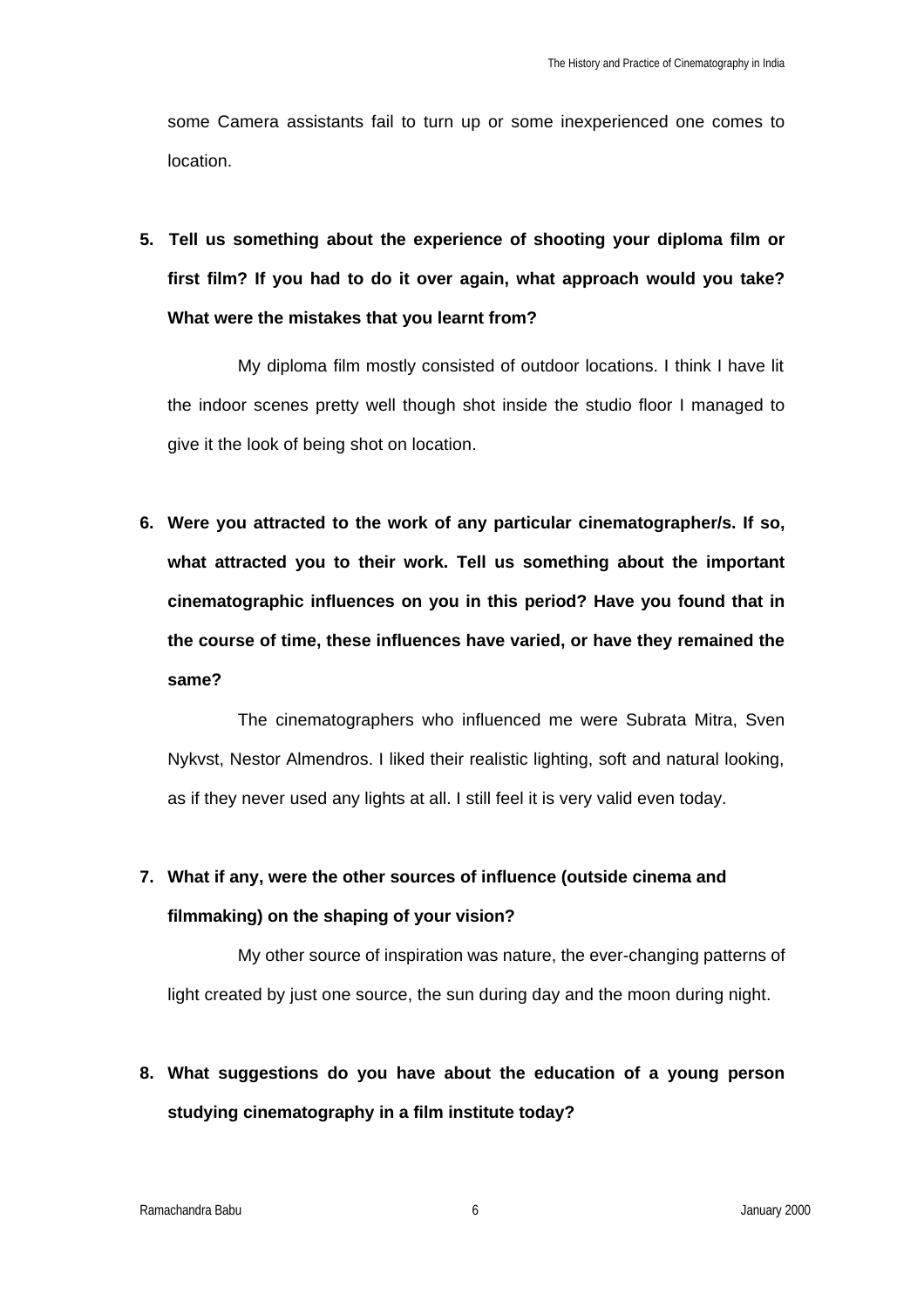some Camera assistants fail to turn up or some inexperienced one comes to location.

**5. Tell us something about the experience of shooting your diploma film or first film? If you had to do it over again, what approach would you take? What were the mistakes that you learnt from?** 

My diploma film mostly consisted of outdoor locations. I think I have lit the indoor scenes pretty well though shot inside the studio floor I managed to give it the look of being shot on location.

**6. Were you attracted to the work of any particular cinematographer/s. If so, what attracted you to their work. Tell us something about the important cinematographic influences on you in this period? Have you found that in the course of time, these influences have varied, or have they remained the same?**

The cinematographers who influenced me were Subrata Mitra, Sven Nykvst, Nestor Almendros. I liked their realistic lighting, soft and natural looking, as if they never used any lights at all. I still feel it is very valid even today.

# **7. What if any, were the other sources of influence (outside cinema and filmmaking) on the shaping of your vision?**

My other source of inspiration was nature, the ever-changing patterns of light created by just one source, the sun during day and the moon during night.

**8. What suggestions do you have about the education of a young person studying cinematography in a film institute today?**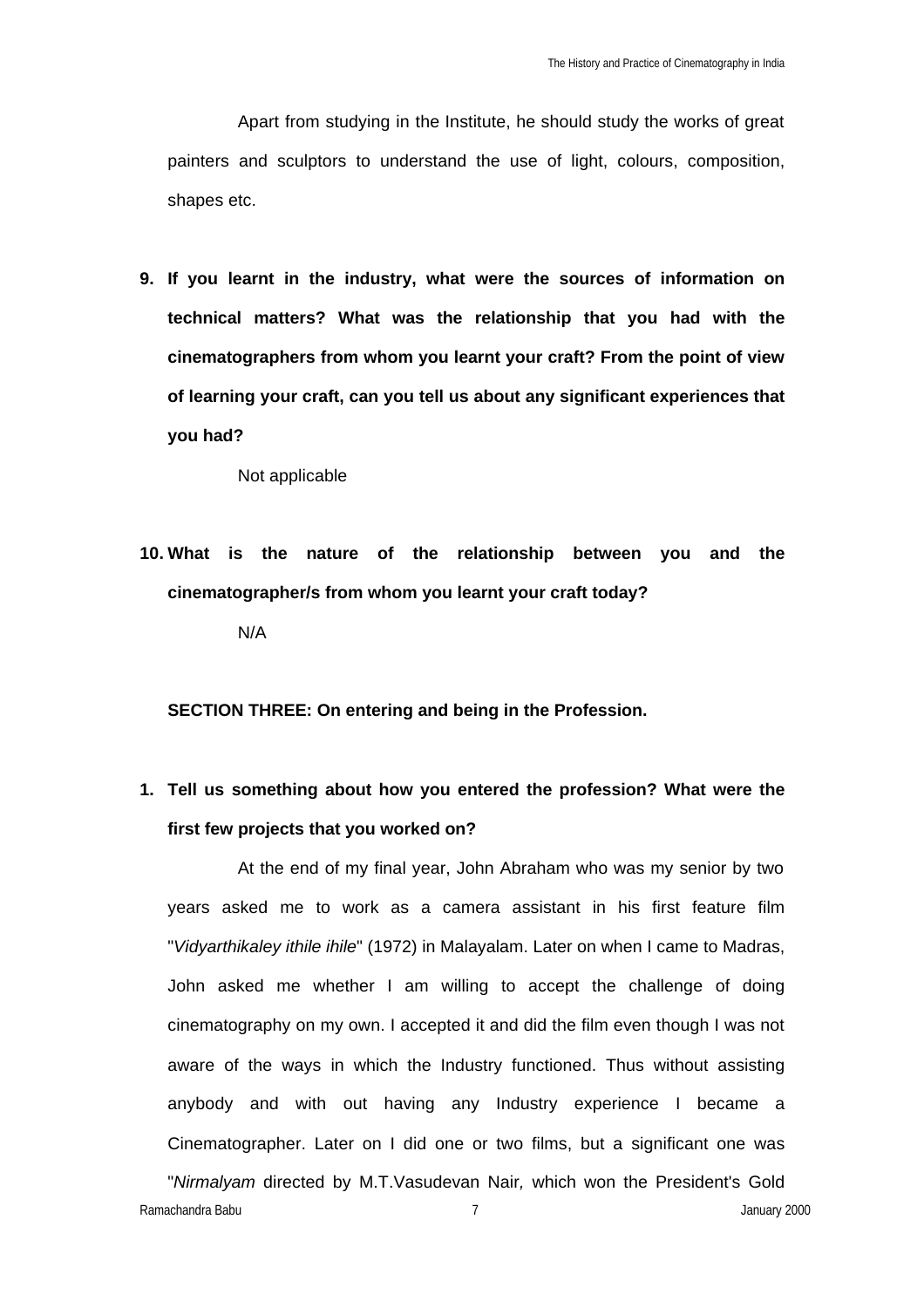Apart from studying in the Institute, he should study the works of great painters and sculptors to understand the use of light, colours, composition, shapes etc.

**9. If you learnt in the industry, what were the sources of information on technical matters? What was the relationship that you had with the cinematographers from whom you learnt your craft? From the point of view of learning your craft, can you tell us about any significant experiences that you had?**

Not applicable

**10. What is the nature of the relationship between you and the cinematographer/s from whom you learnt your craft today?**

N/A

**SECTION THREE: On entering and being in the Profession.** 

**1. Tell us something about how you entered the profession? What were the first few projects that you worked on?**

At the end of my final year, John Abraham who was my senior by two years asked me to work as a camera assistant in his first feature film "*Vidyarthikaley ithile ihile*" (1972) in Malayalam. Later on when I came to Madras, John asked me whether I am willing to accept the challenge of doing cinematography on my own. I accepted it and did the film even though I was not aware of the ways in which the Industry functioned. Thus without assisting anybody and with out having any Industry experience I became a Cinematographer. Later on I did one or two films, but a significant one was "*Nirmalyam* directed by M.T.Vasudevan Nair*,* which won the President's Gold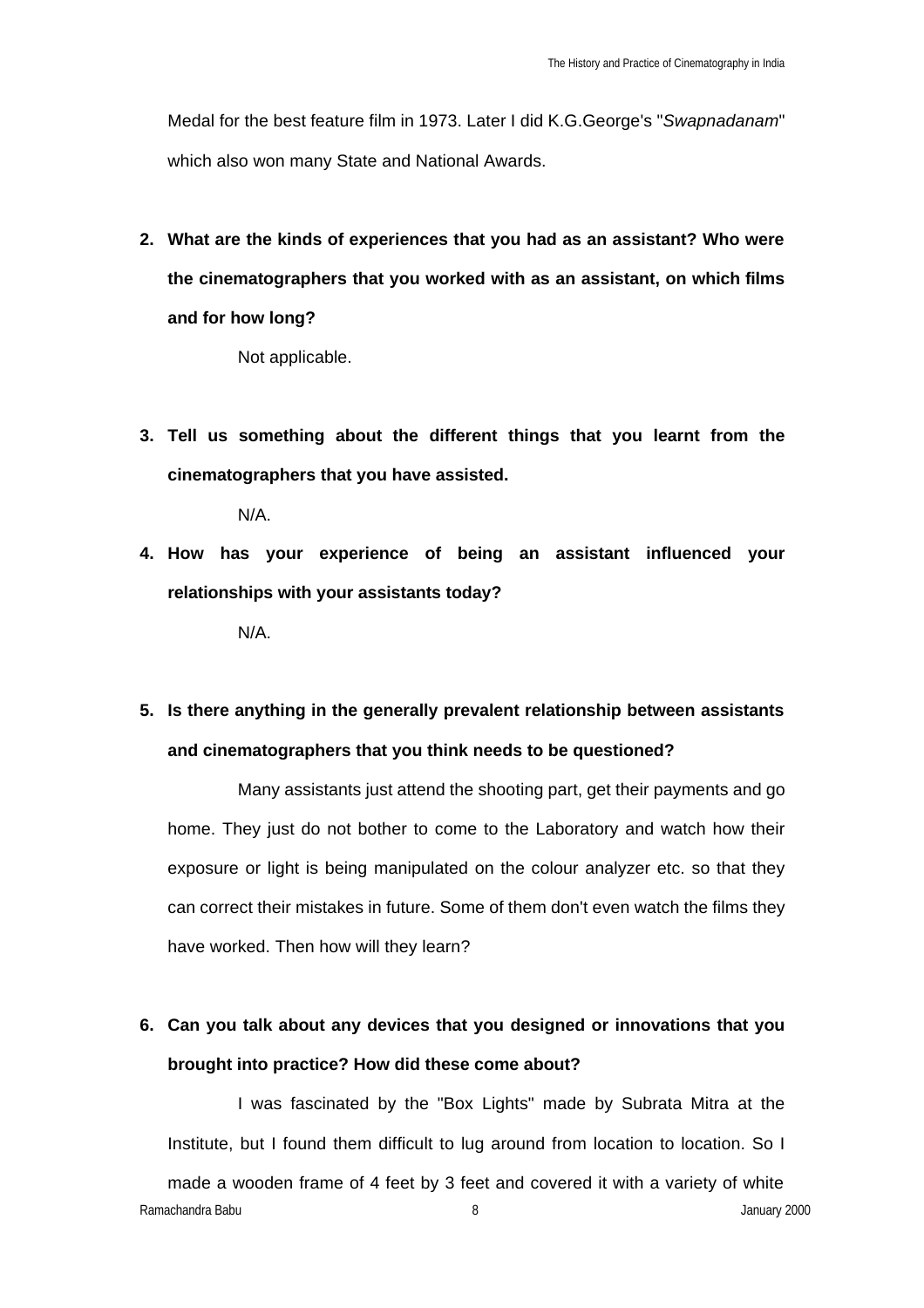Medal for the best feature film in 1973. Later I did K.G.George's "*Swapnadanam*" which also won many State and National Awards.

**2. What are the kinds of experiences that you had as an assistant? Who were the cinematographers that you worked with as an assistant, on which films and for how long?** 

Not applicable.

**3. Tell us something about the different things that you learnt from the cinematographers that you have assisted.**

N/A.

**4. How has your experience of being an assistant influenced your relationships with your assistants today?**

N/A.

## **5. Is there anything in the generally prevalent relationship between assistants and cinematographers that you think needs to be questioned?**

Many assistants just attend the shooting part, get their payments and go home. They just do not bother to come to the Laboratory and watch how their exposure or light is being manipulated on the colour analyzer etc. so that they can correct their mistakes in future. Some of them don't even watch the films they have worked. Then how will they learn?

### **6. Can you talk about any devices that you designed or innovations that you brought into practice? How did these come about?**

Ramachandra Babu 8 **Album 2000** 8 **Album 2000** 8 **January 2000** 8 **January 2000** I was fascinated by the "Box Lights" made by Subrata Mitra at the Institute, but I found them difficult to lug around from location to location. So I made a wooden frame of 4 feet by 3 feet and covered it with a variety of white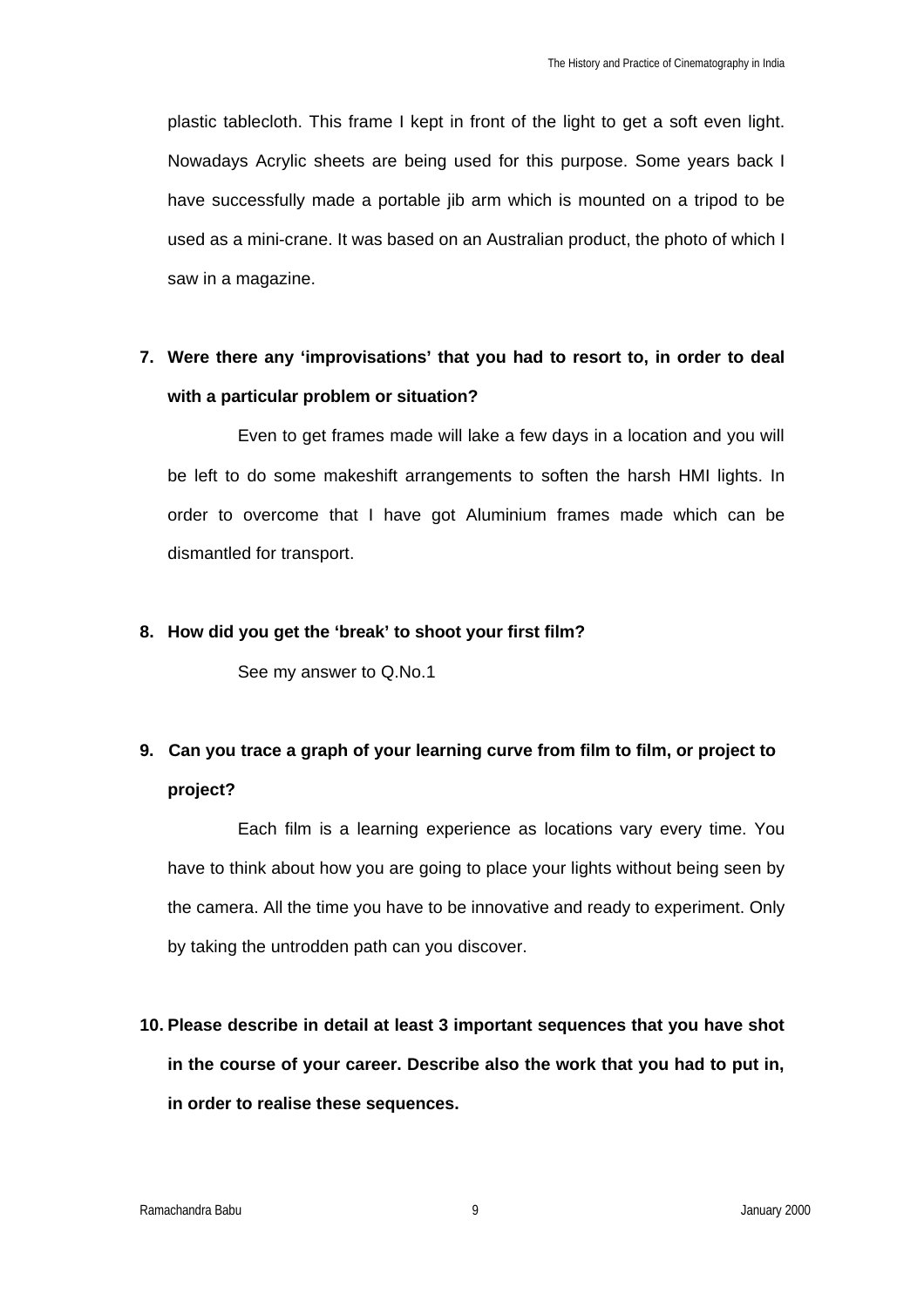plastic tablecloth. This frame I kept in front of the light to get a soft even light. Nowadays Acrylic sheets are being used for this purpose. Some years back I have successfully made a portable jib arm which is mounted on a tripod to be used as a mini-crane. It was based on an Australian product, the photo of which I saw in a magazine.

### **7. Were there any 'improvisations' that you had to resort to, in order to deal with a particular problem or situation?**

Even to get frames made will lake a few days in a location and you will be left to do some makeshift arrangements to soften the harsh HMI lights. In order to overcome that I have got Aluminium frames made which can be dismantled for transport.

#### **8. How did you get the 'break' to shoot your first film?**

See my answer to Q.No.1

## **9. Can you trace a graph of your learning curve from film to film, or project to project?**

Each film is a learning experience as locations vary every time. You have to think about how you are going to place your lights without being seen by the camera. All the time you have to be innovative and ready to experiment. Only by taking the untrodden path can you discover.

**10. Please describe in detail at least 3 important sequences that you have shot in the course of your career. Describe also the work that you had to put in, in order to realise these sequences.**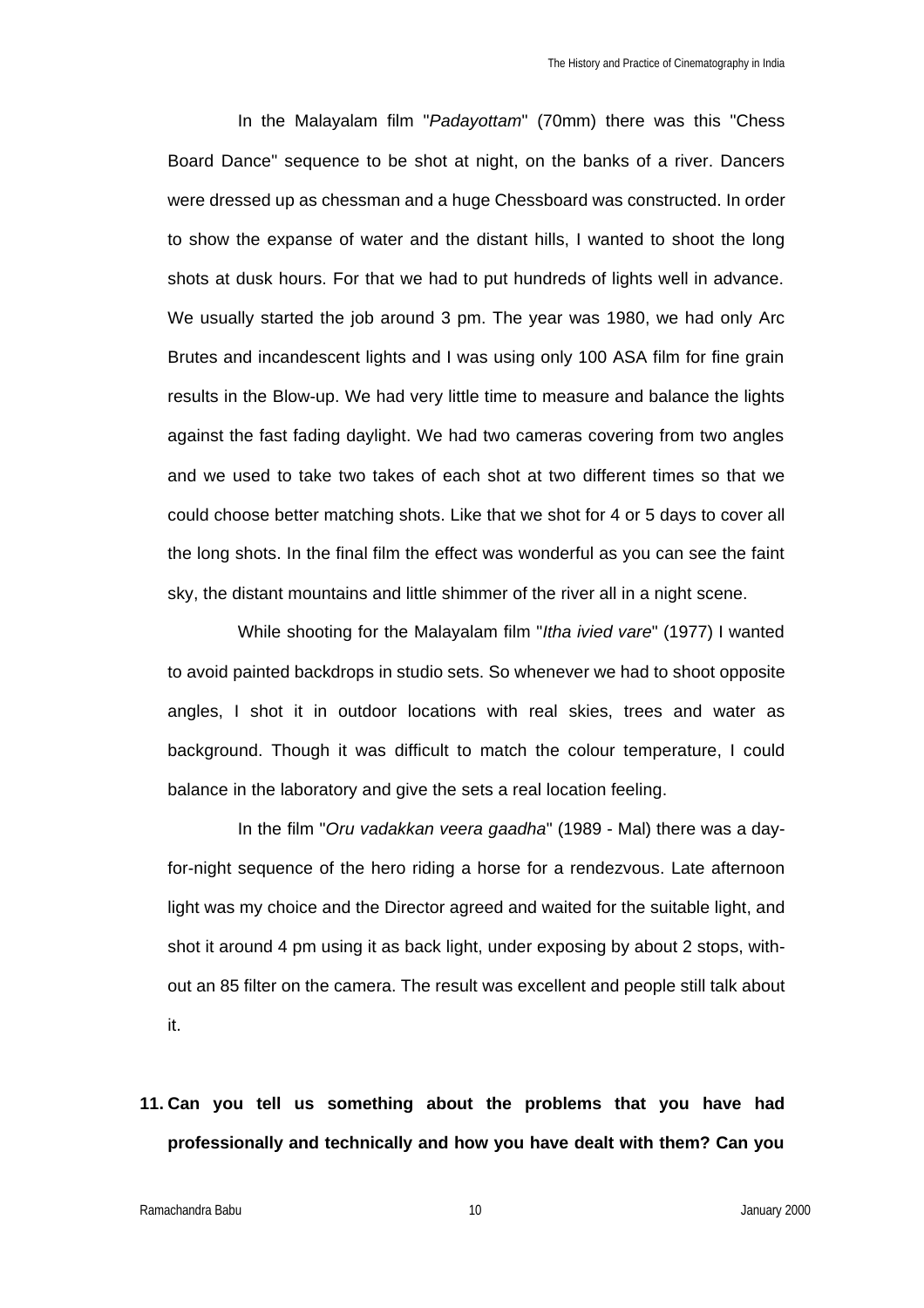In the Malayalam film "*Padayottam*" (70mm) there was this "Chess Board Dance" sequence to be shot at night, on the banks of a river. Dancers were dressed up as chessman and a huge Chessboard was constructed. In order to show the expanse of water and the distant hills, I wanted to shoot the long shots at dusk hours. For that we had to put hundreds of lights well in advance. We usually started the job around 3 pm. The year was 1980, we had only Arc Brutes and incandescent lights and I was using only 100 ASA film for fine grain results in the Blow-up. We had very little time to measure and balance the lights against the fast fading daylight. We had two cameras covering from two angles and we used to take two takes of each shot at two different times so that we could choose better matching shots. Like that we shot for 4 or 5 days to cover all the long shots. In the final film the effect was wonderful as you can see the faint sky, the distant mountains and little shimmer of the river all in a night scene.

While shooting for the Malayalam film "*Itha ivied vare*" (1977) I wanted to avoid painted backdrops in studio sets. So whenever we had to shoot opposite angles, I shot it in outdoor locations with real skies, trees and water as background. Though it was difficult to match the colour temperature, I could balance in the laboratory and give the sets a real location feeling.

In the film "*Oru vadakkan veera gaadha*" (1989 - Mal) there was a dayfor-night sequence of the hero riding a horse for a rendezvous. Late afternoon light was my choice and the Director agreed and waited for the suitable light, and shot it around 4 pm using it as back light, under exposing by about 2 stops, without an 85 filter on the camera. The result was excellent and people still talk about it.

**11. Can you tell us something about the problems that you have had professionally and technically and how you have dealt with them? Can you**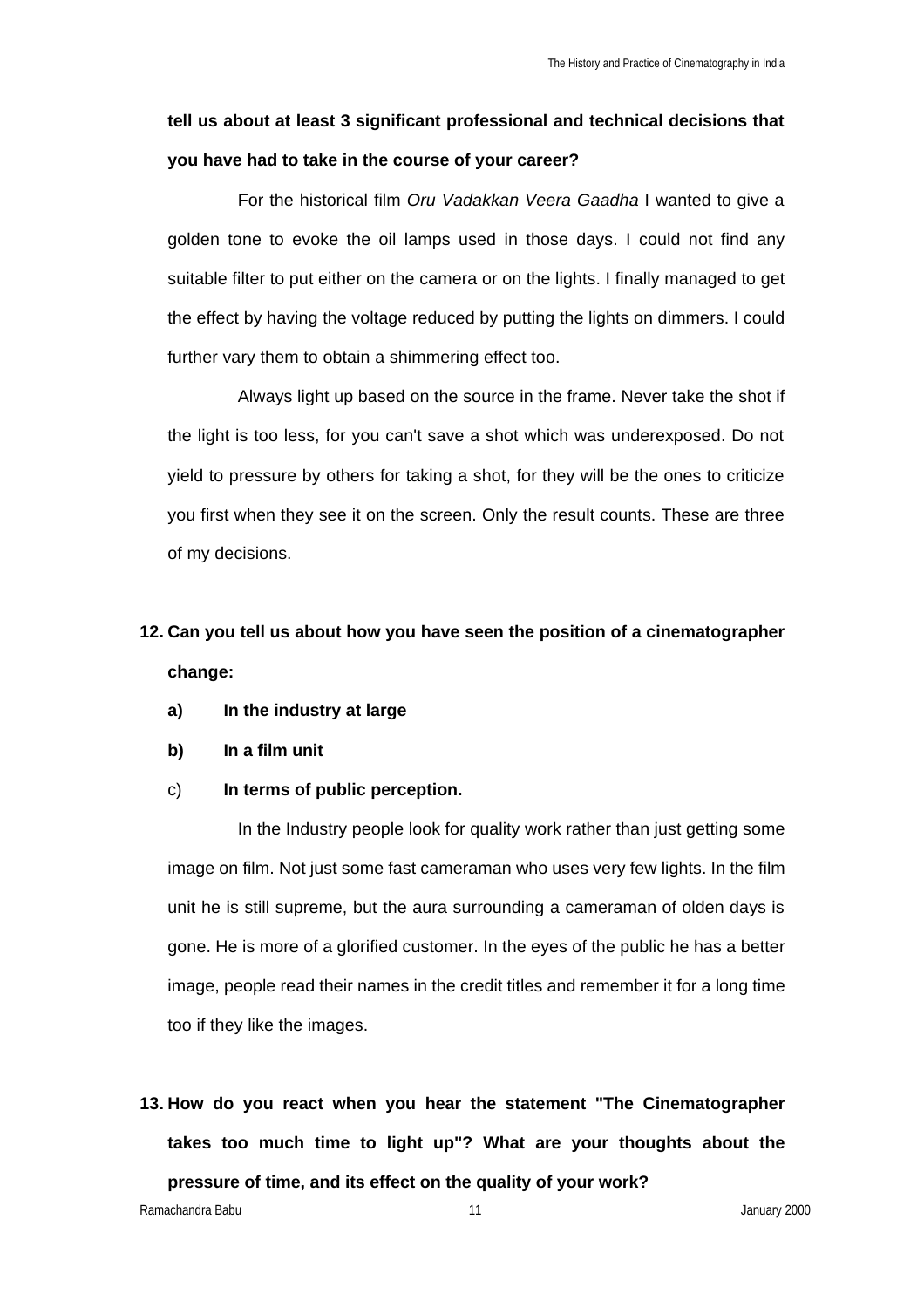### **tell us about at least 3 significant professional and technical decisions that you have had to take in the course of your career?**

For the historical film *Oru Vadakkan Veera Gaadha* I wanted to give a golden tone to evoke the oil lamps used in those days. I could not find any suitable filter to put either on the camera or on the lights. I finally managed to get the effect by having the voltage reduced by putting the lights on dimmers. I could further vary them to obtain a shimmering effect too.

Always light up based on the source in the frame. Never take the shot if the light is too less, for you can't save a shot which was underexposed. Do not yield to pressure by others for taking a shot, for they will be the ones to criticize you first when they see it on the screen. Only the result counts. These are three of my decisions.

## **12. Can you tell us about how you have seen the position of a cinematographer change:**

- **a) In the industry at large**
- **b) In a film unit**
- c) **In terms of public perception.**

In the Industry people look for quality work rather than just getting some image on film. Not just some fast cameraman who uses very few lights. In the film unit he is still supreme, but the aura surrounding a cameraman of olden days is gone. He is more of a glorified customer. In the eyes of the public he has a better image, people read their names in the credit titles and remember it for a long time too if they like the images.

**13. How do you react when you hear the statement "The Cinematographer takes too much time to light up"? What are your thoughts about the pressure of time, and its effect on the quality of your work?**

Ramachandra Babu 2000 **11** January 2000 **11** January 2000 **11** January 2000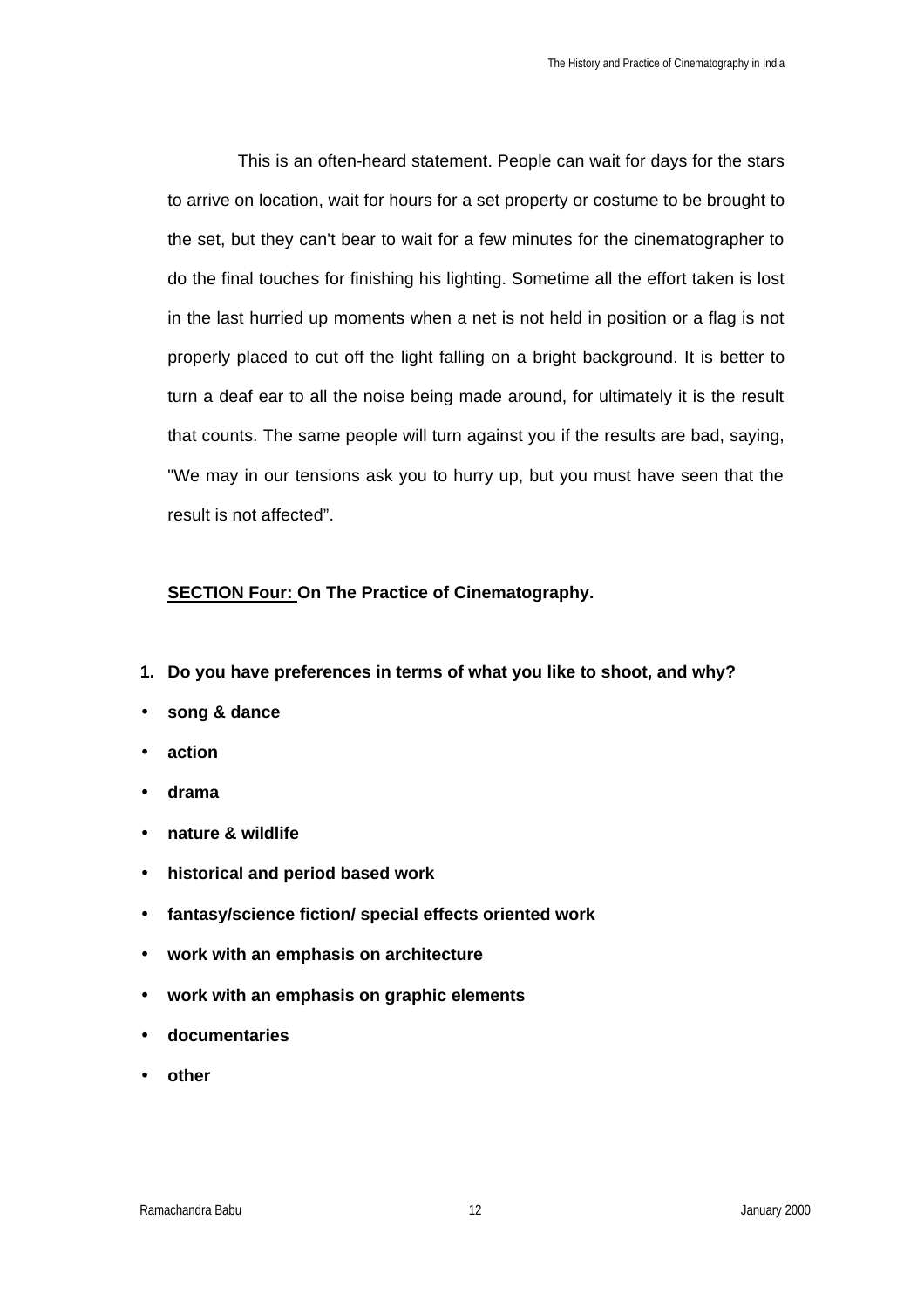This is an often-heard statement. People can wait for days for the stars to arrive on location, wait for hours for a set property or costume to be brought to the set, but they can't bear to wait for a few minutes for the cinematographer to do the final touches for finishing his lighting. Sometime all the effort taken is lost in the last hurried up moments when a net is not held in position or a flag is not properly placed to cut off the light falling on a bright background. It is better to turn a deaf ear to all the noise being made around, for ultimately it is the result that counts. The same people will turn against you if the results are bad, saying, "We may in our tensions ask you to hurry up, but you must have seen that the result is not affected".

#### **SECTION Four: On The Practice of Cinematography.**

- **1. Do you have preferences in terms of what you like to shoot, and why?**
- **song & dance**
- **action**
- **drama**
- **nature & wildlife**
- **historical and period based work**
- **fantasy/science fiction/ special effects oriented work**
- **work with an emphasis on architecture**
- **work with an emphasis on graphic elements**
- **documentaries**
- **other**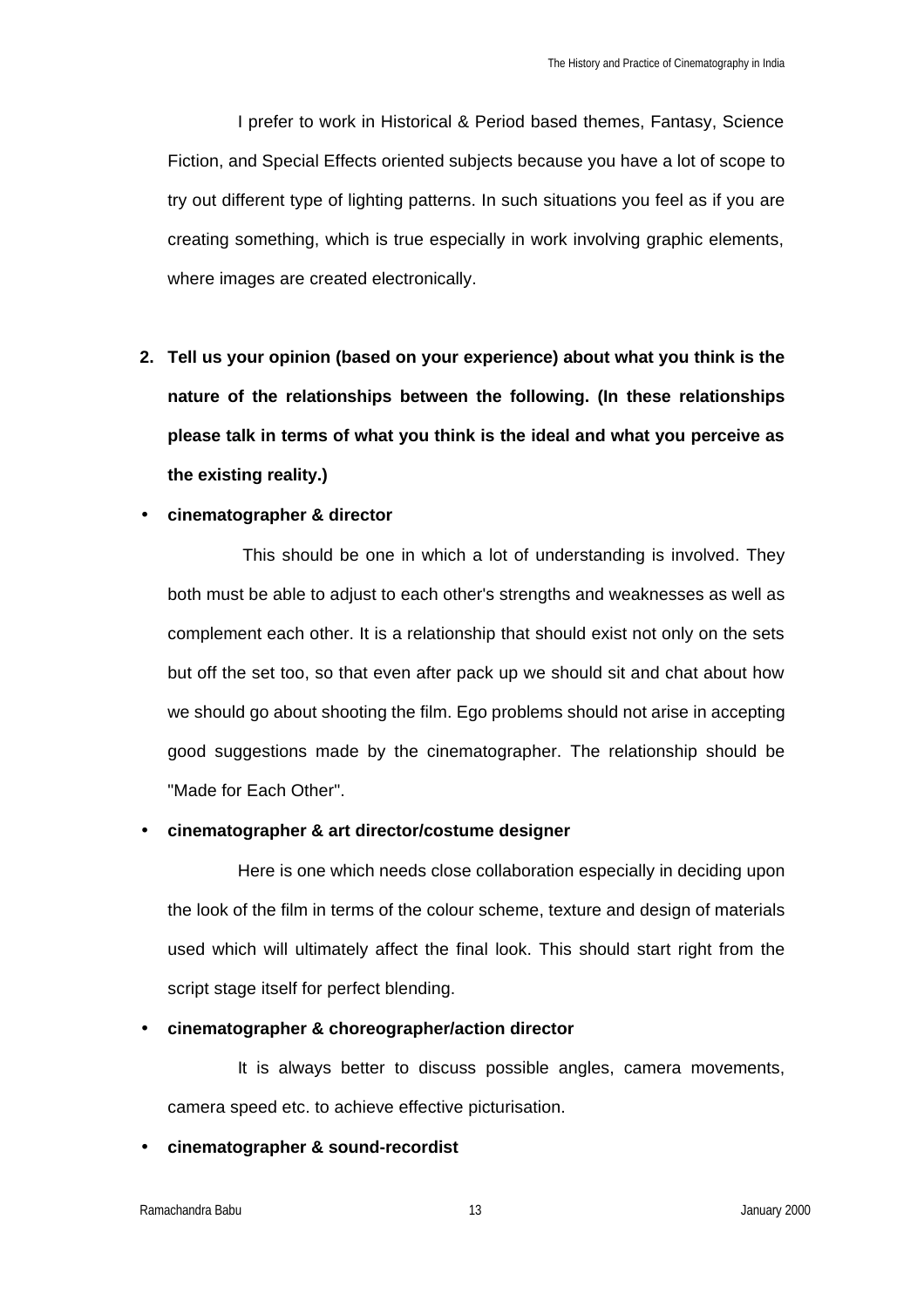I prefer to work in Historical & Period based themes, Fantasy, Science Fiction, and Special Effects oriented subjects because you have a lot of scope to try out different type of lighting patterns. In such situations you feel as if you are creating something, which is true especially in work involving graphic elements, where images are created electronically.

**2. Tell us your opinion (based on your experience) about what you think is the nature of the relationships between the following. (In these relationships please talk in terms of what you think is the ideal and what you perceive as the existing reality.)**

#### • **cinematographer & director**

This should be one in which a lot of understanding is involved. They both must be able to adjust to each other's strengths and weaknesses as well as complement each other. It is a relationship that should exist not only on the sets but off the set too, so that even after pack up we should sit and chat about how we should go about shooting the film. Ego problems should not arise in accepting good suggestions made by the cinematographer. The relationship should be "Made for Each Other".

#### • **cinematographer & art director/costume designer**

Here is one which needs close collaboration especially in deciding upon the look of the film in terms of the colour scheme, texture and design of materials used which will ultimately affect the final look. This should start right from the script stage itself for perfect blending.

#### • **cinematographer & choreographer/action director**

It is always better to discuss possible angles, camera movements, camera speed etc. to achieve effective picturisation.

#### • **cinematographer & sound-recordist**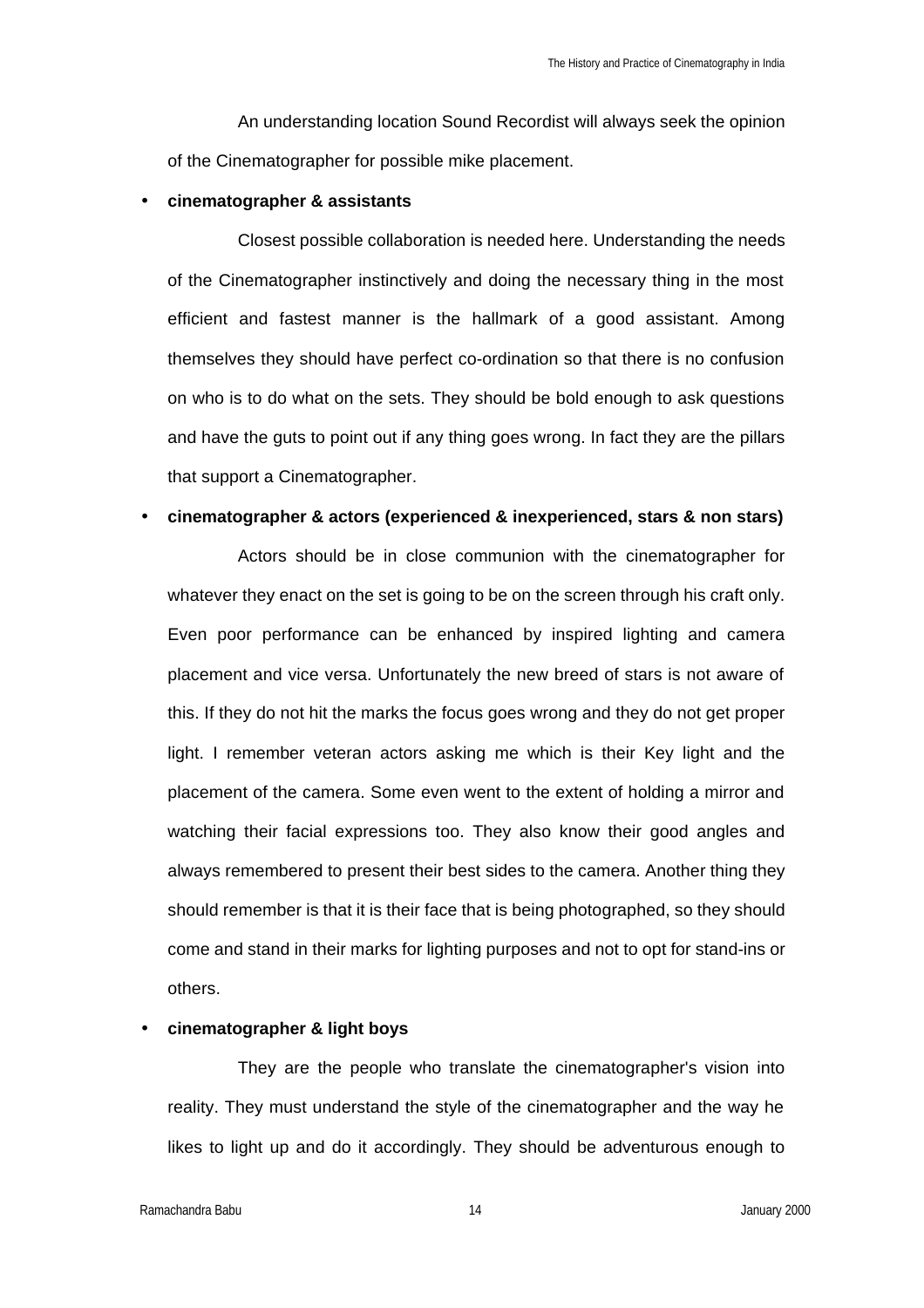An understanding location Sound Recordist will always seek the opinion of the Cinematographer for possible mike placement.

#### • **cinematographer & assistants**

Closest possible collaboration is needed here. Understanding the needs of the Cinematographer instinctively and doing the necessary thing in the most efficient and fastest manner is the hallmark of a good assistant. Among themselves they should have perfect co-ordination so that there is no confusion on who is to do what on the sets. They should be bold enough to ask questions and have the guts to point out if any thing goes wrong. In fact they are the pillars that support a Cinematographer.

#### • **cinematographer & actors (experienced & inexperienced, stars & non stars)**

Actors should be in close communion with the cinematographer for whatever they enact on the set is going to be on the screen through his craft only. Even poor performance can be enhanced by inspired lighting and camera placement and vice versa. Unfortunately the new breed of stars is not aware of this. If they do not hit the marks the focus goes wrong and they do not get proper light. I remember veteran actors asking me which is their Key light and the placement of the camera. Some even went to the extent of holding a mirror and watching their facial expressions too. They also know their good angles and always remembered to present their best sides to the camera. Another thing they should remember is that it is their face that is being photographed, so they should come and stand in their marks for lighting purposes and not to opt for stand-ins or others.

#### • **cinematographer & light boys**

They are the people who translate the cinematographer's vision into reality. They must understand the style of the cinematographer and the way he likes to light up and do it accordingly. They should be adventurous enough to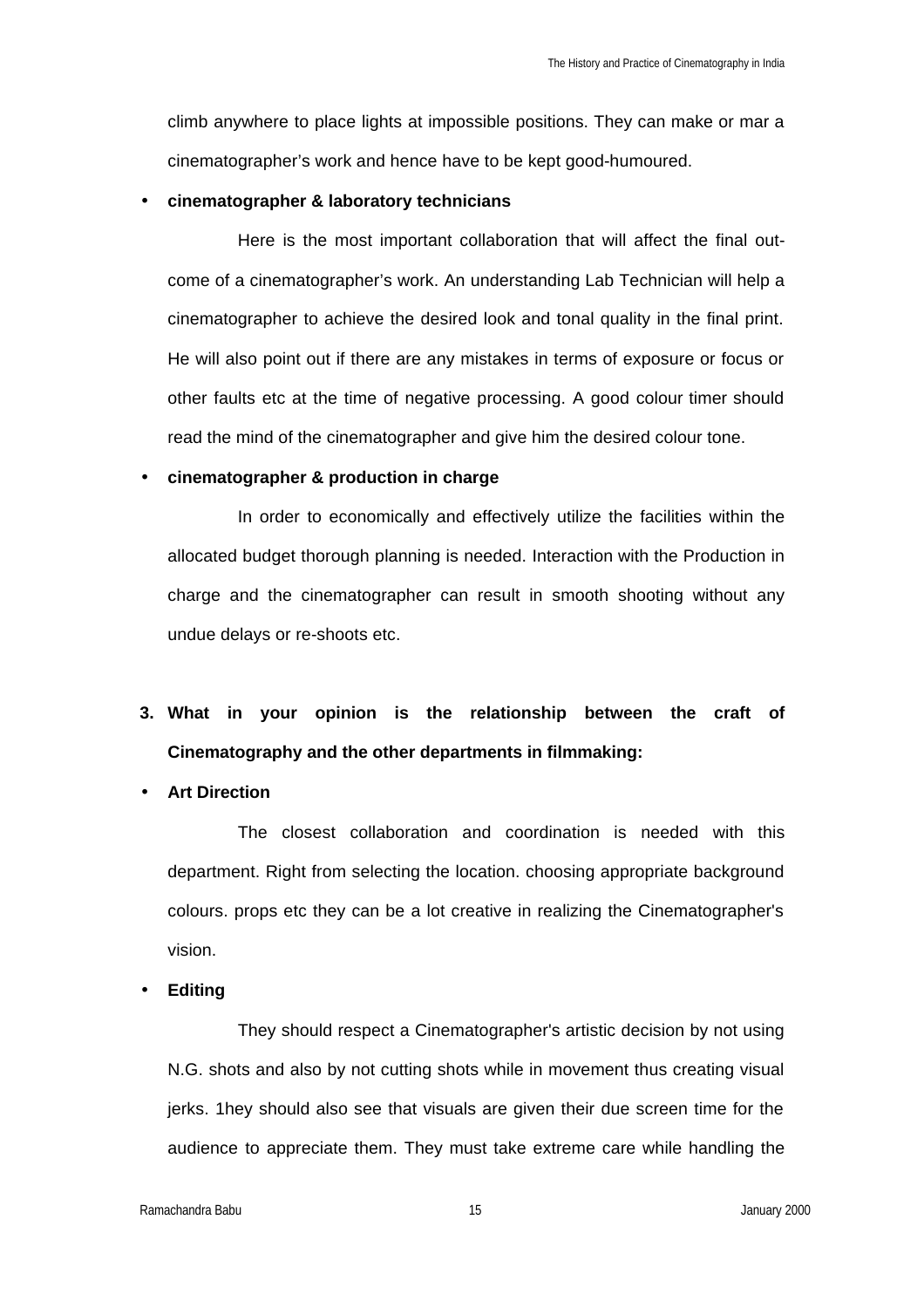climb anywhere to place lights at impossible positions. They can make or mar a cinematographer's work and hence have to be kept good-humoured.

#### • **cinematographer & laboratory technicians**

Here is the most important collaboration that will affect the final outcome of a cinematographer's work. An understanding Lab Technician will help a cinematographer to achieve the desired look and tonal quality in the final print. He will also point out if there are any mistakes in terms of exposure or focus or other faults etc at the time of negative processing. A good colour timer should read the mind of the cinematographer and give him the desired colour tone.

#### • **cinematographer & production in charge**

In order to economically and effectively utilize the facilities within the allocated budget thorough planning is needed. Interaction with the Production in charge and the cinematographer can result in smooth shooting without any undue delays or re-shoots etc.

## **3. What in your opinion is the relationship between the craft of Cinematography and the other departments in filmmaking:**

#### • **Art Direction**

The closest collaboration and coordination is needed with this department. Right from selecting the location. choosing appropriate background colours. props etc they can be a lot creative in realizing the Cinematographer's vision.

#### • **Editing**

They should respect a Cinematographer's artistic decision by not using N.G. shots and also by not cutting shots while in movement thus creating visual jerks. 1hey should also see that visuals are given their due screen time for the audience to appreciate them. They must take extreme care while handling the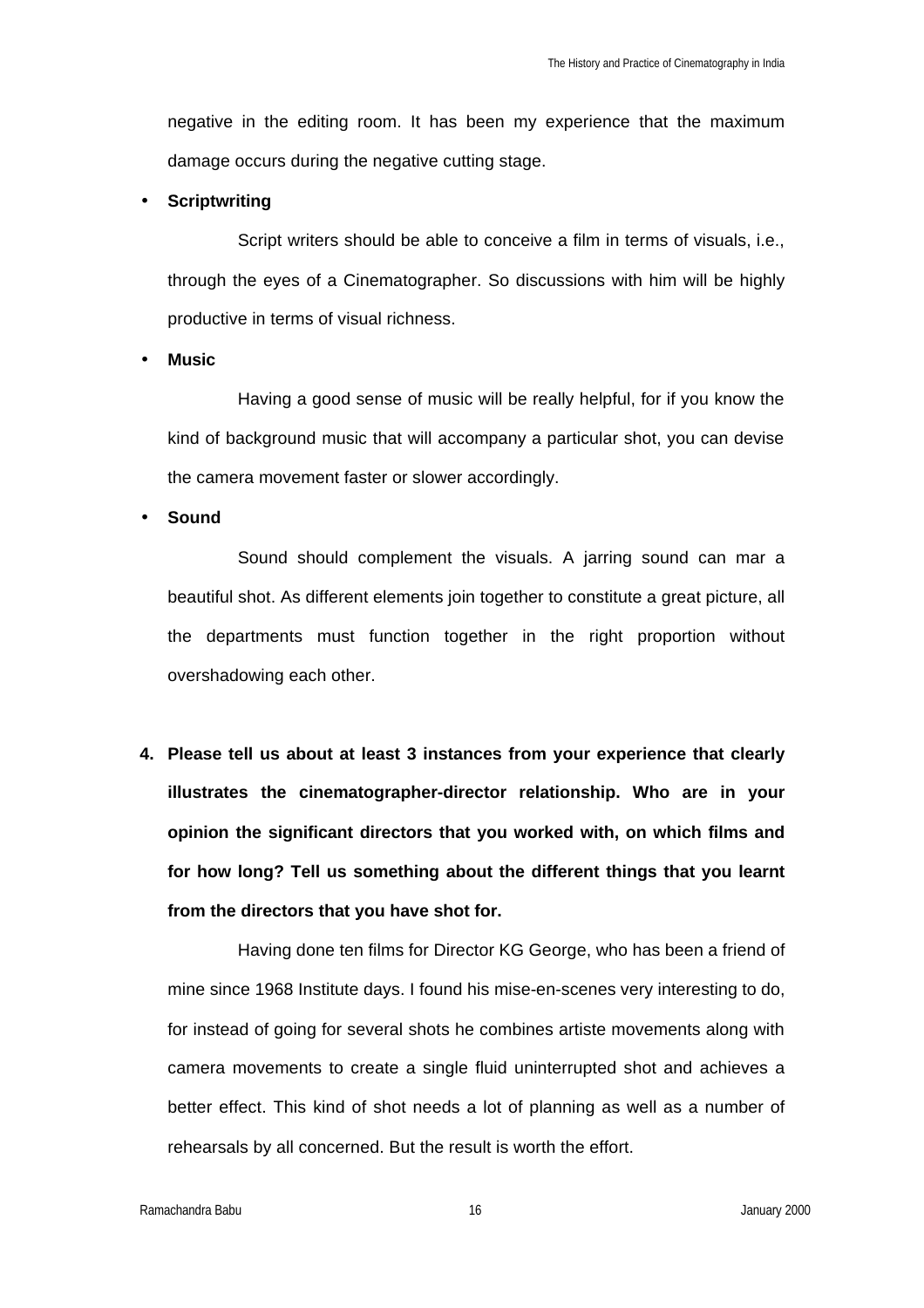negative in the editing room. It has been my experience that the maximum damage occurs during the negative cutting stage.

#### • **Scriptwriting**

Script writers should be able to conceive a film in terms of visuals, i.e., through the eyes of a Cinematographer. So discussions with him will be highly productive in terms of visual richness.

• **Music** 

Having a good sense of music will be really helpful, for if you know the kind of background music that will accompany a particular shot, you can devise the camera movement faster or slower accordingly.

• **Sound**

Sound should complement the visuals. A jarring sound can mar a beautiful shot. As different elements join together to constitute a great picture, all the departments must function together in the right proportion without overshadowing each other.

**4. Please tell us about at least 3 instances from your experience that clearly illustrates the cinematographer-director relationship. Who are in your opinion the significant directors that you worked with, on which films and for how long? Tell us something about the different things that you learnt from the directors that you have shot for.**

Having done ten films for Director KG George, who has been a friend of mine since 1968 Institute days. I found his mise-en-scenes very interesting to do, for instead of going for several shots he combines artiste movements along with camera movements to create a single fluid uninterrupted shot and achieves a better effect. This kind of shot needs a lot of planning as well as a number of rehearsals by all concerned. But the result is worth the effort.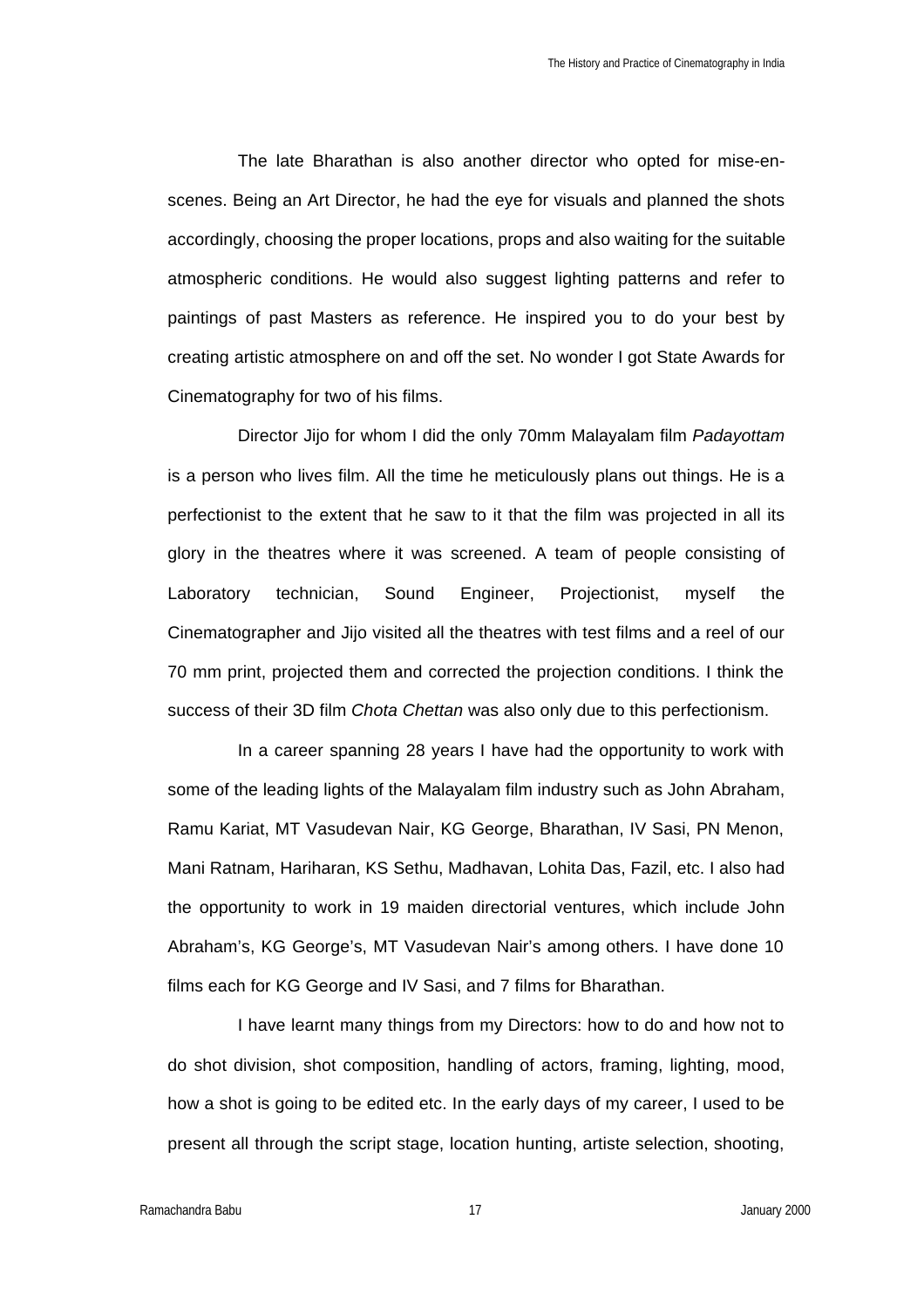The late Bharathan is also another director who opted for mise-enscenes. Being an Art Director, he had the eye for visuals and planned the shots accordingly, choosing the proper locations, props and also waiting for the suitable atmospheric conditions. He would also suggest lighting patterns and refer to paintings of past Masters as reference. He inspired you to do your best by creating artistic atmosphere on and off the set. No wonder I got State Awards for Cinematography for two of his films.

Director Jijo for whom I did the only 70mm Malayalam film *Padayottam* is a person who lives film. All the time he meticulously plans out things. He is a perfectionist to the extent that he saw to it that the film was projected in all its glory in the theatres where it was screened. A team of people consisting of Laboratory technician, Sound Engineer, Projectionist, myself the Cinematographer and Jijo visited all the theatres with test films and a reel of our 70 mm print, projected them and corrected the projection conditions. I think the success of their 3D film *Chota Chettan* was also only due to this perfectionism.

In a career spanning 28 years I have had the opportunity to work with some of the leading lights of the Malayalam film industry such as John Abraham, Ramu Kariat, MT Vasudevan Nair, KG George, Bharathan, IV Sasi, PN Menon, Mani Ratnam, Hariharan, KS Sethu, Madhavan, Lohita Das, Fazil, etc. I also had the opportunity to work in 19 maiden directorial ventures, which include John Abraham's, KG George's, MT Vasudevan Nair's among others. I have done 10 films each for KG George and IV Sasi, and 7 films for Bharathan.

I have learnt many things from my Directors: how to do and how not to do shot division, shot composition, handling of actors, framing, lighting, mood, how a shot is going to be edited etc. In the early days of my career, I used to be present all through the script stage, location hunting, artiste selection, shooting,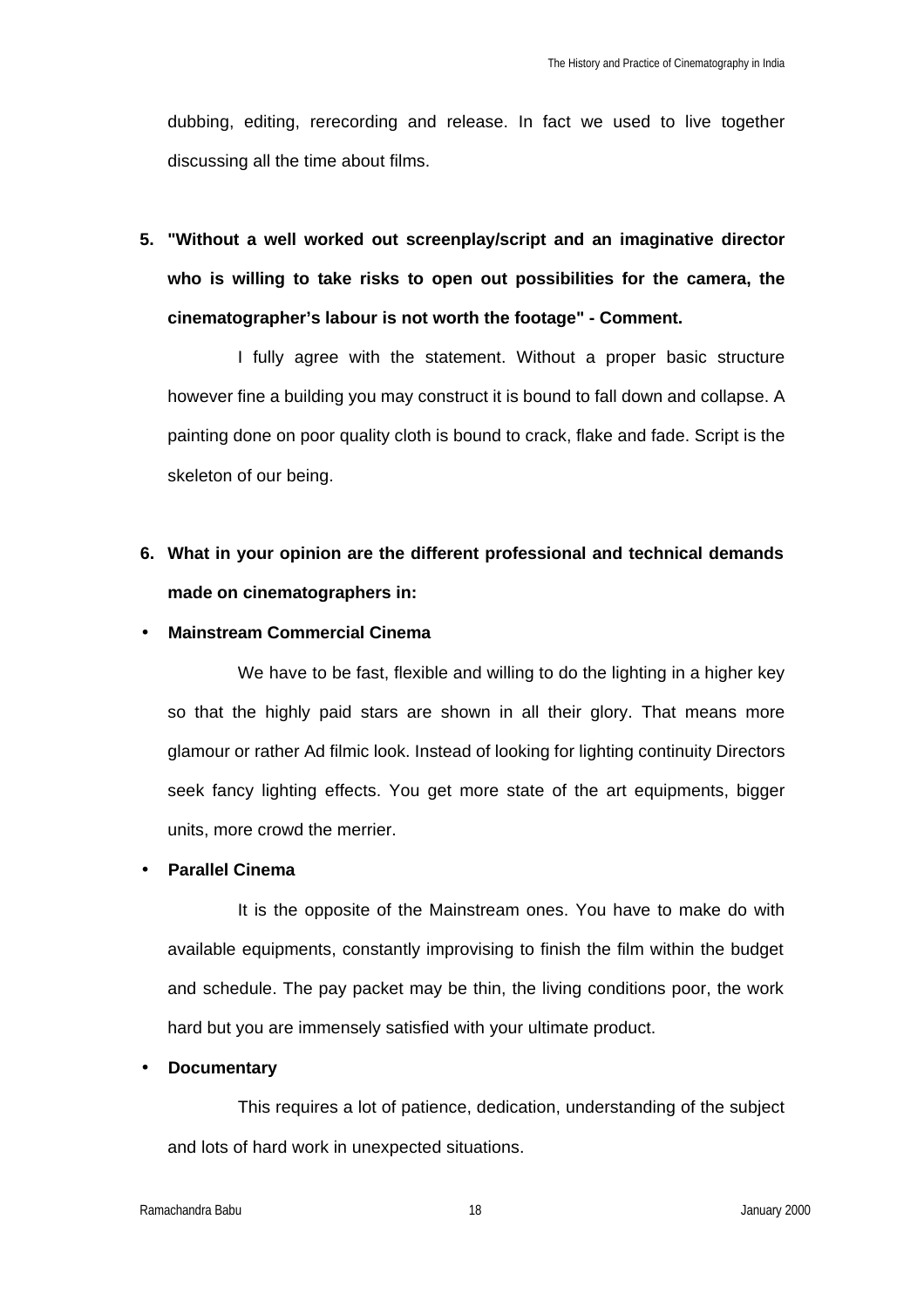dubbing, editing, rerecording and release. In fact we used to live together discussing all the time about films.

**5. "Without a well worked out screenplay/script and an imaginative director who is willing to take risks to open out possibilities for the camera, the cinematographer's labour is not worth the footage" - Comment.**

I fully agree with the statement. Without a proper basic structure however fine a building you may construct it is bound to fall down and collapse. A painting done on poor quality cloth is bound to crack, flake and fade. Script is the skeleton of our being.

**6. What in your opinion are the different professional and technical demands made on cinematographers in:**

#### • **Mainstream Commercial Cinema**

We have to be fast, flexible and willing to do the lighting in a higher key so that the highly paid stars are shown in all their glory. That means more glamour or rather Ad filmic look. Instead of looking for lighting continuity Directors seek fancy lighting effects. You get more state of the art equipments, bigger units, more crowd the merrier.

#### • **Parallel Cinema**

It is the opposite of the Mainstream ones. You have to make do with available equipments, constantly improvising to finish the film within the budget and schedule. The pay packet may be thin, the living conditions poor, the work hard but you are immensely satisfied with your ultimate product.

#### • **Documentary**

This requires a lot of patience, dedication, understanding of the subject and lots of hard work in unexpected situations.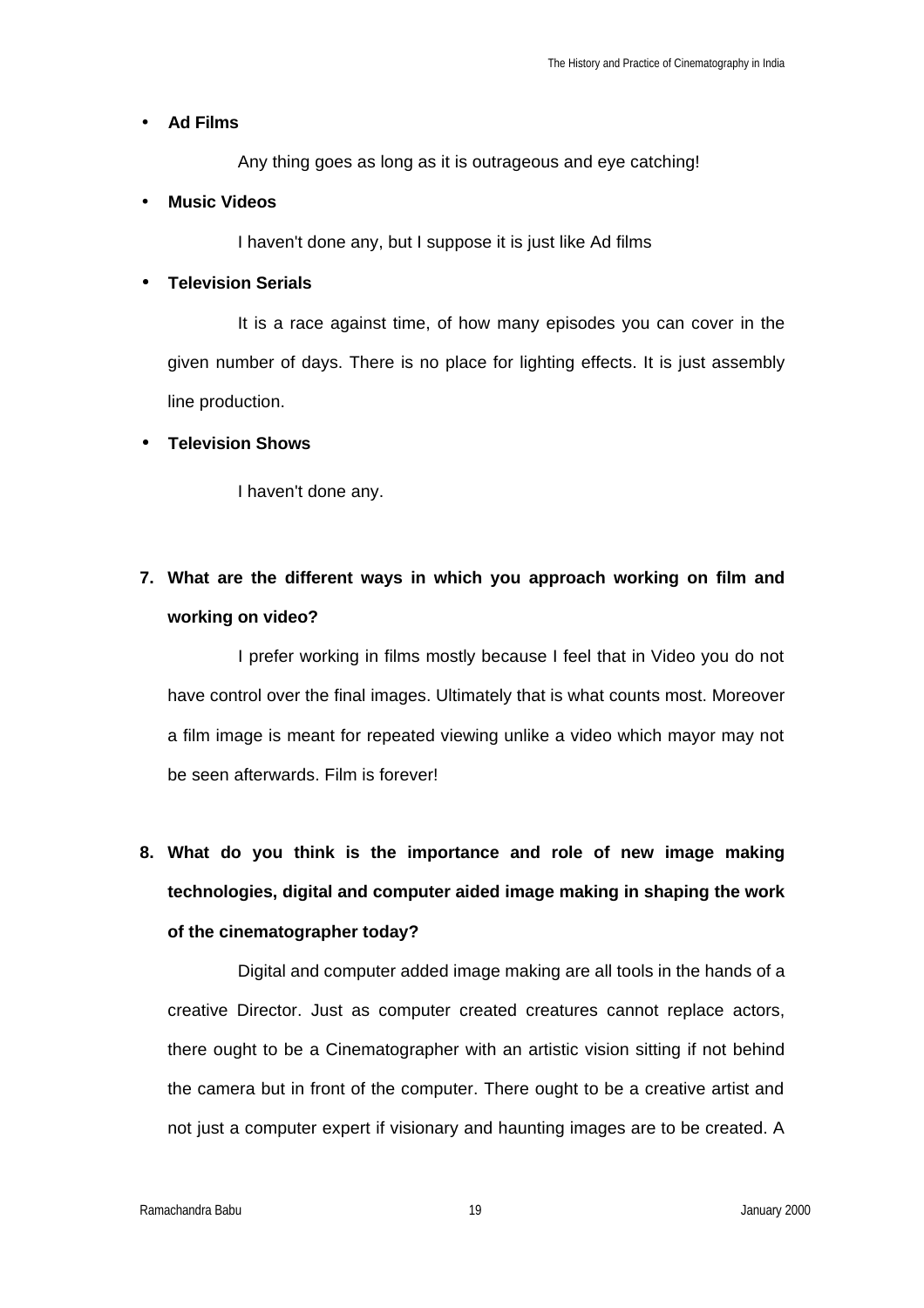#### • **Ad Films**

Any thing goes as long as it is outrageous and eye catching!

#### • **Music Videos**

I haven't done any, but I suppose it is just like Ad films

#### • **Television Serials**

It is a race against time, of how many episodes you can cover in the given number of days. There is no place for lighting effects. It is just assembly line production.

#### • **Television Shows**

I haven't done any.

## **7. What are the different ways in which you approach working on film and working on video?**

I prefer working in films mostly because I feel that in Video you do not have control over the final images. Ultimately that is what counts most. Moreover a film image is meant for repeated viewing unlike a video which mayor may not be seen afterwards. Film is forever!

**8. What do you think is the importance and role of new image making technologies, digital and computer aided image making in shaping the work of the cinematographer today?**

Digital and computer added image making are all tools in the hands of a creative Director. Just as computer created creatures cannot replace actors, there ought to be a Cinematographer with an artistic vision sitting if not behind the camera but in front of the computer. There ought to be a creative artist and not just a computer expert if visionary and haunting images are to be created. A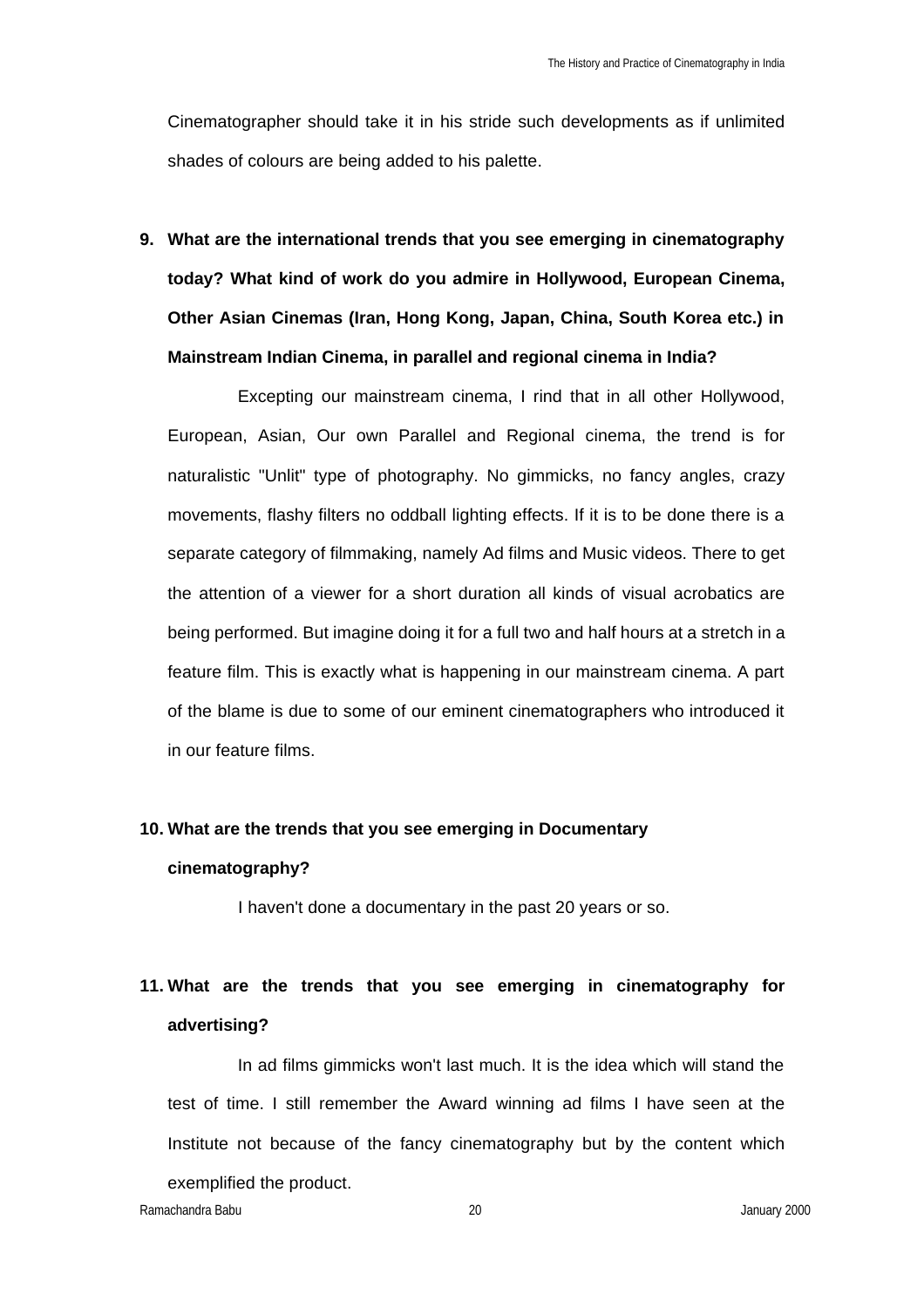Cinematographer should take it in his stride such developments as if unlimited shades of colours are being added to his palette.

**9. What are the international trends that you see emerging in cinematography today? What kind of work do you admire in Hollywood, European Cinema, Other Asian Cinemas (Iran, Hong Kong, Japan, China, South Korea etc.) in Mainstream Indian Cinema, in parallel and regional cinema in India?**

Excepting our mainstream cinema, I rind that in all other Hollywood, European, Asian, Our own Parallel and Regional cinema, the trend is for naturalistic "Unlit" type of photography. No gimmicks, no fancy angles, crazy movements, flashy filters no oddball lighting effects. If it is to be done there is a separate category of filmmaking, namely Ad films and Music videos. There to get the attention of a viewer for a short duration all kinds of visual acrobatics are being performed. But imagine doing it for a full two and half hours at a stretch in a feature film. This is exactly what is happening in our mainstream cinema. A part of the blame is due to some of our eminent cinematographers who introduced it in our feature films.

### **10. What are the trends that you see emerging in Documentary cinematography?**

I haven't done a documentary in the past 20 years or so.

### **11. What are the trends that you see emerging in cinematography for advertising?**

In ad films gimmicks won't last much. It is the idea which will stand the test of time. I still remember the Award winning ad films I have seen at the Institute not because of the fancy cinematography but by the content which exemplified the product.

Ramachandra Babu 20 January 2000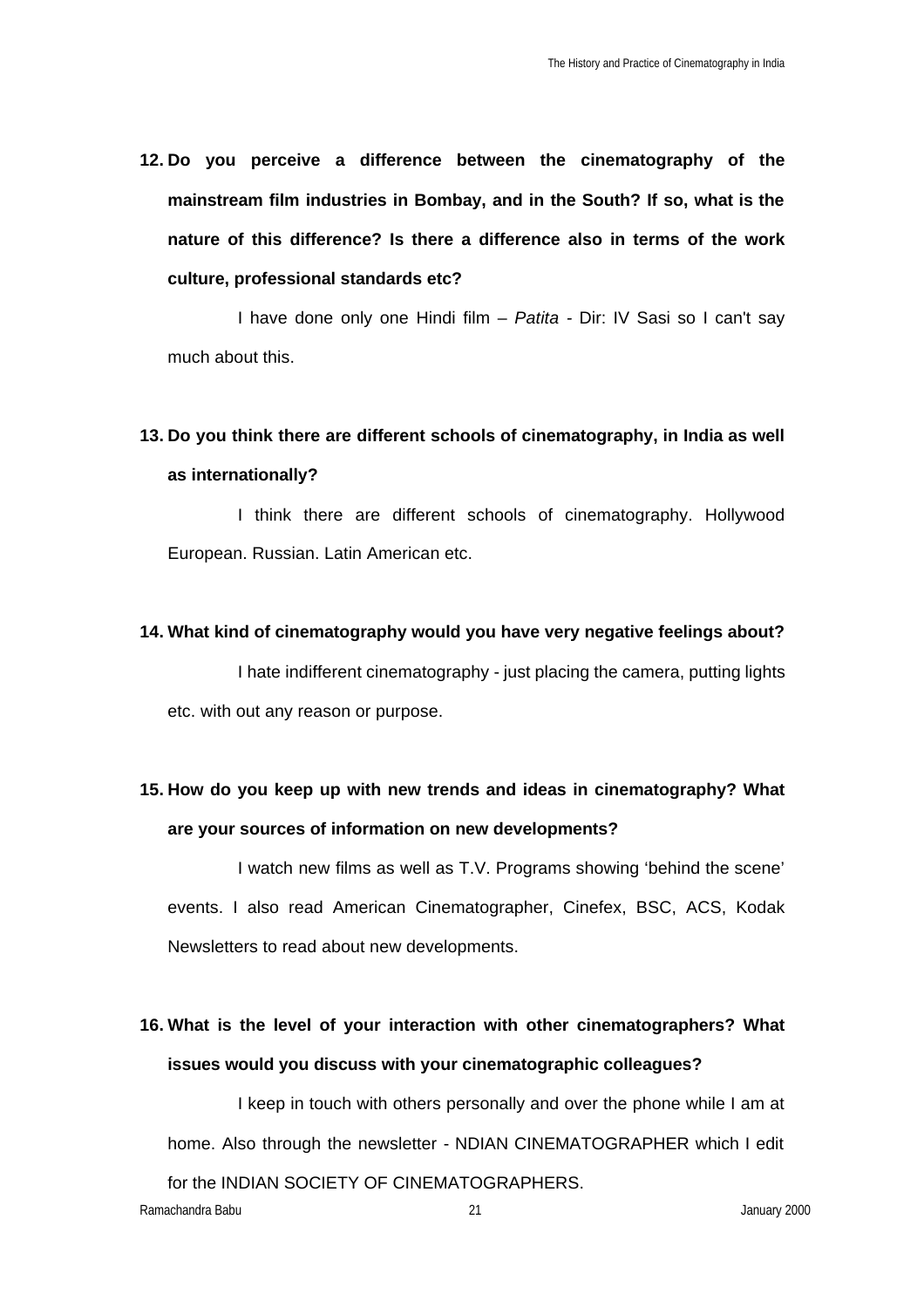**12. Do you perceive a difference between the cinematography of the mainstream film industries in Bombay, and in the South? If so, what is the nature of this difference? Is there a difference also in terms of the work culture, professional standards etc?**

I have done only one Hindi film – *Patita -* Dir: IV Sasi so I can't say much about this.

### **13. Do you think there are different schools of cinematography, in India as well as internationally?**

I think there are different schools of cinematography. Hollywood European. Russian. Latin American etc.

#### **14. What kind of cinematography would you have very negative feelings about?**

I hate indifferent cinematography - just placing the camera, putting lights etc. with out any reason or purpose.

### **15. How do you keep up with new trends and ideas in cinematography? What are your sources of information on new developments?**

I watch new films as well as T.V. Programs showing 'behind the scene' events. I also read American Cinematographer, Cinefex, BSC, ACS, Kodak Newsletters to read about new developments.

### **16. What is the level of your interaction with other cinematographers? What issues would you discuss with your cinematographic colleagues?**

I keep in touch with others personally and over the phone while I am at home. Also through the newsletter - NDIAN CINEMATOGRAPHER which I edit for the INDIAN SOCIETY OF CINEMATOGRAPHERS.

Ramachandra Babu 21 January 2000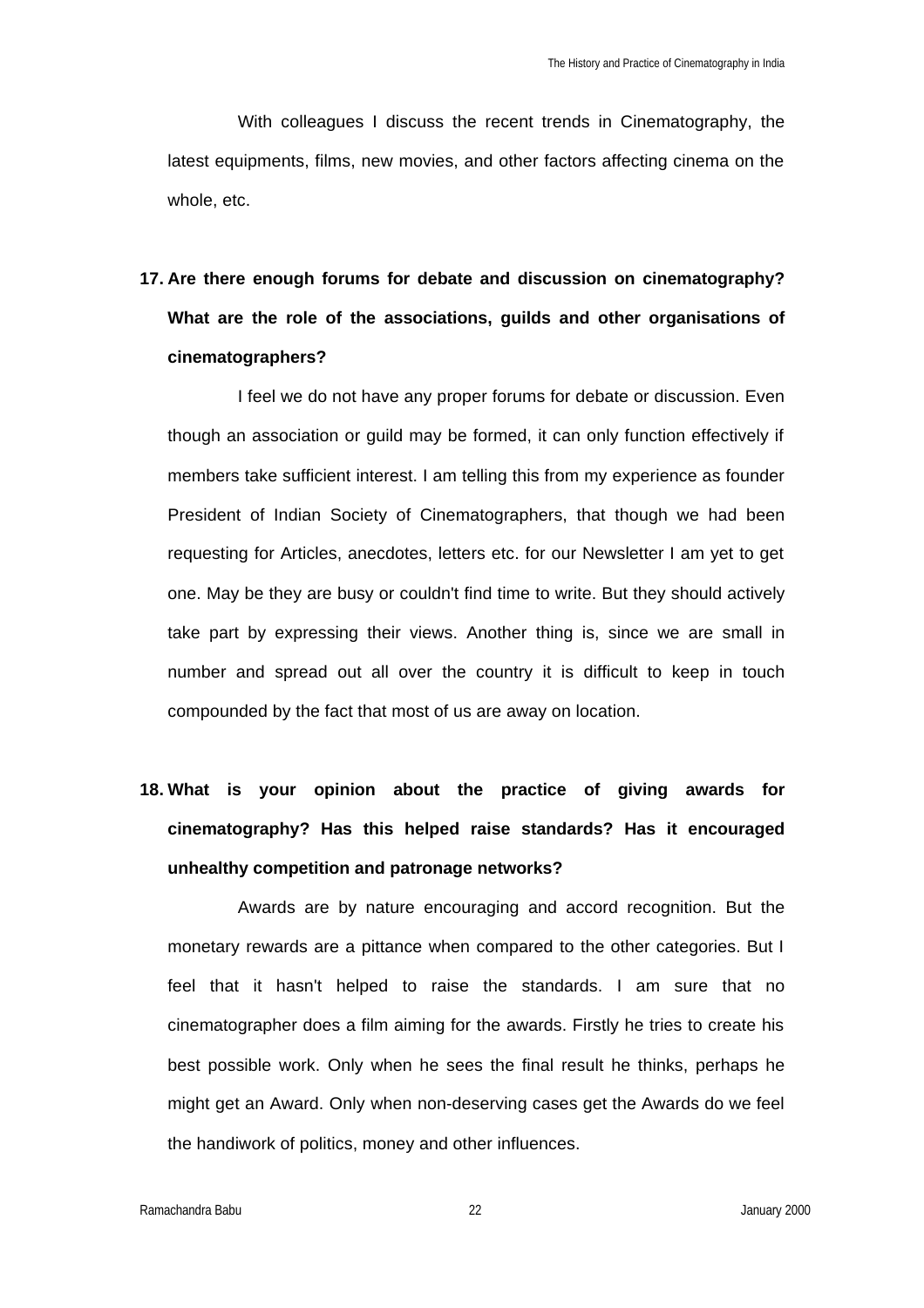With colleagues I discuss the recent trends in Cinematography, the latest equipments, films, new movies, and other factors affecting cinema on the whole, etc.

# **17. Are there enough forums for debate and discussion on cinematography? What are the role of the associations, guilds and other organisations of cinematographers?**

I feel we do not have any proper forums for debate or discussion. Even though an association or guild may be formed, it can only function effectively if members take sufficient interest. I am telling this from my experience as founder President of Indian Society of Cinematographers, that though we had been requesting for Articles, anecdotes, letters etc. for our Newsletter I am yet to get one. May be they are busy or couldn't find time to write. But they should actively take part by expressing their views. Another thing is, since we are small in number and spread out all over the country it is difficult to keep in touch compounded by the fact that most of us are away on location.

# **18. What is your opinion about the practice of giving awards for cinematography? Has this helped raise standards? Has it encouraged unhealthy competition and patronage networks?**

Awards are by nature encouraging and accord recognition. But the monetary rewards are a pittance when compared to the other categories. But I feel that it hasn't helped to raise the standards. I am sure that no cinematographer does a film aiming for the awards. Firstly he tries to create his best possible work. Only when he sees the final result he thinks, perhaps he might get an Award. Only when non-deserving cases get the Awards do we feel the handiwork of politics, money and other influences.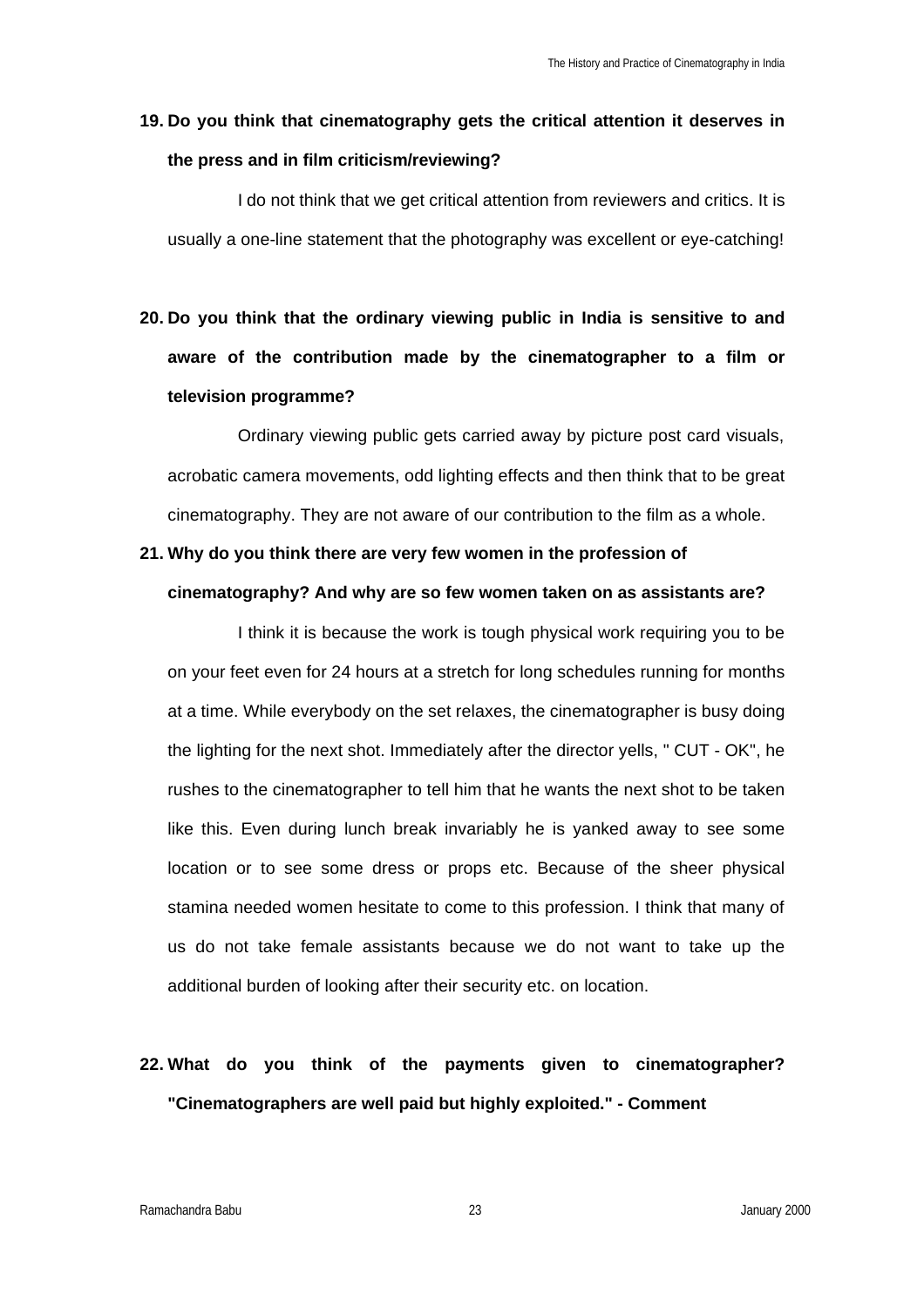#### **19. Do you think that cinematography gets the critical attention it deserves in the press and in film criticism/reviewing?**

I do not think that we get critical attention from reviewers and critics. It is usually a one-line statement that the photography was excellent or eye-catching!

# **20. Do you think that the ordinary viewing public in India is sensitive to and aware of the contribution made by the cinematographer to a film or television programme?**

Ordinary viewing public gets carried away by picture post card visuals, acrobatic camera movements, odd lighting effects and then think that to be great cinematography. They are not aware of our contribution to the film as a whole.

# **21. Why do you think there are very few women in the profession of**

#### **cinematography? And why are so few women taken on as assistants are?**

I think it is because the work is tough physical work requiring you to be on your feet even for 24 hours at a stretch for long schedules running for months at a time. While everybody on the set relaxes, the cinematographer is busy doing the lighting for the next shot. Immediately after the director yells, " CUT - OK", he rushes to the cinematographer to tell him that he wants the next shot to be taken like this. Even during lunch break invariably he is yanked away to see some location or to see some dress or props etc. Because of the sheer physical stamina needed women hesitate to come to this profession. I think that many of us do not take female assistants because we do not want to take up the additional burden of looking after their security etc. on location.

## **22. What do you think of the payments given to cinematographer? "Cinematographers are well paid but highly exploited." - Comment**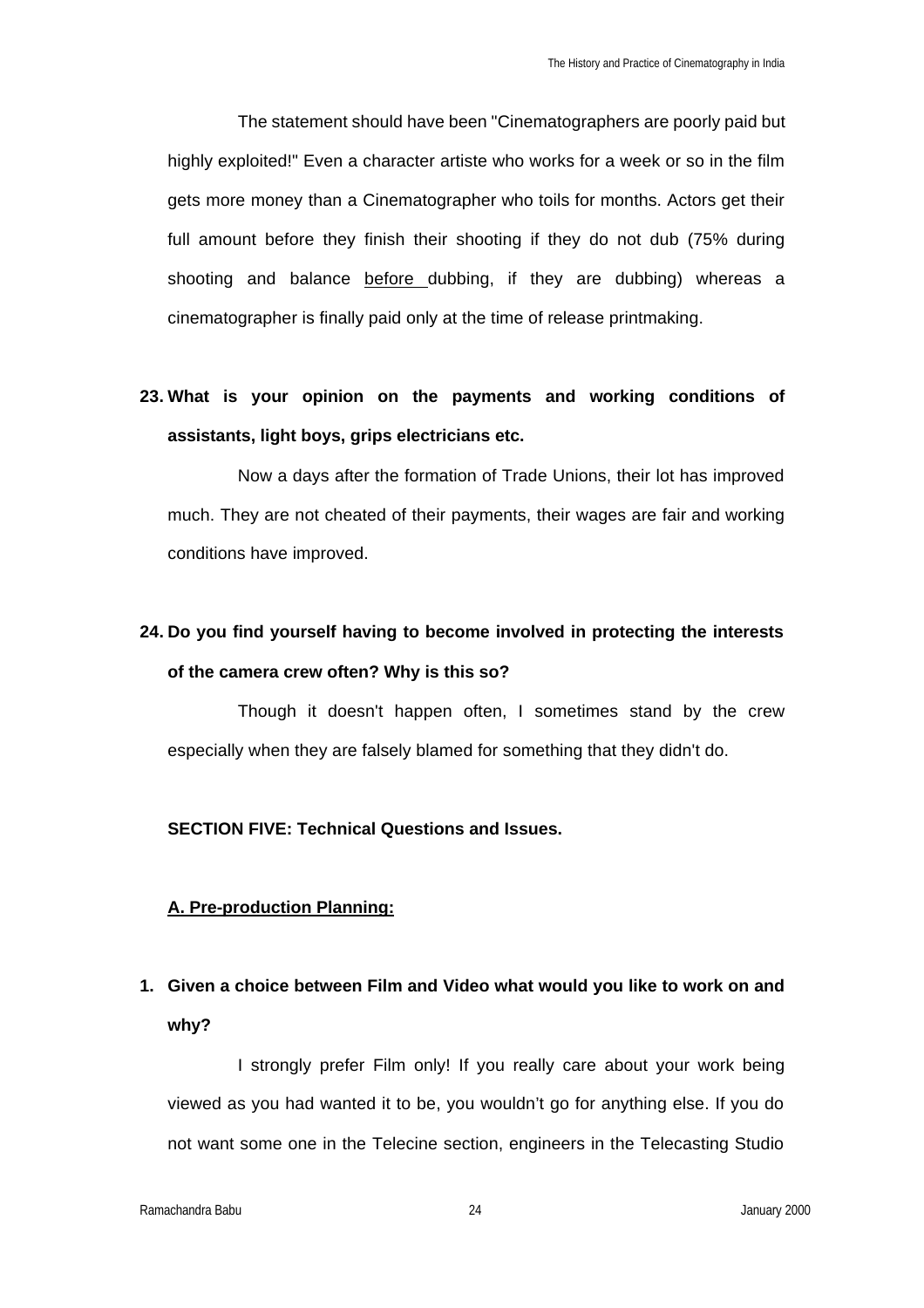The statement should have been "Cinematographers are poorly paid but highly exploited!" Even a character artiste who works for a week or so in the film gets more money than a Cinematographer who toils for months. Actors get their full amount before they finish their shooting if they do not dub (75% during shooting and balance before dubbing, if they are dubbing) whereas a cinematographer is finally paid only at the time of release printmaking.

### **23. What is your opinion on the payments and working conditions of assistants, light boys, grips electricians etc.**

Now a days after the formation of Trade Unions, their lot has improved much. They are not cheated of their payments, their wages are fair and working conditions have improved.

### **24. Do you find yourself having to become involved in protecting the interests of the camera crew often? Why is this so?**

Though it doesn't happen often, I sometimes stand by the crew especially when they are falsely blamed for something that they didn't do.

#### **SECTION FIVE: Technical Questions and Issues.**

#### **A. Pre-production Planning:**

### **1. Given a choice between Film and Video what would you like to work on and why?**

I strongly prefer Film only! If you really care about your work being viewed as you had wanted it to be, you wouldn't go for anything else. If you do not want some one in the Telecine section, engineers in the Telecasting Studio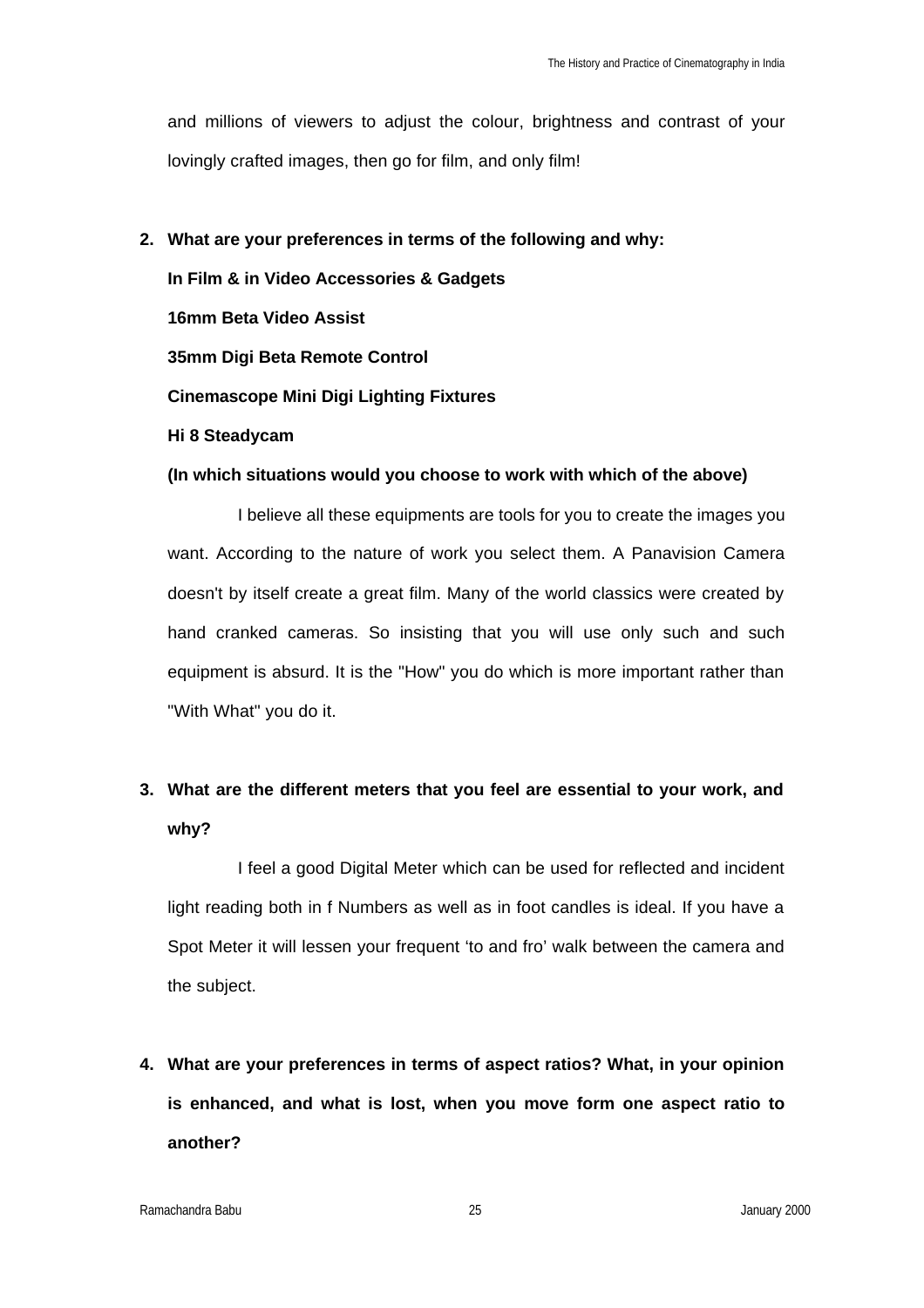and millions of viewers to adjust the colour, brightness and contrast of your lovingly crafted images, then go for film, and only film!

#### **2. What are your preferences in terms of the following and why:**

**In Film & in Video Accessories & Gadgets 16mm Beta Video Assist 35mm Digi Beta Remote Control Cinemascope Mini Digi Lighting Fixtures Hi 8 Steadycam**

#### **(In which situations would you choose to work with which of the above)**

I believe all these equipments are tools for you to create the images you want. According to the nature of work you select them. A Panavision Camera doesn't by itself create a great film. Many of the world classics were created by hand cranked cameras. So insisting that you will use only such and such equipment is absurd. It is the "How" you do which is more important rather than "With What" you do it.

### **3. What are the different meters that you feel are essential to your work, and why?**

I feel a good Digital Meter which can be used for reflected and incident light reading both in f Numbers as well as in foot candles is ideal. If you have a Spot Meter it will lessen your frequent 'to and fro' walk between the camera and the subject.

**4. What are your preferences in terms of aspect ratios? What, in your opinion is enhanced, and what is lost, when you move form one aspect ratio to another?**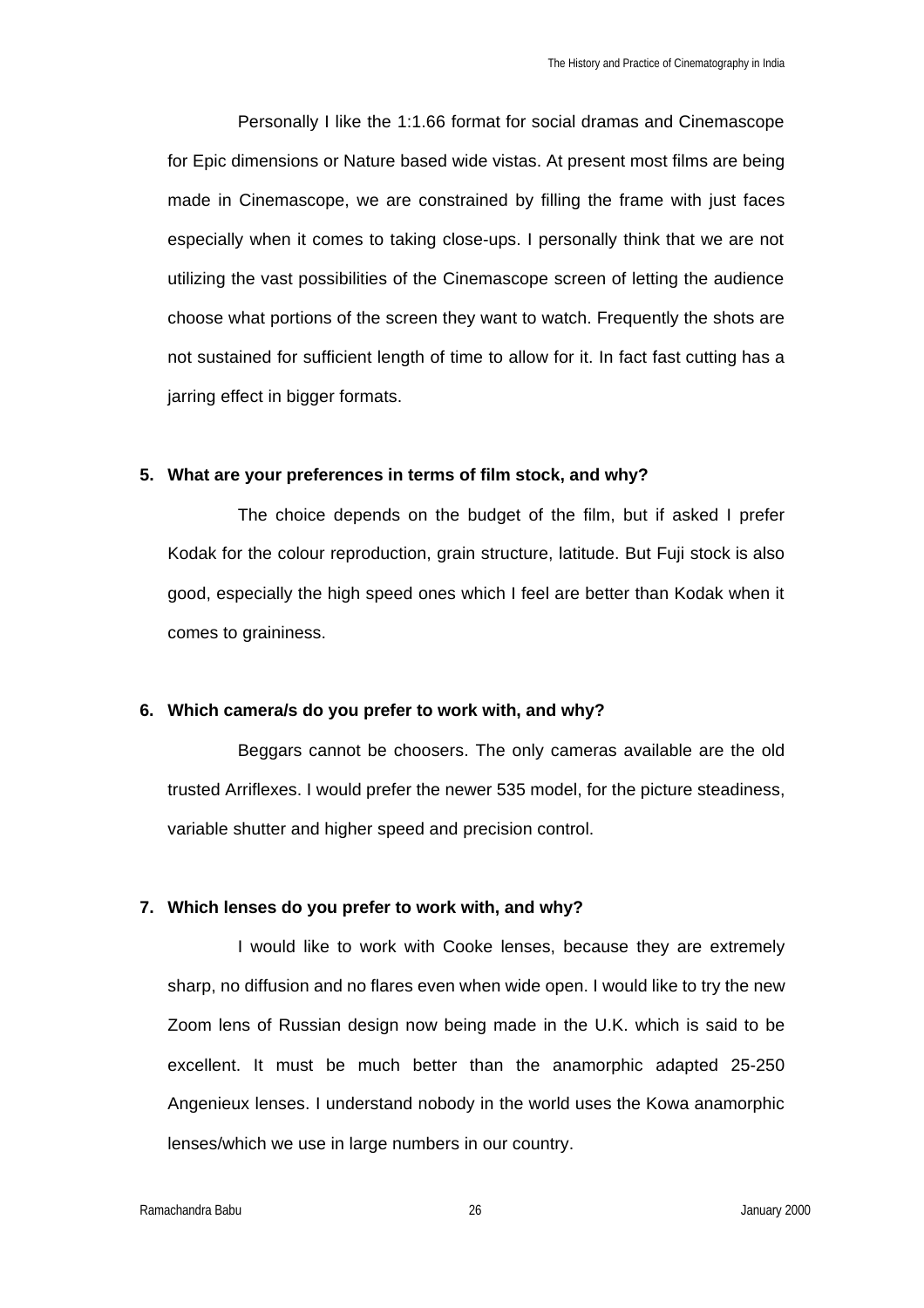Personally I like the 1:1.66 format for social dramas and Cinemascope for Epic dimensions or Nature based wide vistas. At present most films are being made in Cinemascope, we are constrained by filling the frame with just faces especially when it comes to taking close-ups. I personally think that we are not utilizing the vast possibilities of the Cinemascope screen of letting the audience choose what portions of the screen they want to watch. Frequently the shots are not sustained for sufficient length of time to allow for it. In fact fast cutting has a jarring effect in bigger formats.

#### **5. What are your preferences in terms of film stock, and why?**

The choice depends on the budget of the film, but if asked I prefer Kodak for the colour reproduction, grain structure, latitude. But Fuji stock is also good, especially the high speed ones which I feel are better than Kodak when it comes to graininess.

#### **6. Which camera/s do you prefer to work with, and why?**

Beggars cannot be choosers. The only cameras available are the old trusted Arriflexes. I would prefer the newer 535 model, for the picture steadiness, variable shutter and higher speed and precision control.

#### **7. Which lenses do you prefer to work with, and why?**

I would like to work with Cooke lenses, because they are extremely sharp, no diffusion and no flares even when wide open. I would like to try the new Zoom lens of Russian design now being made in the U.K. which is said to be excellent. It must be much better than the anamorphic adapted 25-250 Angenieux lenses. I understand nobody in the world uses the Kowa anamorphic lenses/which we use in large numbers in our country.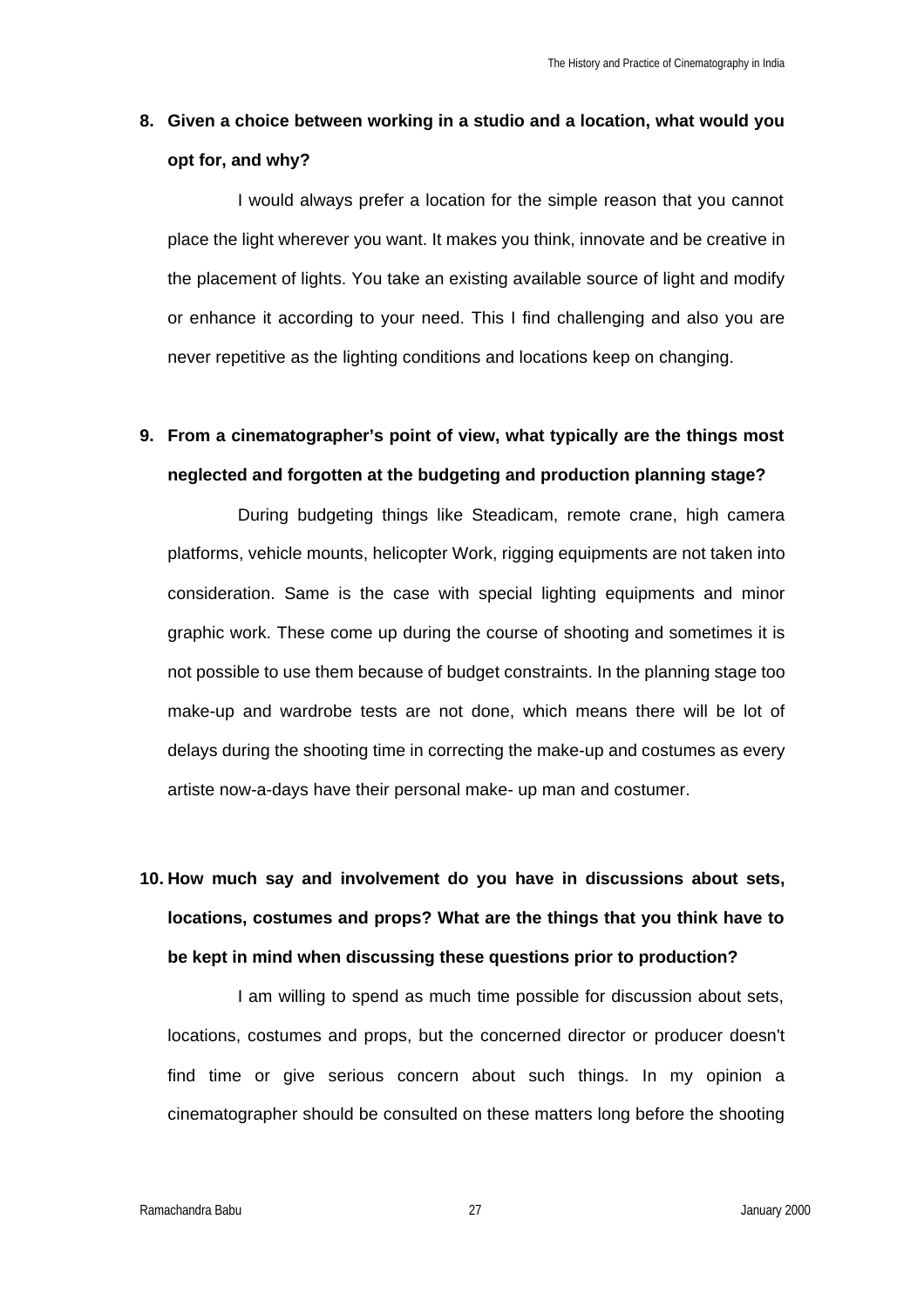#### **8. Given a choice between working in a studio and a location, what would you opt for, and why?**

I would always prefer a location for the simple reason that you cannot place the light wherever you want. It makes you think, innovate and be creative in the placement of lights. You take an existing available source of light and modify or enhance it according to your need. This I find challenging and also you are never repetitive as the lighting conditions and locations keep on changing.

### **9. From a cinematographer's point of view, what typically are the things most neglected and forgotten at the budgeting and production planning stage?**

During budgeting things like Steadicam, remote crane, high camera platforms, vehicle mounts, helicopter Work, rigging equipments are not taken into consideration. Same is the case with special lighting equipments and minor graphic work. These come up during the course of shooting and sometimes it is not possible to use them because of budget constraints. In the planning stage too make-up and wardrobe tests are not done, which means there will be lot of delays during the shooting time in correcting the make-up and costumes as every artiste now-a-days have their personal make- up man and costumer.

# **10. How much say and involvement do you have in discussions about sets, locations, costumes and props? What are the things that you think have to be kept in mind when discussing these questions prior to production?**

I am willing to spend as much time possible for discussion about sets, locations, costumes and props, but the concerned director or producer doesn't find time or give serious concern about such things. In my opinion a cinematographer should be consulted on these matters long before the shooting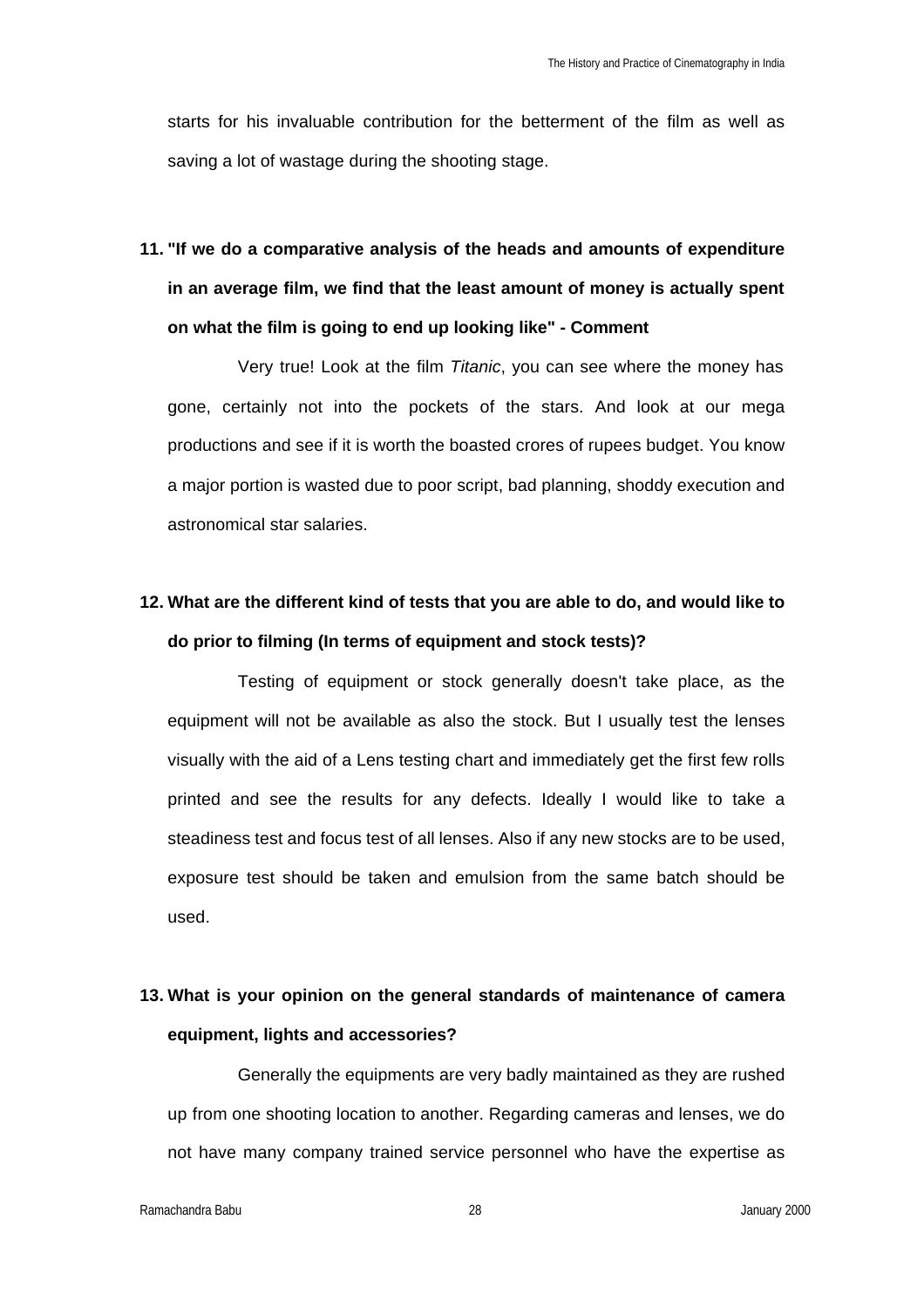starts for his invaluable contribution for the betterment of the film as well as saving a lot of wastage during the shooting stage.

**11. "If we do a comparative analysis of the heads and amounts of expenditure in an average film, we find that the least amount of money is actually spent on what the film is going to end up looking like" - Comment**

Very true! Look at the film *Titanic*, you can see where the money has gone, certainly not into the pockets of the stars. And look at our mega productions and see if it is worth the boasted crores of rupees budget. You know a major portion is wasted due to poor script, bad planning, shoddy execution and astronomical star salaries.

## **12. What are the different kind of tests that you are able to do, and would like to do prior to filming (In terms of equipment and stock tests)?**

Testing of equipment or stock generally doesn't take place, as the equipment will not be available as also the stock. But I usually test the lenses visually with the aid of a Lens testing chart and immediately get the first few rolls printed and see the results for any defects. Ideally I would like to take a steadiness test and focus test of all lenses. Also if any new stocks are to be used, exposure test should be taken and emulsion from the same batch should be used.

### **13. What is your opinion on the general standards of maintenance of camera equipment, lights and accessories?**

Generally the equipments are very badly maintained as they are rushed up from one shooting location to another. Regarding cameras and lenses, we do not have many company trained service personnel who have the expertise as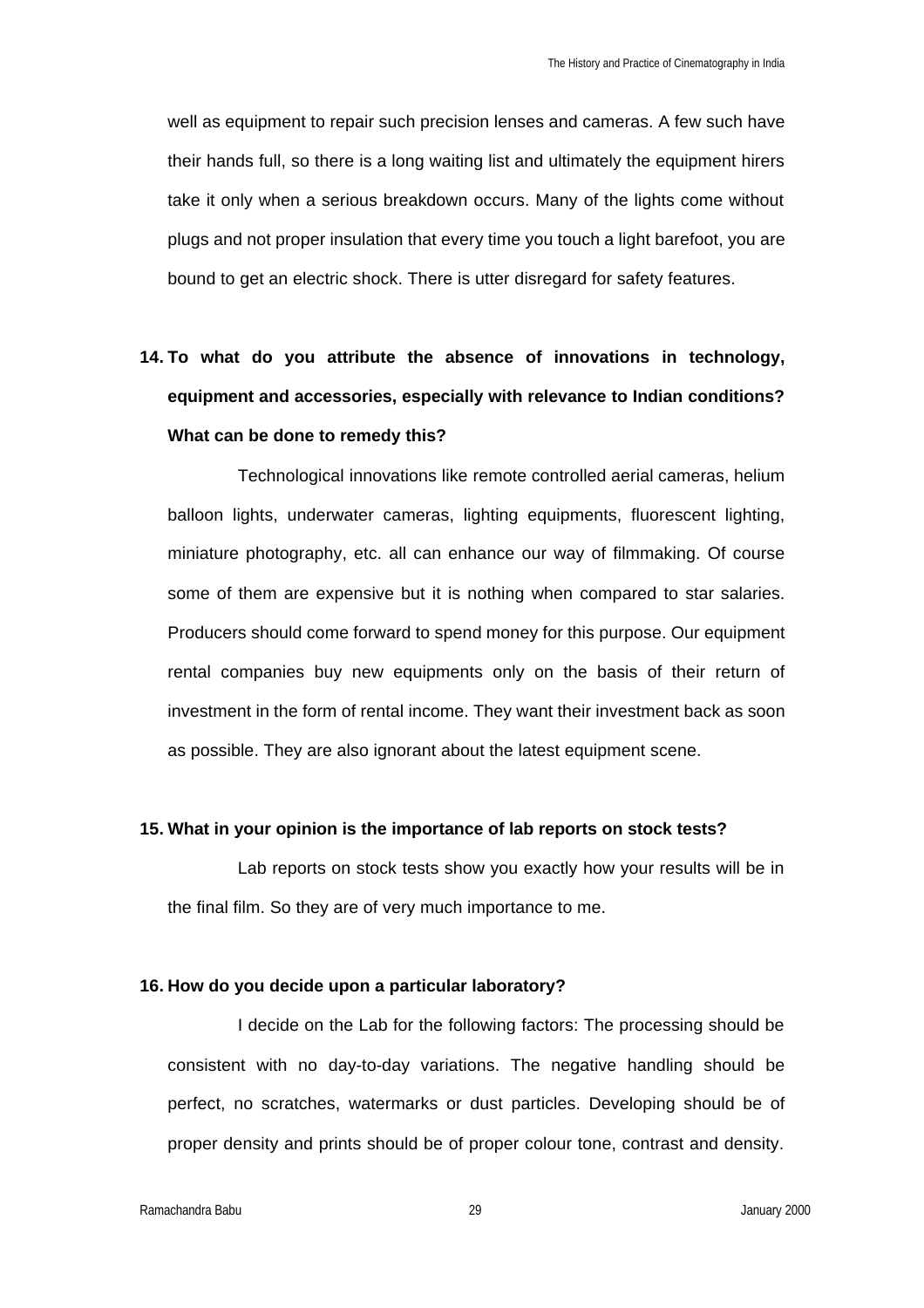well as equipment to repair such precision lenses and cameras. A few such have their hands full, so there is a long waiting list and ultimately the equipment hirers take it only when a serious breakdown occurs. Many of the lights come without plugs and not proper insulation that every time you touch a light barefoot, you are bound to get an electric shock. There is utter disregard for safety features.

# **14. To what do you attribute the absence of innovations in technology, equipment and accessories, especially with relevance to Indian conditions? What can be done to remedy this?**

Technological innovations like remote controlled aerial cameras, helium balloon lights, underwater cameras, lighting equipments, fluorescent lighting, miniature photography, etc. all can enhance our way of filmmaking. Of course some of them are expensive but it is nothing when compared to star salaries. Producers should come forward to spend money for this purpose. Our equipment rental companies buy new equipments only on the basis of their return of investment in the form of rental income. They want their investment back as soon as possible. They are also ignorant about the latest equipment scene.

#### **15. What in your opinion is the importance of lab reports on stock tests?**

Lab reports on stock tests show you exactly how your results will be in the final film. So they are of very much importance to me.

#### **16. How do you decide upon a particular laboratory?**

I decide on the Lab for the following factors: The processing should be consistent with no day-to-day variations. The negative handling should be perfect, no scratches, watermarks or dust particles. Developing should be of proper density and prints should be of proper colour tone, contrast and density.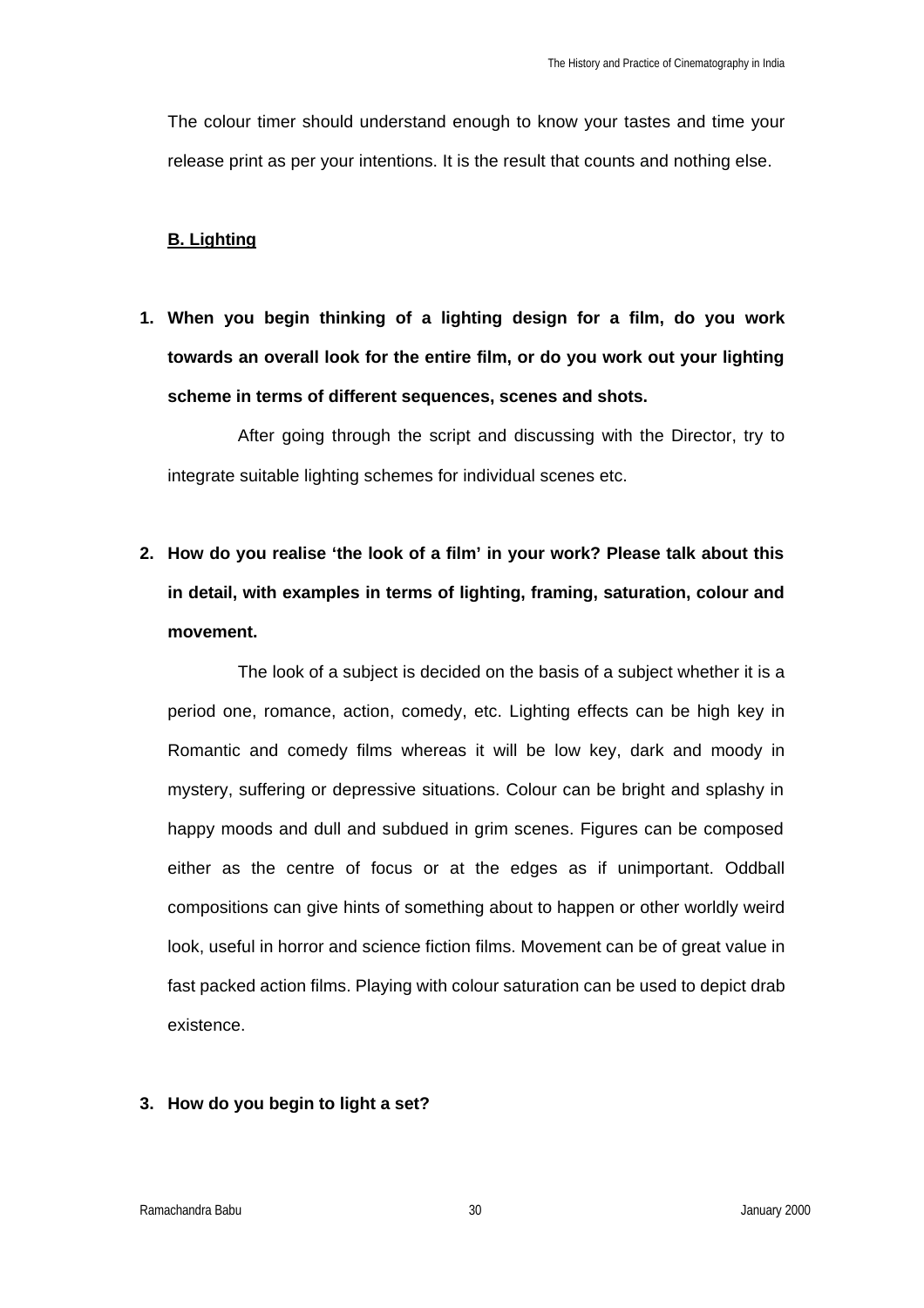The colour timer should understand enough to know your tastes and time your release print as per your intentions. It is the result that counts and nothing else.

#### **B. Lighting**

**1. When you begin thinking of a lighting design for a film, do you work towards an overall look for the entire film, or do you work out your lighting scheme in terms of different sequences, scenes and shots.** 

After going through the script and discussing with the Director, try to integrate suitable lighting schemes for individual scenes etc.

**2. How do you realise 'the look of a film' in your work? Please talk about this in detail, with examples in terms of lighting, framing, saturation, colour and movement.**

The look of a subject is decided on the basis of a subject whether it is a period one, romance, action, comedy, etc. Lighting effects can be high key in Romantic and comedy films whereas it will be low key, dark and moody in mystery, suffering or depressive situations. Colour can be bright and splashy in happy moods and dull and subdued in grim scenes. Figures can be composed either as the centre of focus or at the edges as if unimportant. Oddball compositions can give hints of something about to happen or other worldly weird look, useful in horror and science fiction films. Movement can be of great value in fast packed action films. Playing with colour saturation can be used to depict drab existence.

#### **3. How do you begin to light a set?**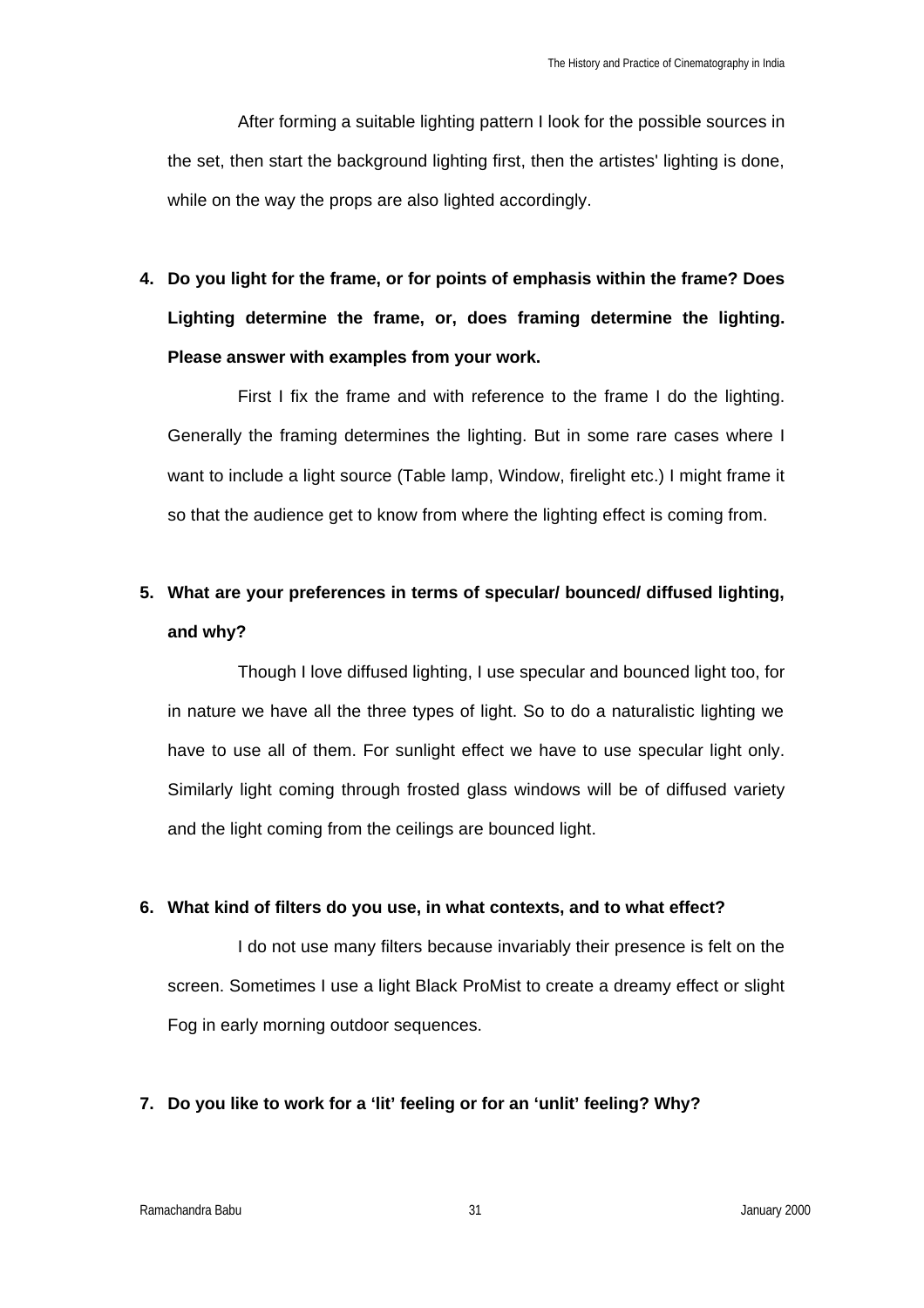After forming a suitable lighting pattern I look for the possible sources in the set, then start the background lighting first, then the artistes' lighting is done, while on the way the props are also lighted accordingly.

**4. Do you light for the frame, or for points of emphasis within the frame? Does Lighting determine the frame, or, does framing determine the lighting. Please answer with examples from your work.**

First I fix the frame and with reference to the frame I do the lighting. Generally the framing determines the lighting. But in some rare cases where I want to include a light source (Table lamp, Window, firelight etc.) I might frame it so that the audience get to know from where the lighting effect is coming from.

### **5. What are your preferences in terms of specular/ bounced/ diffused lighting, and why?**

Though I love diffused lighting, I use specular and bounced light too, for in nature we have all the three types of light. So to do a naturalistic lighting we have to use all of them. For sunlight effect we have to use specular light only. Similarly light coming through frosted glass windows will be of diffused variety and the light coming from the ceilings are bounced light.

#### **6. What kind of filters do you use, in what contexts, and to what effect?**

I do not use many filters because invariably their presence is felt on the screen. Sometimes I use a light Black ProMist to create a dreamy effect or slight Fog in early morning outdoor sequences.

#### **7. Do you like to work for a 'lit' feeling or for an 'unlit' feeling? Why?**

Ramachandra Babu 31 January 2000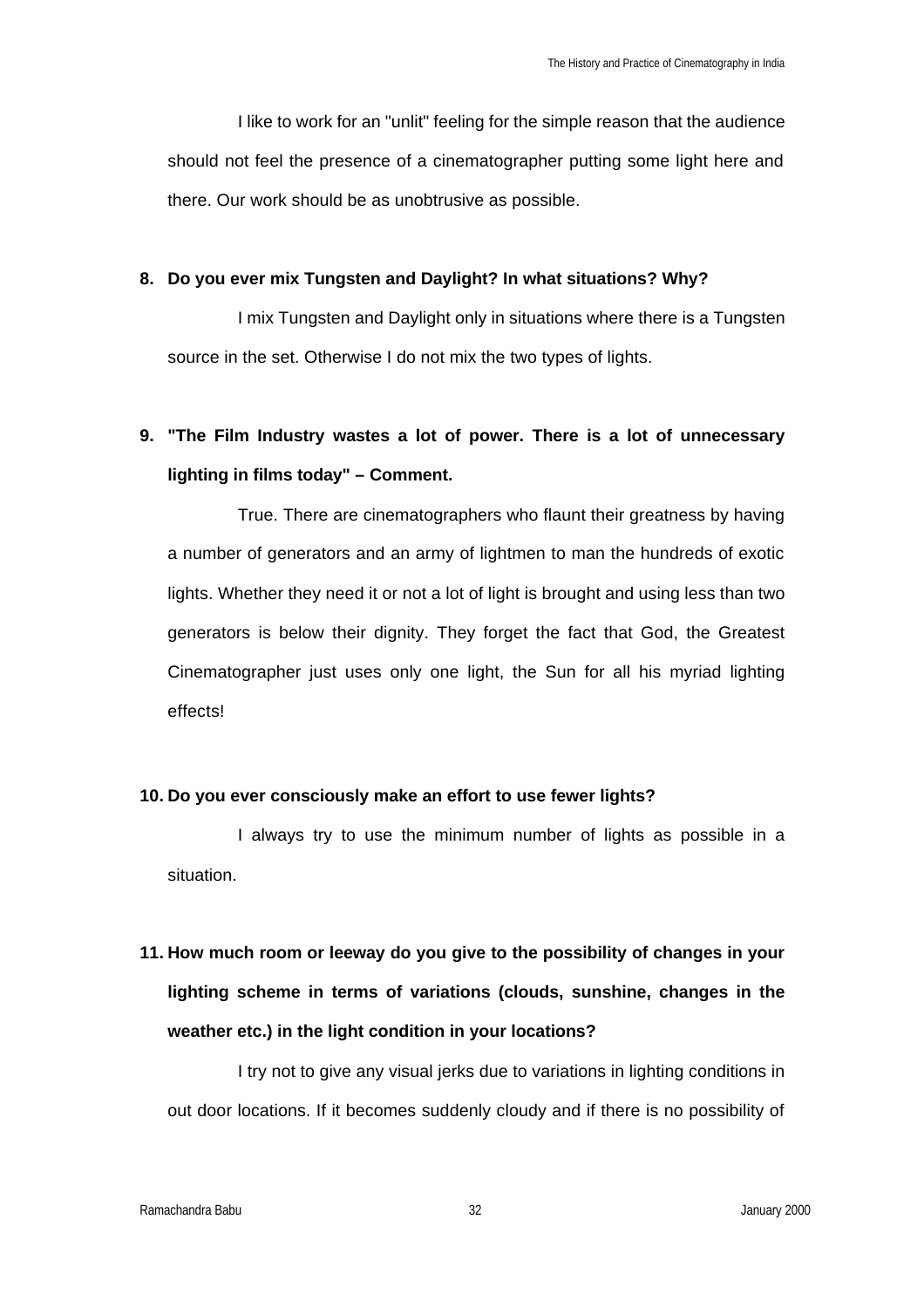I like to work for an "unlit" feeling for the simple reason that the audience should not feel the presence of a cinematographer putting some light here and there. Our work should be as unobtrusive as possible.

#### **8. Do you ever mix Tungsten and Daylight? In what situations? Why?**

I mix Tungsten and Daylight only in situations where there is a Tungsten source in the set. Otherwise I do not mix the two types of lights.

## **9. "The Film Industry wastes a lot of power. There is a lot of unnecessary lighting in films today" – Comment.**

True. There are cinematographers who flaunt their greatness by having a number of generators and an army of lightmen to man the hundreds of exotic lights. Whether they need it or not a lot of light is brought and using less than two generators is below their dignity. They forget the fact that God, the Greatest Cinematographer just uses only one light, the Sun for all his myriad lighting effects!

#### **10. Do you ever consciously make an effort to use fewer lights?**

I always try to use the minimum number of lights as possible in a situation.

# **11. How much room or leeway do you give to the possibility of changes in your lighting scheme in terms of variations (clouds, sunshine, changes in the weather etc.) in the light condition in your locations?**

I try not to give any visual jerks due to variations in lighting conditions in out door locations. If it becomes suddenly cloudy and if there is no possibility of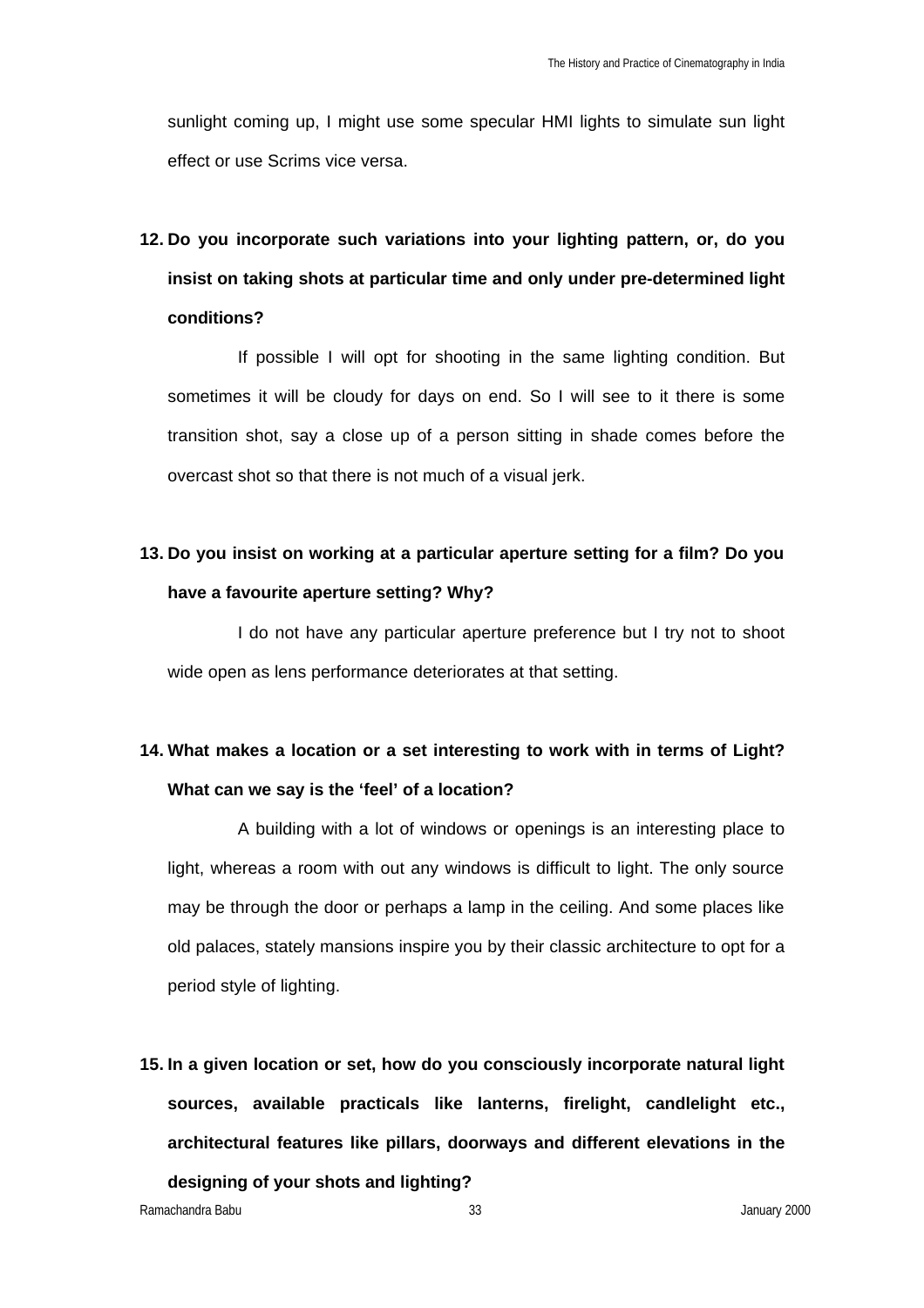sunlight coming up, I might use some specular HMI lights to simulate sun light effect or use Scrims vice versa.

# **12. Do you incorporate such variations into your lighting pattern, or, do you insist on taking shots at particular time and only under pre-determined light conditions?**

If possible I will opt for shooting in the same lighting condition. But sometimes it will be cloudy for days on end. So I will see to it there is some transition shot, say a close up of a person sitting in shade comes before the overcast shot so that there is not much of a visual jerk.

## **13. Do you insist on working at a particular aperture setting for a film? Do you have a favourite aperture setting? Why?**

I do not have any particular aperture preference but I try not to shoot wide open as lens performance deteriorates at that setting.

### **14. What makes a location or a set interesting to work with in terms of Light? What can we say is the 'feel' of a location?**

A building with a lot of windows or openings is an interesting place to light, whereas a room with out any windows is difficult to light. The only source may be through the door or perhaps a lamp in the ceiling. And some places like old palaces, stately mansions inspire you by their classic architecture to opt for a period style of lighting.

**15. In a given location or set, how do you consciously incorporate natural light sources, available practicals like lanterns, firelight, candlelight etc., architectural features like pillars, doorways and different elevations in the designing of your shots and lighting?**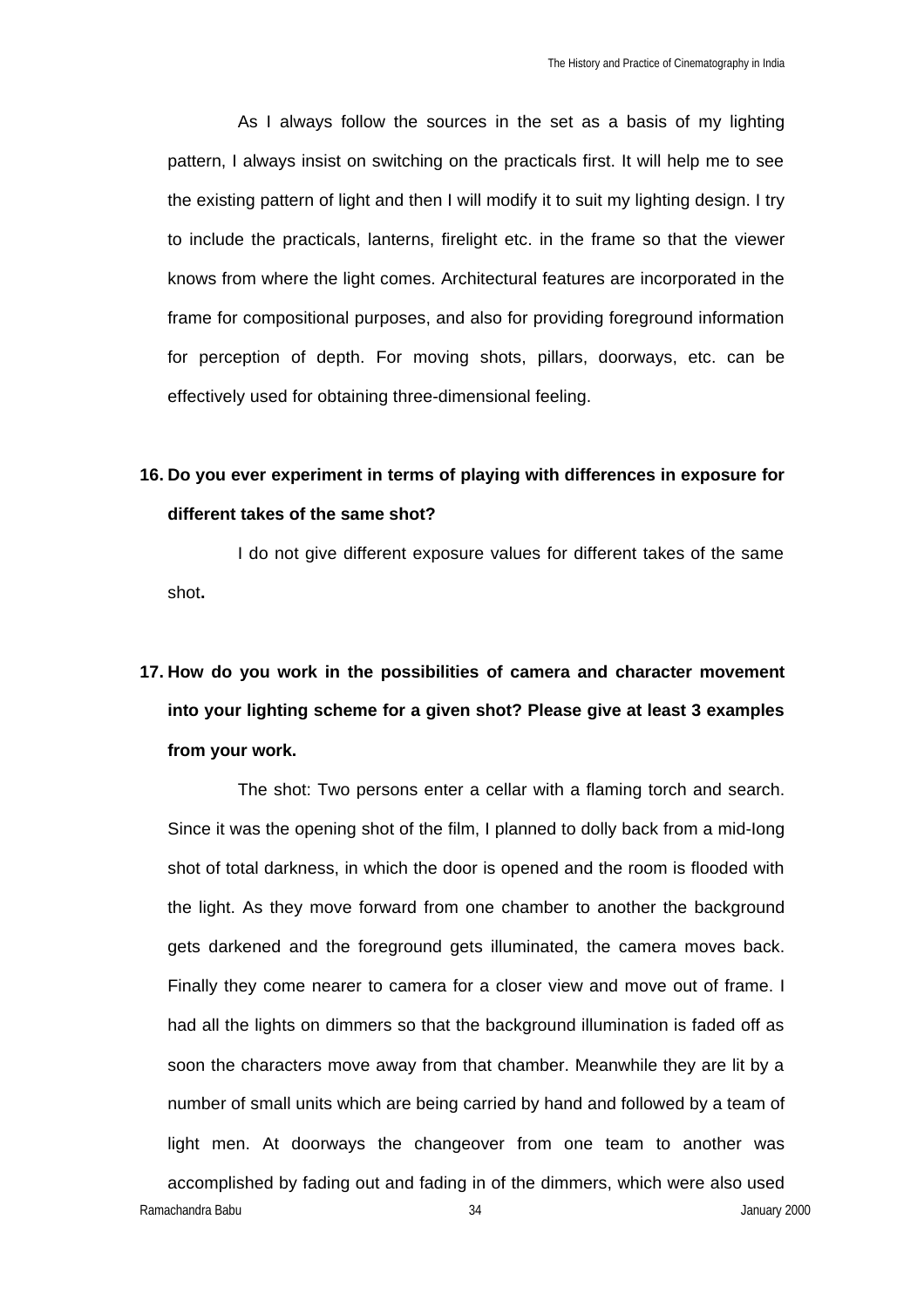As I always follow the sources in the set as a basis of my lighting pattern, I always insist on switching on the practicals first. It will help me to see the existing pattern of light and then I will modify it to suit my lighting design. I try to include the practicals, lanterns, firelight etc. in the frame so that the viewer knows from where the light comes. Architectural features are incorporated in the frame for compositional purposes, and also for providing foreground information for perception of depth. For moving shots, pillars, doorways, etc. can be effectively used for obtaining three-dimensional feeling.

## **16. Do you ever experiment in terms of playing with differences in exposure for different takes of the same shot?**

I do not give different exposure values for different takes of the same shot**.**

# **17. How do you work in the possibilities of camera and character movement into your lighting scheme for a given shot? Please give at least 3 examples from your work.**

Ramachandra Babu 34 January 2000 The shot: Two persons enter a cellar with a flaming torch and search. Since it was the opening shot of the film, I planned to dolly back from a mid-Iong shot of total darkness, in which the door is opened and the room is flooded with the light. As they move forward from one chamber to another the background gets darkened and the foreground gets illuminated, the camera moves back. Finally they come nearer to camera for a closer view and move out of frame. I had all the lights on dimmers so that the background illumination is faded off as soon the characters move away from that chamber. Meanwhile they are lit by a number of small units which are being carried by hand and followed by a team of light men. At doorways the changeover from one team to another was accomplished by fading out and fading in of the dimmers, which were also used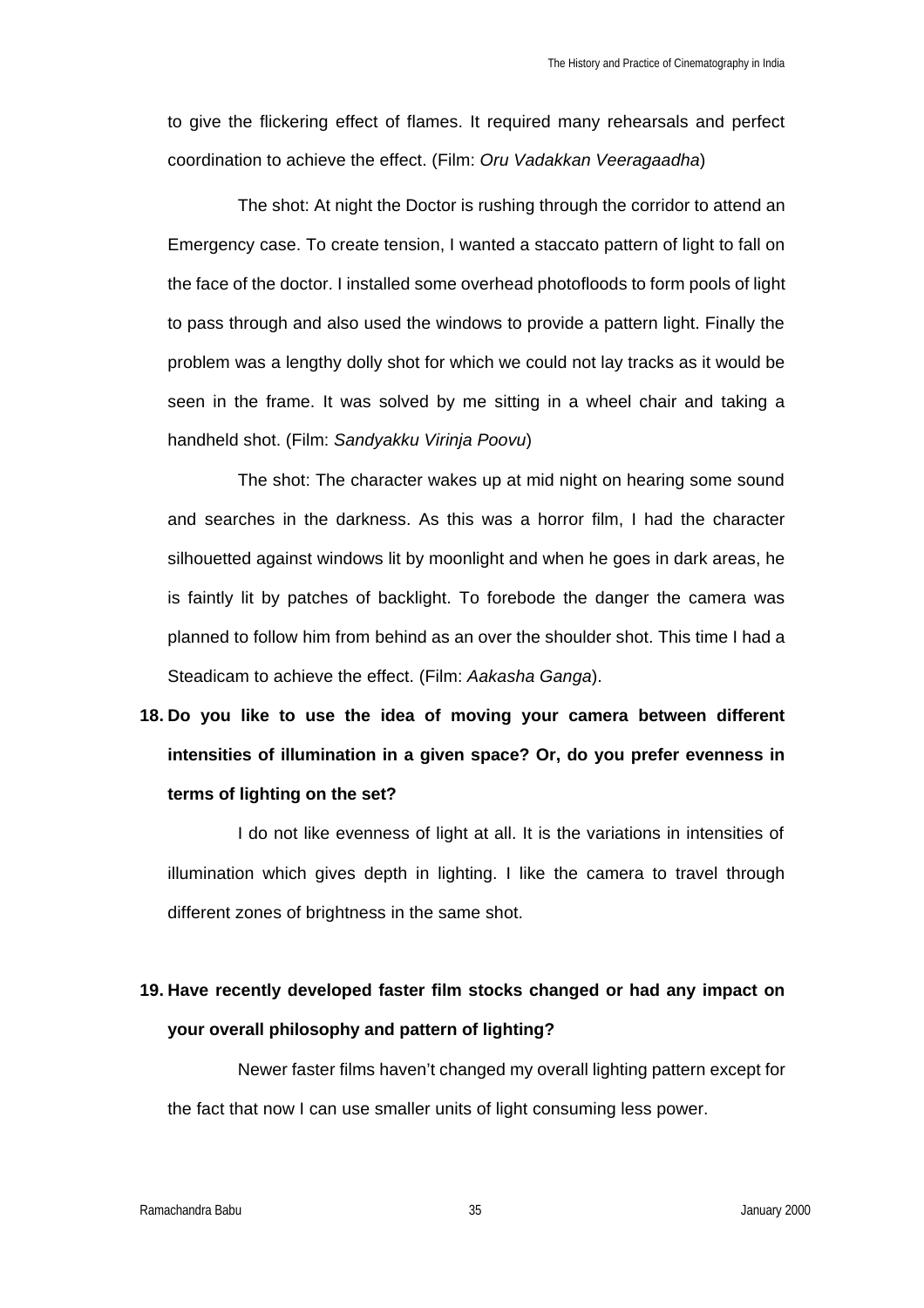to give the flickering effect of flames. It required many rehearsals and perfect coordination to achieve the effect. (Film: *Oru Vadakkan Veeragaadha*)

The shot: At night the Doctor is rushing through the corridor to attend an Emergency case. To create tension, I wanted a staccato pattern of light to fall on the face of the doctor. I installed some overhead photofloods to form pools of light to pass through and also used the windows to provide a pattern light. Finally the problem was a lengthy dolly shot for which we could not lay tracks as it would be seen in the frame. It was solved by me sitting in a wheel chair and taking a handheld shot. (Film: *Sandyakku Virinja Poovu*)

The shot: The character wakes up at mid night on hearing some sound and searches in the darkness. As this was a horror film, I had the character silhouetted against windows lit by moonlight and when he goes in dark areas, he is faintly lit by patches of backlight. To forebode the danger the camera was planned to follow him from behind as an over the shoulder shot. This time I had a Steadicam to achieve the effect. (Film: *Aakasha Ganga*).

**18. Do you like to use the idea of moving your camera between different intensities of illumination in a given space? Or, do you prefer evenness in terms of lighting on the set?**

I do not like evenness of light at all. It is the variations in intensities of illumination which gives depth in lighting. I like the camera to travel through different zones of brightness in the same shot.

### **19. Have recently developed faster film stocks changed or had any impact on your overall philosophy and pattern of lighting?**

Newer faster films haven't changed my overall lighting pattern except for the fact that now I can use smaller units of light consuming less power.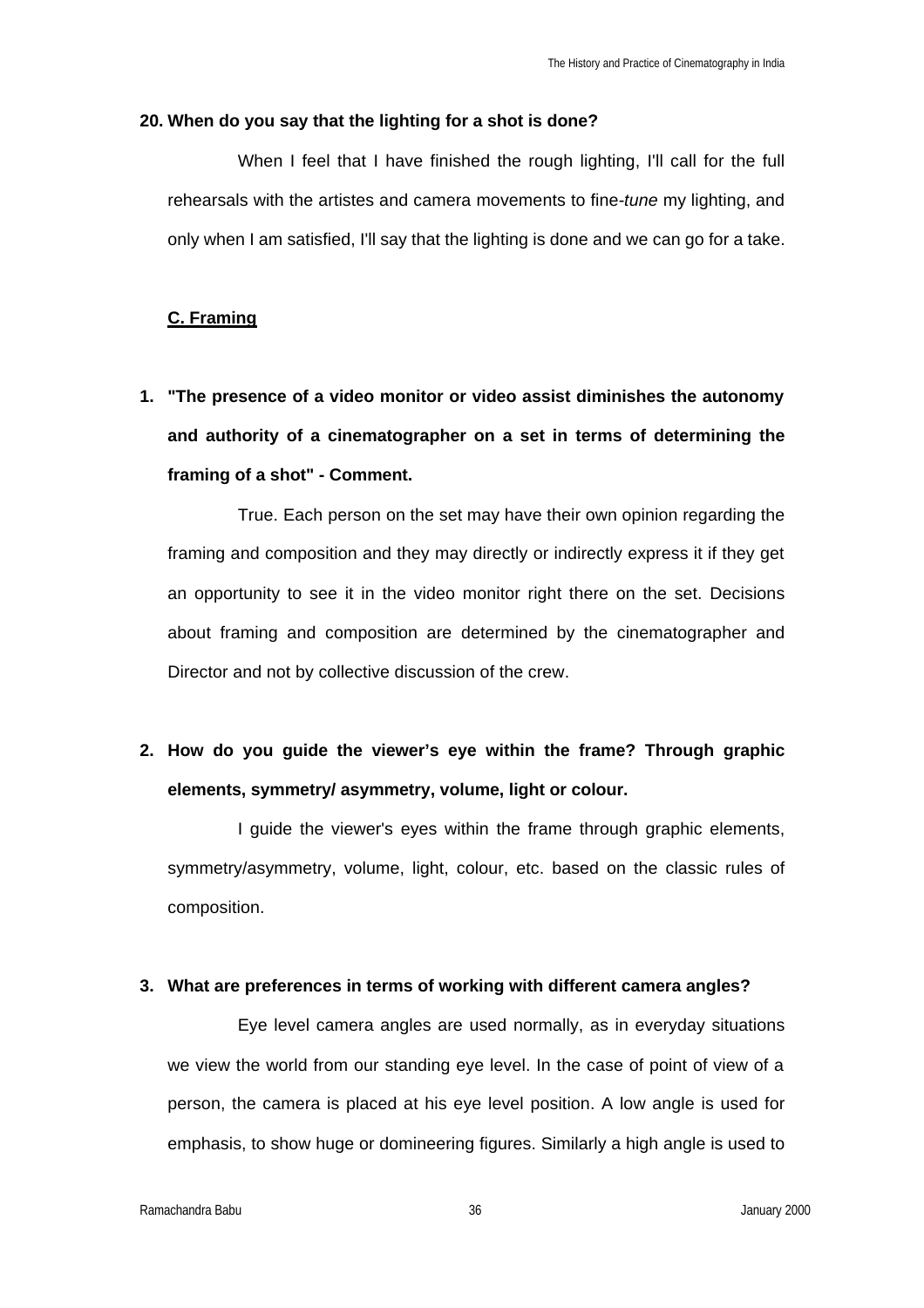#### **20. When do you say that the lighting for a shot is done?**

When I feel that I have finished the rough lighting, I'll call for the full rehearsals with the artistes and camera movements to fine*-tune* my lighting, and only when I am satisfied, I'll say that the lighting is done and we can go for a take.

#### **C. Framing**

**1. "The presence of a video monitor or video assist diminishes the autonomy and authority of a cinematographer on a set in terms of determining the framing of a shot" - Comment.**

True. Each person on the set may have their own opinion regarding the framing and composition and they may directly or indirectly express it if they get an opportunity to see it in the video monitor right there on the set. Decisions about framing and composition are determined by the cinematographer and Director and not by collective discussion of the crew.

**2. How do you guide the viewer's eye within the frame? Through graphic elements, symmetry/ asymmetry, volume, light or colour.**

I guide the viewer's eyes within the frame through graphic elements, symmetry/asymmetry, volume, light, colour, etc. based on the classic rules of composition.

#### **3. What are preferences in terms of working with different camera angles?**

Eye level camera angles are used normally, as in everyday situations we view the world from our standing eye level. In the case of point of view of a person, the camera is placed at his eye level position. A low angle is used for emphasis, to show huge or domineering figures. Similarly a high angle is used to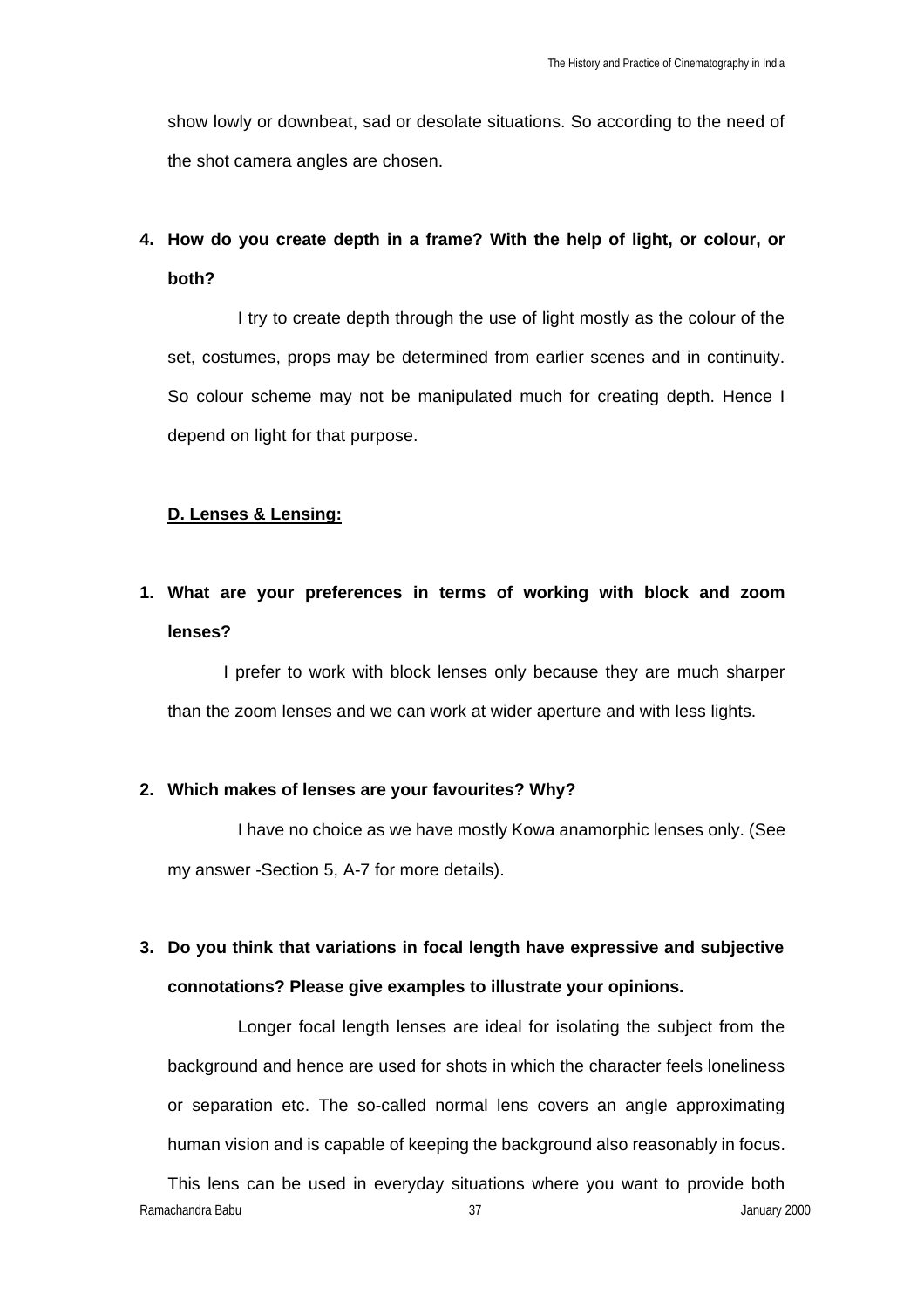show lowly or downbeat, sad or desolate situations. So according to the need of the shot camera angles are chosen.

### **4. How do you create depth in a frame? With the help of light, or colour, or both?**

I try to create depth through the use of light mostly as the colour of the set, costumes, props may be determined from earlier scenes and in continuity. So colour scheme may not be manipulated much for creating depth. Hence I depend on light for that purpose.

#### **D. Lenses & Lensing:**

### **1. What are your preferences in terms of working with block and zoom lenses?**

I prefer to work with block lenses only because they are much sharper than the zoom lenses and we can work at wider aperture and with less lights.

#### **2. Which makes of lenses are your favourites? Why?**

I have no choice as we have mostly Kowa anamorphic lenses only. (See my answer -Section 5, A-7 for more details).

### **3. Do you think that variations in focal length have expressive and subjective connotations? Please give examples to illustrate your opinions.**

Longer focal length lenses are ideal for isolating the subject from the background and hence are used for shots in which the character feels loneliness or separation etc. The so-called normal lens covers an angle approximating human vision and is capable of keeping the background also reasonably in focus.

Ramachandra Babu 37 January 2000 This lens can be used in everyday situations where you want to provide both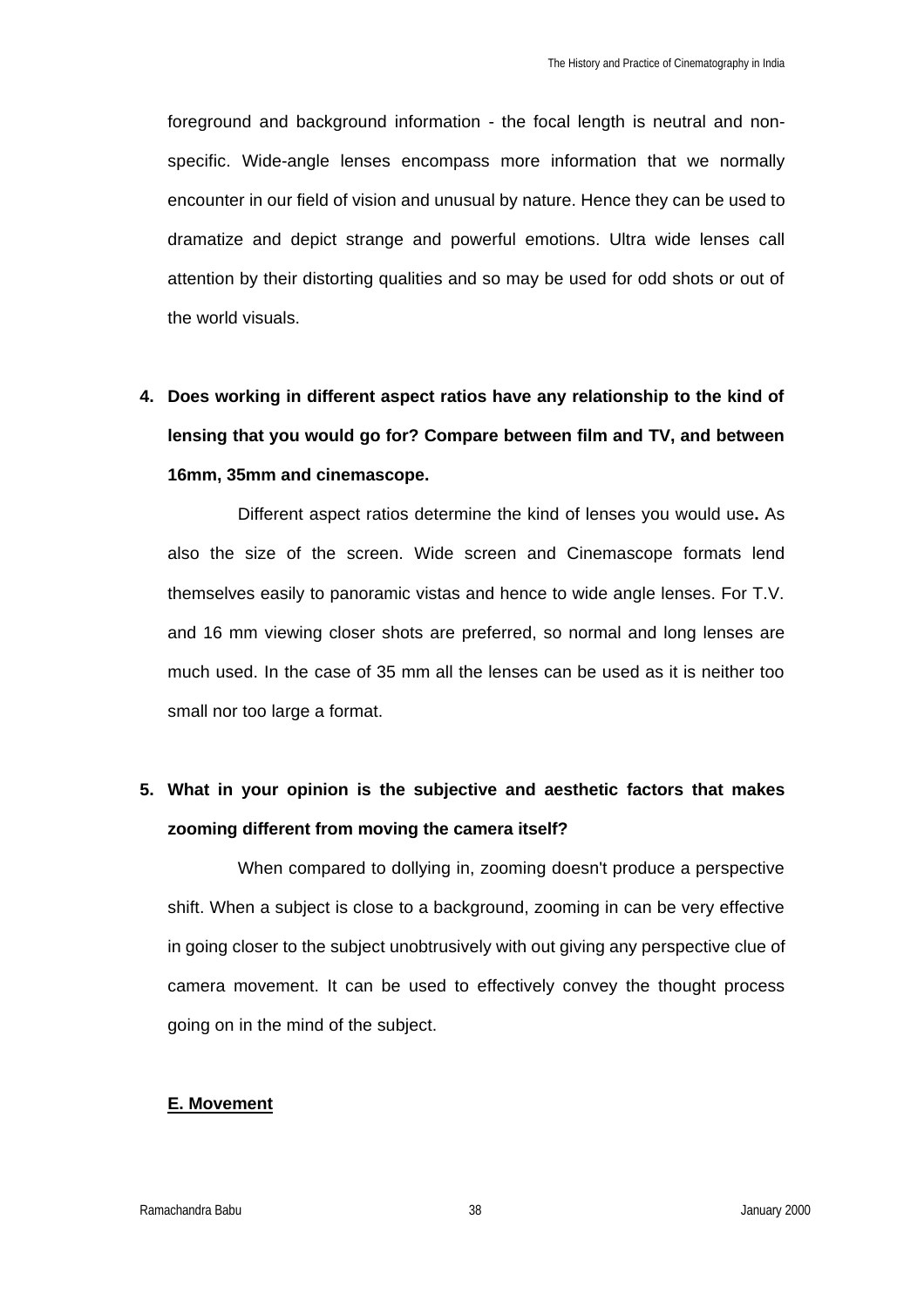foreground and background information - the focal length is neutral and nonspecific. Wide-angle lenses encompass more information that we normally encounter in our field of vision and unusual by nature. Hence they can be used to dramatize and depict strange and powerful emotions. Ultra wide lenses call attention by their distorting qualities and so may be used for odd shots or out of the world visuals.

**4. Does working in different aspect ratios have any relationship to the kind of lensing that you would go for? Compare between film and TV, and between 16mm, 35mm and cinemascope.** 

Different aspect ratios determine the kind of lenses you would use**.** As also the size of the screen. Wide screen and Cinemascope formats lend themselves easily to panoramic vistas and hence to wide angle lenses. For T.V. and 16 mm viewing closer shots are preferred, so normal and long lenses are much used. In the case of 35 mm all the lenses can be used as it is neither too small nor too large a format.

### **5. What in your opinion is the subjective and aesthetic factors that makes zooming different from moving the camera itself?**

When compared to dollying in, zooming doesn't produce a perspective shift. When a subject is close to a background, zooming in can be very effective in going closer to the subject unobtrusively with out giving any perspective clue of camera movement. It can be used to effectively convey the thought process going on in the mind of the subject.

#### **E. Movement**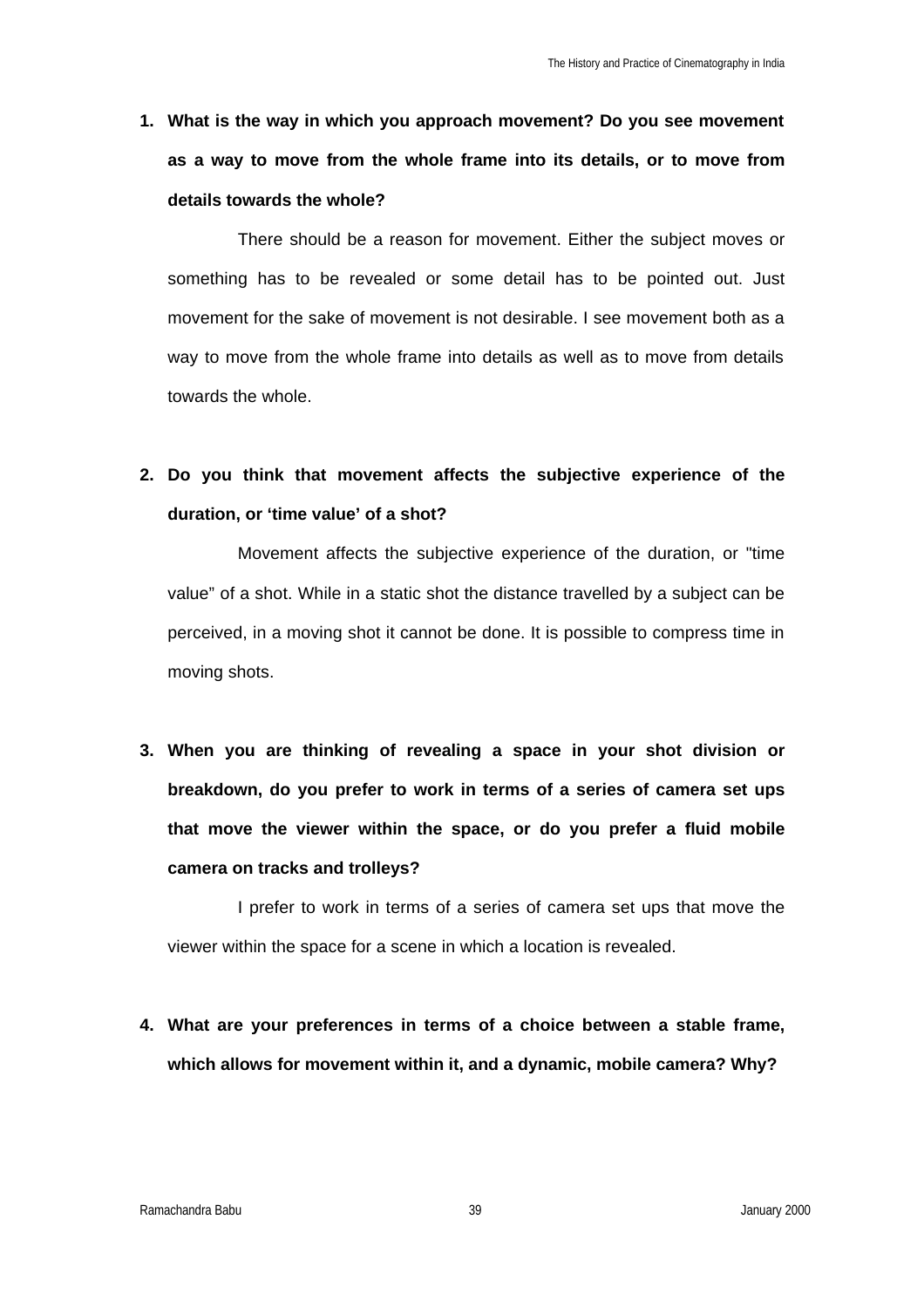**1. What is the way in which you approach movement? Do you see movement as a way to move from the whole frame into its details, or to move from details towards the whole?**

There should be a reason for movement. Either the subject moves or something has to be revealed or some detail has to be pointed out. Just movement for the sake of movement is not desirable. I see movement both as a way to move from the whole frame into details as well as to move from details towards the whole.

## **2. Do you think that movement affects the subjective experience of the duration, or 'time value' of a shot?**

Movement affects the subjective experience of the duration, or "time value" of a shot. While in a static shot the distance travelled by a subject can be perceived, in a moving shot it cannot be done. It is possible to compress time in moving shots.

**3. When you are thinking of revealing a space in your shot division or breakdown, do you prefer to work in terms of a series of camera set ups that move the viewer within the space, or do you prefer a fluid mobile camera on tracks and trolleys?**

I prefer to work in terms of a series of camera set ups that move the viewer within the space for a scene in which a location is revealed.

**4. What are your preferences in terms of a choice between a stable frame, which allows for movement within it, and a dynamic, mobile camera? Why?**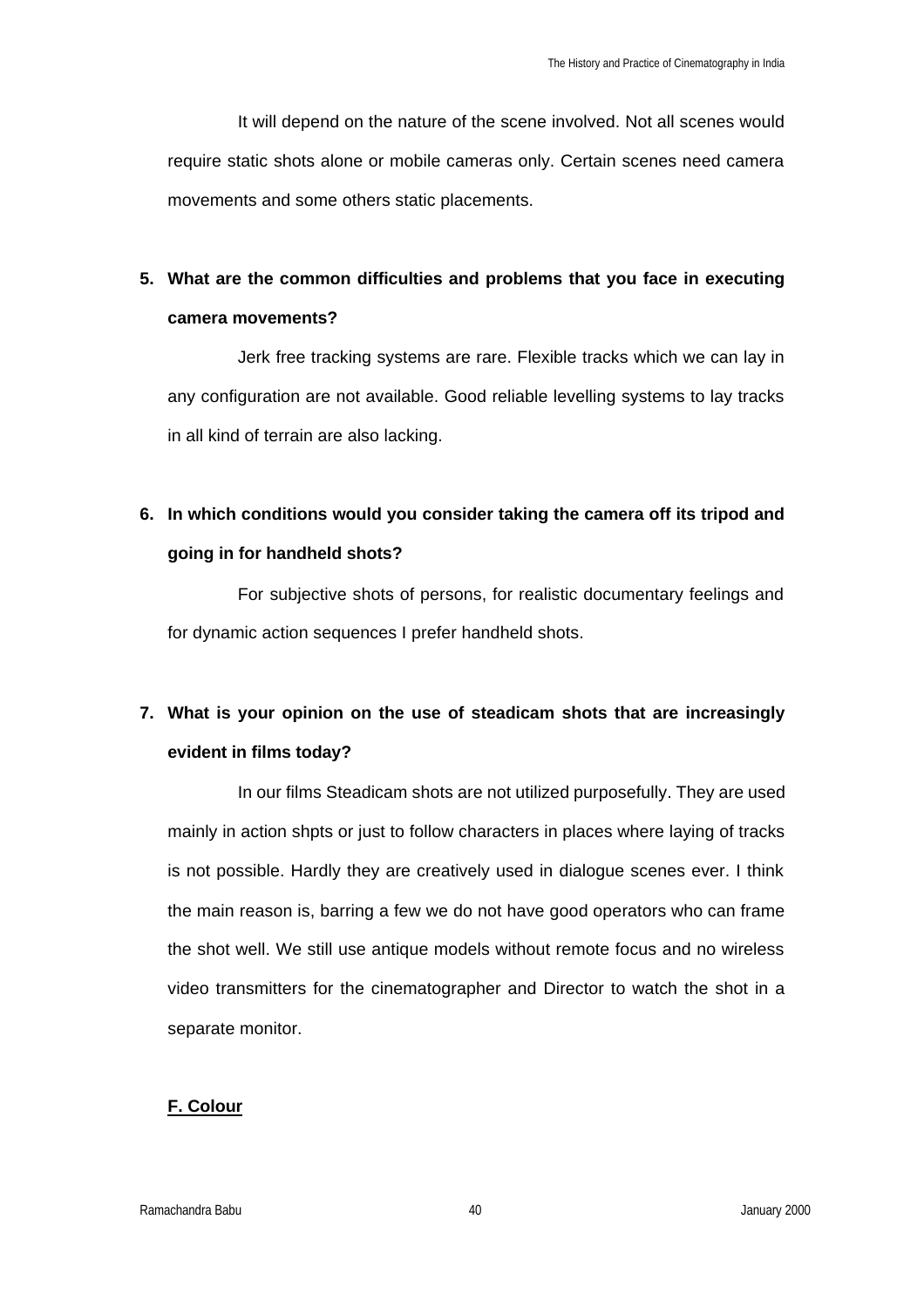It will depend on the nature of the scene involved. Not all scenes would require static shots alone or mobile cameras only. Certain scenes need camera movements and some others static placements.

### **5. What are the common difficulties and problems that you face in executing camera movements?**

Jerk free tracking systems are rare. Flexible tracks which we can lay in any configuration are not available. Good reliable levelling systems to lay tracks in all kind of terrain are also lacking.

### **6. In which conditions would you consider taking the camera off its tripod and going in for handheld shots?**

For subjective shots of persons, for realistic documentary feelings and for dynamic action sequences I prefer handheld shots.

### **7. What is your opinion on the use of steadicam shots that are increasingly evident in films today?**

In our films Steadicam shots are not utilized purposefully. They are used mainly in action shpts or just to follow characters in places where laying of tracks is not possible. Hardly they are creatively used in dialogue scenes ever. I think the main reason is, barring a few we do not have good operators who can frame the shot well. We still use antique models without remote focus and no wireless video transmitters for the cinematographer and Director to watch the shot in a separate monitor.

#### **F. Colour**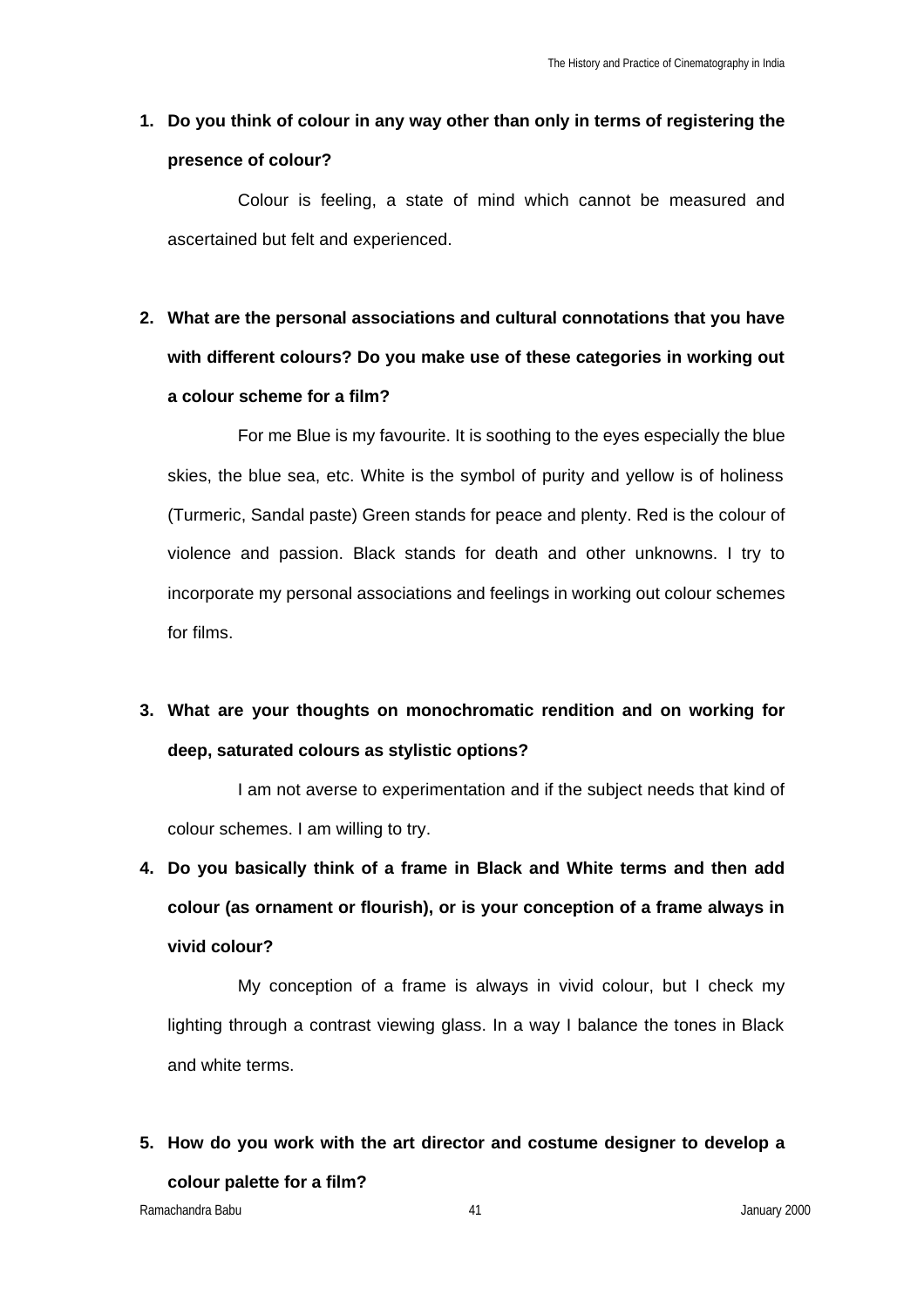### **1. Do you think of colour in any way other than only in terms of registering the presence of colour?**

Colour is feeling, a state of mind which cannot be measured and ascertained but felt and experienced.

# **2. What are the personal associations and cultural connotations that you have with different colours? Do you make use of these categories in working out a colour scheme for a film?**

For me Blue is my favourite. It is soothing to the eyes especially the blue skies, the blue sea, etc. White is the symbol of purity and yellow is of holiness (Turmeric, Sandal paste) Green stands for peace and plenty. Red is the colour of violence and passion. Black stands for death and other unknowns. I try to incorporate my personal associations and feelings in working out colour schemes for films.

## **3. What are your thoughts on monochromatic rendition and on working for deep, saturated colours as stylistic options?**

I am not averse to experimentation and if the subject needs that kind of colour schemes. I am willing to try.

**4. Do you basically think of a frame in Black and White terms and then add colour (as ornament or flourish), or is your conception of a frame always in vivid colour?**

My conception of a frame is always in vivid colour, but I check my lighting through a contrast viewing glass. In a way I balance the tones in Black and white terms.

**5. How do you work with the art director and costume designer to develop a colour palette for a film?**

Ramachandra Babu 41 January 2000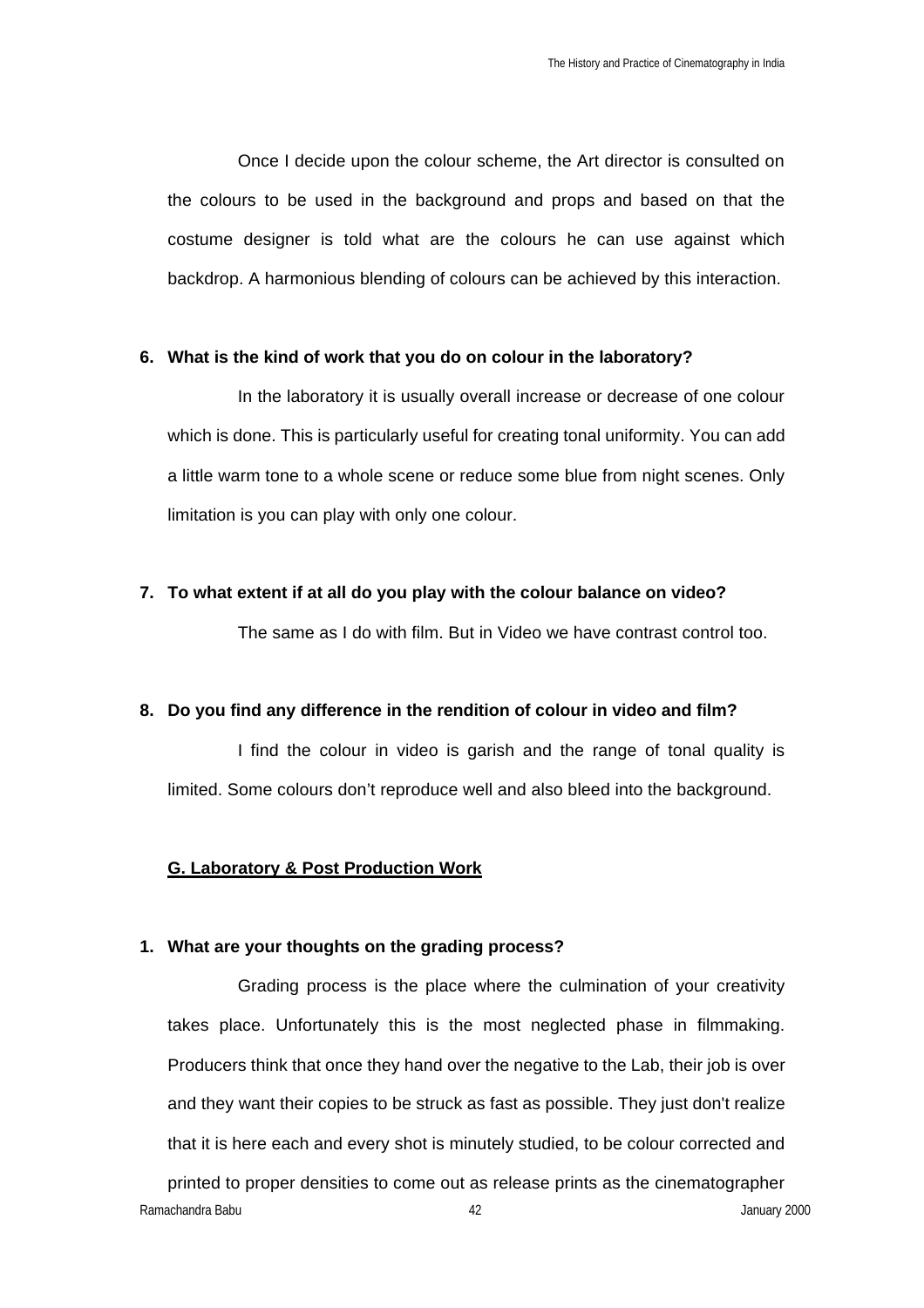Once I decide upon the colour scheme, the Art director is consulted on the colours to be used in the background and props and based on that the costume designer is told what are the colours he can use against which backdrop. A harmonious blending of colours can be achieved by this interaction.

#### **6. What is the kind of work that you do on colour in the laboratory?**

In the laboratory it is usually overall increase or decrease of one colour which is done. This is particularly useful for creating tonal uniformity. You can add a little warm tone to a whole scene or reduce some blue from night scenes. Only limitation is you can play with only one colour.

#### **7. To what extent if at all do you play with the colour balance on video?**

The same as I do with film. But in Video we have contrast control too.

#### **8. Do you find any difference in the rendition of colour in video and film?**

I find the colour in video is garish and the range of tonal quality is limited. Some colours don't reproduce well and also bleed into the background.

#### **G. Laboratory & Post Production Work**

#### **1. What are your thoughts on the grading process?**

Ramachandra Babu 42 January 2000 Grading process is the place where the culmination of your creativity takes place. Unfortunately this is the most neglected phase in filmmaking. Producers think that once they hand over the negative to the Lab, their job is over and they want their copies to be struck as fast as possible. They just don't realize that it is here each and every shot is minutely studied, to be colour corrected and printed to proper densities to come out as release prints as the cinematographer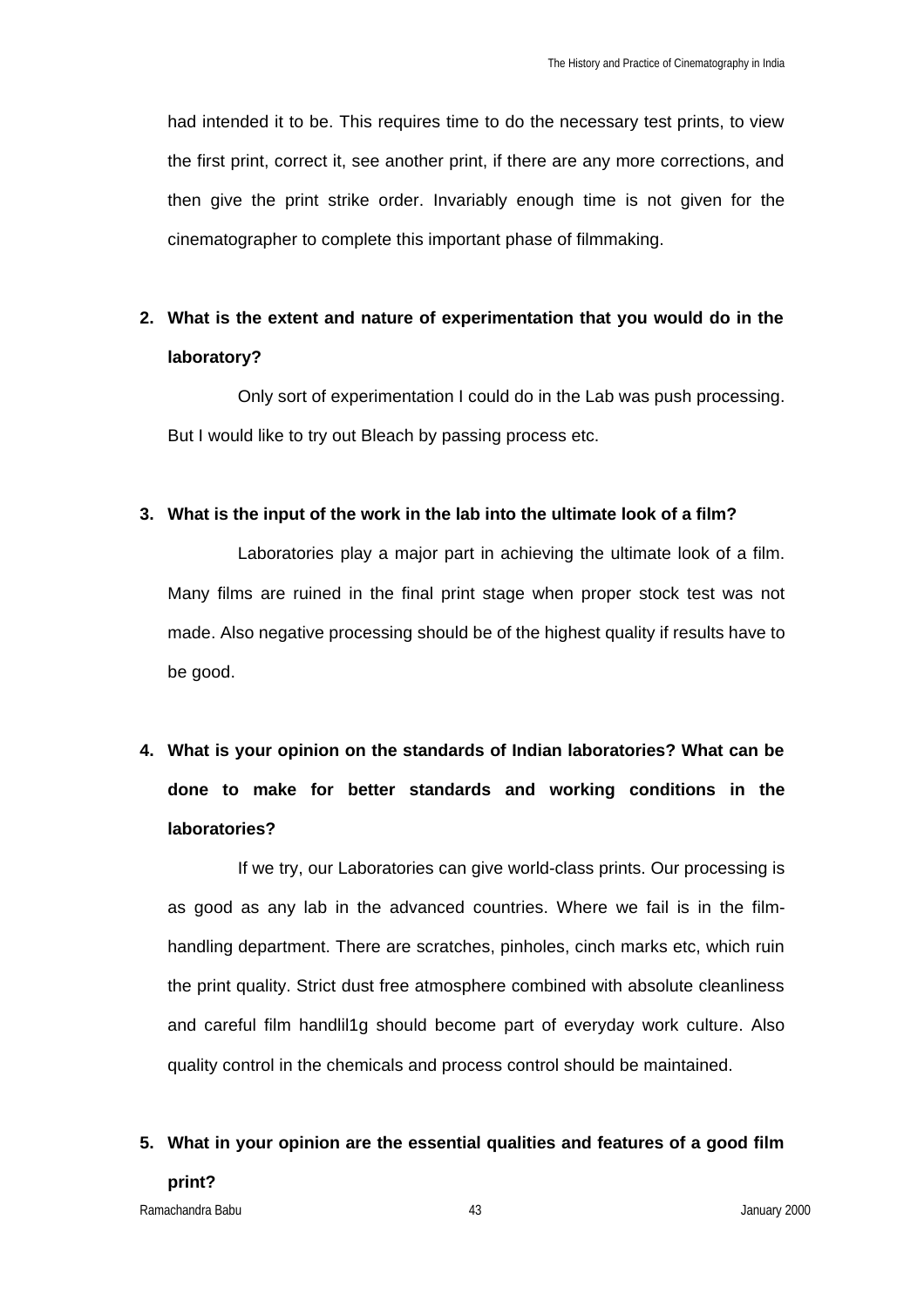had intended it to be. This requires time to do the necessary test prints, to view the first print, correct it, see another print, if there are any more corrections, and then give the print strike order. Invariably enough time is not given for the cinematographer to complete this important phase of filmmaking.

### **2. What is the extent and nature of experimentation that you would do in the laboratory?**

Only sort of experimentation I could do in the Lab was push processing. But I would like to try out Bleach by passing process etc.

#### **3. What is the input of the work in the lab into the ultimate look of a film?**

Laboratories play a major part in achieving the ultimate look of a film. Many films are ruined in the final print stage when proper stock test was not made. Also negative processing should be of the highest quality if results have to be good.

# **4. What is your opinion on the standards of Indian laboratories? What can be done to make for better standards and working conditions in the laboratories?**

If we try, our Laboratories can give world-class prints. Our processing is as good as any lab in the advanced countries. Where we fail is in the filmhandling department. There are scratches, pinholes, cinch marks etc, which ruin the print quality. Strict dust free atmosphere combined with absolute cleanliness and careful film handlil1g should become part of everyday work culture. Also quality control in the chemicals and process control should be maintained.

# **5. What in your opinion are the essential qualities and features of a good film print?**

Ramachandra Babu 43 January 2000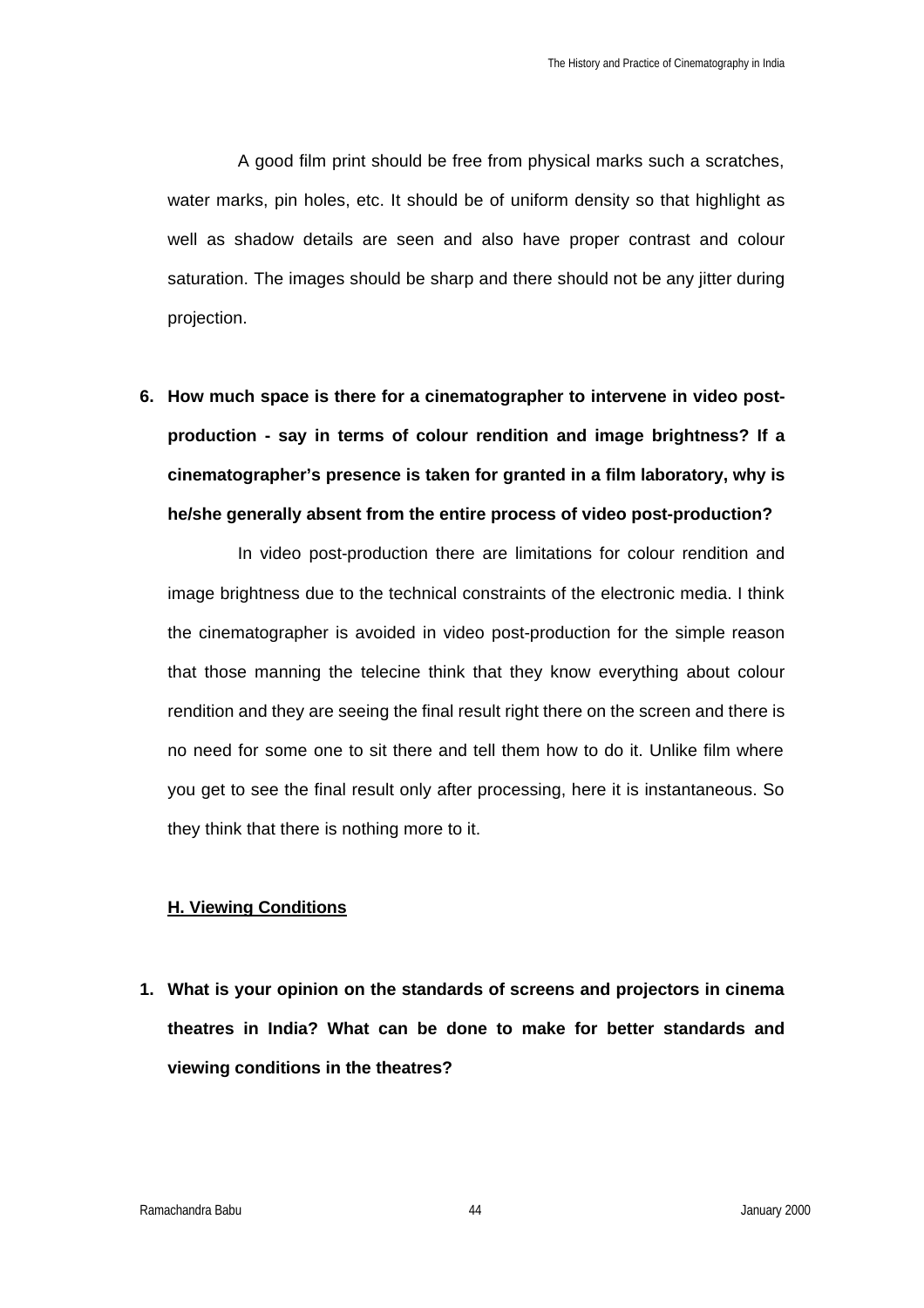A good film print should be free from physical marks such a scratches, water marks, pin holes, etc. It should be of uniform density so that highlight as well as shadow details are seen and also have proper contrast and colour saturation. The images should be sharp and there should not be any jitter during projection.

**6. How much space is there for a cinematographer to intervene in video postproduction - say in terms of colour rendition and image brightness? If a cinematographer's presence is taken for granted in a film laboratory, why is he/she generally absent from the entire process of video post-production?**

In video post-production there are limitations for colour rendition and image brightness due to the technical constraints of the electronic media. I think the cinematographer is avoided in video post-production for the simple reason that those manning the telecine think that they know everything about colour rendition and they are seeing the final result right there on the screen and there is no need for some one to sit there and tell them how to do it. Unlike film where you get to see the final result only after processing, here it is instantaneous. So they think that there is nothing more to it.

#### **H. Viewing Conditions**

**1. What is your opinion on the standards of screens and projectors in cinema theatres in India? What can be done to make for better standards and viewing conditions in the theatres?**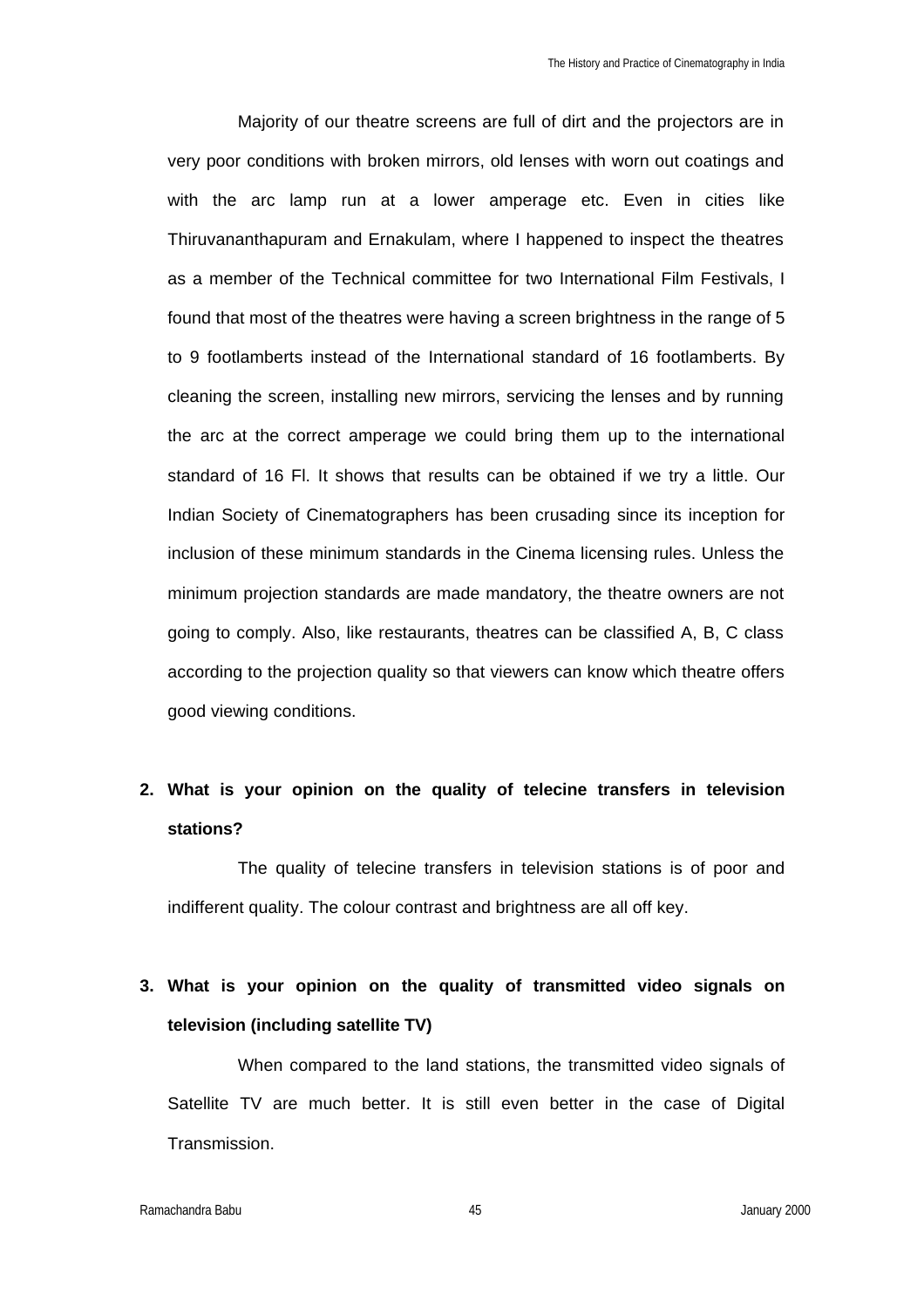Majority of our theatre screens are full of dirt and the projectors are in very poor conditions with broken mirrors, old lenses with worn out coatings and with the arc lamp run at a lower amperage etc. Even in cities like Thiruvananthapuram and Ernakulam, where I happened to inspect the theatres as a member of the Technical committee for two International Film Festivals, I found that most of the theatres were having a screen brightness in the range of 5 to 9 footlamberts instead of the International standard of 16 footlamberts. By cleaning the screen, installing new mirrors, servicing the lenses and by running the arc at the correct amperage we could bring them up to the international standard of 16 Fl. It shows that results can be obtained if we try a little. Our Indian Society of Cinematographers has been crusading since its inception for inclusion of these minimum standards in the Cinema licensing rules. Unless the minimum projection standards are made mandatory, the theatre owners are not going to comply. Also, like restaurants, theatres can be classified A, B, C class according to the projection quality so that viewers can know which theatre offers good viewing conditions.

### **2. What is your opinion on the quality of telecine transfers in television stations?**

The quality of telecine transfers in television stations is of poor and indifferent quality. The colour contrast and brightness are all off key.

### **3. What is your opinion on the quality of transmitted video signals on television (including satellite TV)**

When compared to the land stations, the transmitted video signals of Satellite TV are much better. It is still even better in the case of Digital Transmission.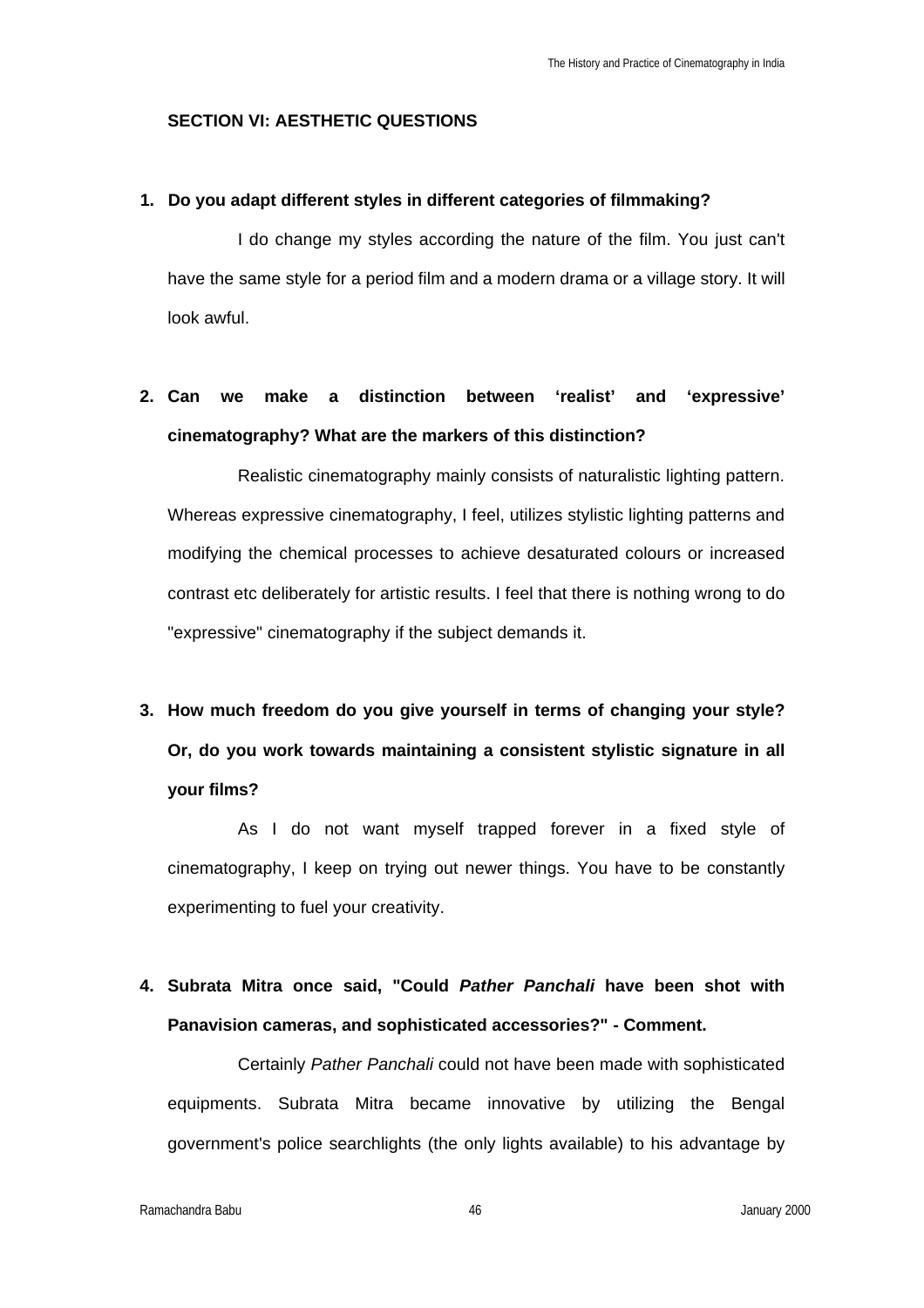#### **SECTION VI: AESTHETIC QUESTIONS**

#### **1. Do you adapt different styles in different categories of filmmaking?**

I do change my styles according the nature of the film. You just can't have the same style for a period film and a modern drama or a village story. It will look awful.

### **2. Can we make a distinction between 'realist' and 'expressive' cinematography? What are the markers of this distinction?**

Realistic cinematography mainly consists of naturalistic lighting pattern. Whereas expressive cinematography, I feel, utilizes stylistic lighting patterns and modifying the chemical processes to achieve desaturated colours or increased contrast etc deliberately for artistic results. I feel that there is nothing wrong to do "expressive" cinematography if the subject demands it.

# **3. How much freedom do you give yourself in terms of changing your style? Or, do you work towards maintaining a consistent stylistic signature in all your films?**

As I do not want myself trapped forever in a fixed style of cinematography, I keep on trying out newer things. You have to be constantly experimenting to fuel your creativity.

### **4. Subrata Mitra once said, "Could** *Pather Panchali* **have been shot with Panavision cameras, and sophisticated accessories?" - Comment.**

Certainly *Pather Panchali* could not have been made with sophisticated equipments. Subrata Mitra became innovative by utilizing the Bengal government's police searchlights (the only lights available) to his advantage by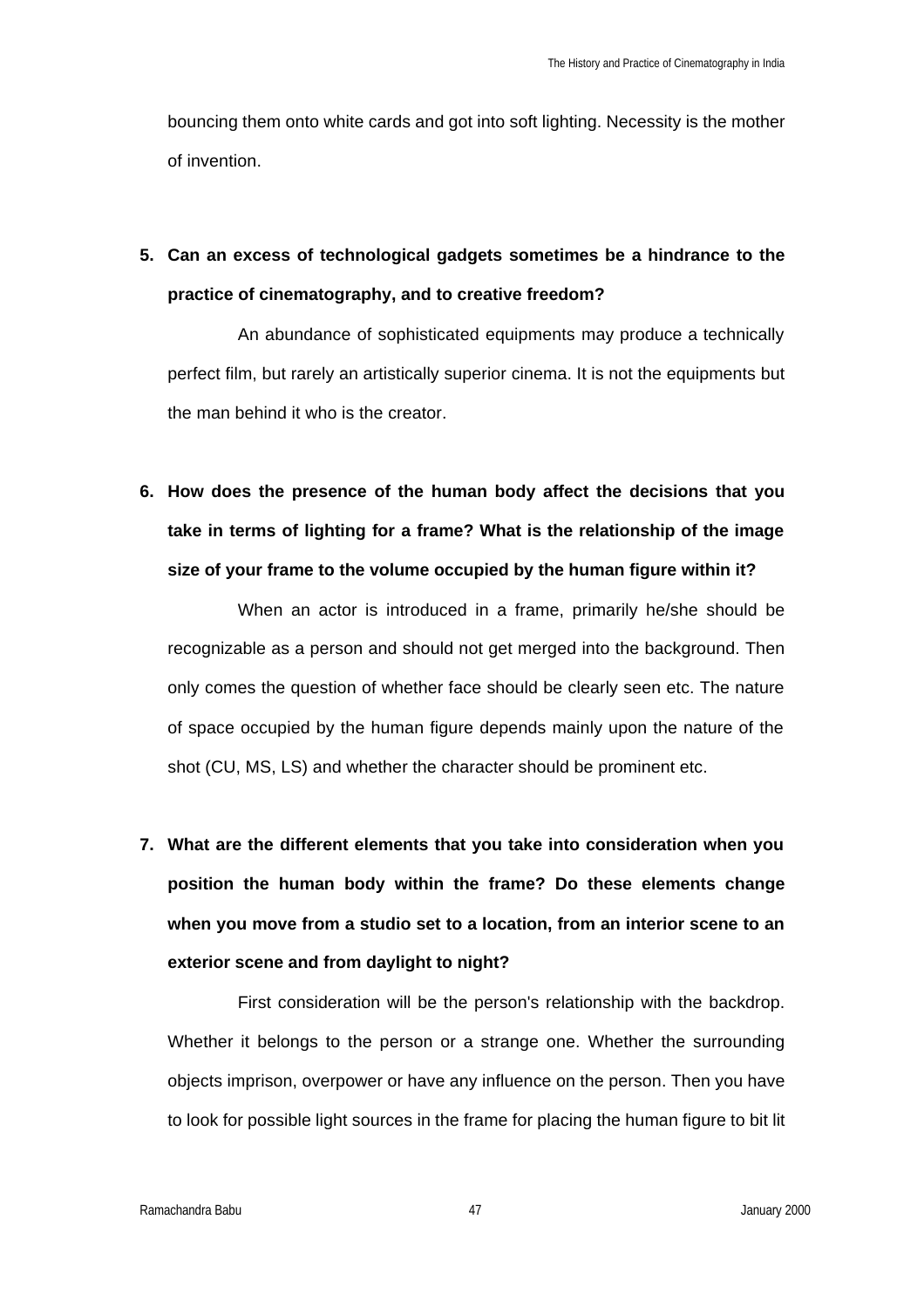bouncing them onto white cards and got into soft lighting. Necessity is the mother of invention.

## **5. Can an excess of technological gadgets sometimes be a hindrance to the practice of cinematography, and to creative freedom?**

An abundance of sophisticated equipments may produce a technically perfect film, but rarely an artistically superior cinema. It is not the equipments but the man behind it who is the creator.

**6. How does the presence of the human body affect the decisions that you take in terms of lighting for a frame? What is the relationship of the image size of your frame to the volume occupied by the human figure within it?**

When an actor is introduced in a frame, primarily he/she should be recognizable as a person and should not get merged into the background. Then only comes the question of whether face should be clearly seen etc. The nature of space occupied by the human figure depends mainly upon the nature of the shot (CU, MS, LS) and whether the character should be prominent etc.

**7. What are the different elements that you take into consideration when you position the human body within the frame? Do these elements change when you move from a studio set to a location, from an interior scene to an exterior scene and from daylight to night?**

First consideration will be the person's relationship with the backdrop. Whether it belongs to the person or a strange one. Whether the surrounding objects imprison, overpower or have any influence on the person. Then you have to look for possible light sources in the frame for placing the human figure to bit lit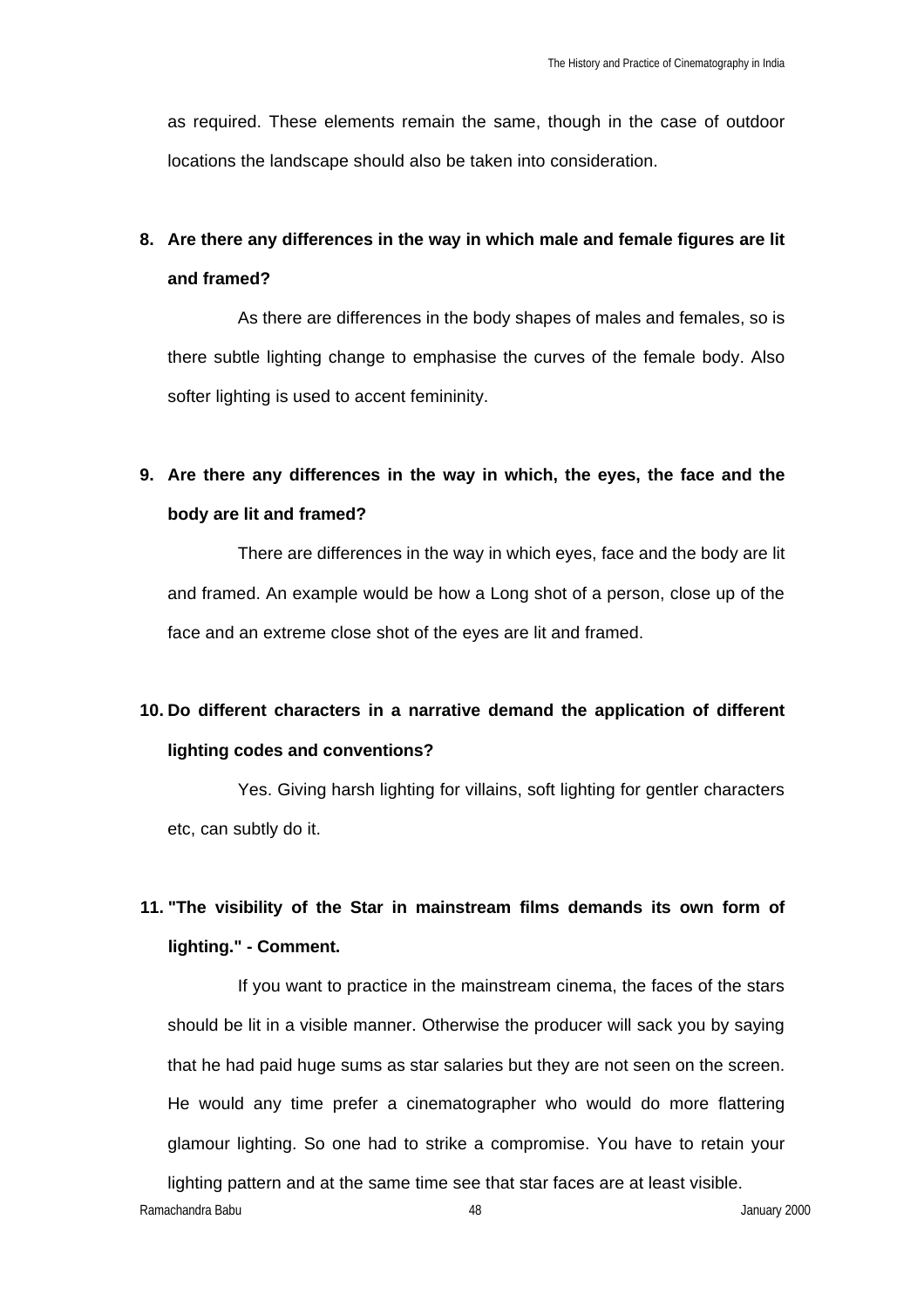as required. These elements remain the same, though in the case of outdoor locations the landscape should also be taken into consideration.

## **8. Are there any differences in the way in which male and female figures are lit and framed?**

As there are differences in the body shapes of males and females, so is there subtle lighting change to emphasise the curves of the female body. Also softer lighting is used to accent femininity.

## **9. Are there any differences in the way in which, the eyes, the face and the body are lit and framed?**

There are differences in the way in which eyes, face and the body are lit and framed. An example would be how a Long shot of a person, close up of the face and an extreme close shot of the eyes are lit and framed.

## **10. Do different characters in a narrative demand the application of different lighting codes and conventions?**

Yes. Giving harsh lighting for villains, soft lighting for gentler characters etc, can subtly do it.

## **11. "The visibility of the Star in mainstream films demands its own form of lighting." - Comment.**

If you want to practice in the mainstream cinema, the faces of the stars should be lit in a visible manner. Otherwise the producer will sack you by saying that he had paid huge sums as star salaries but they are not seen on the screen. He would any time prefer a cinematographer who would do more flattering glamour lighting. So one had to strike a compromise. You have to retain your

Ramachandra Babu 48 January 2000 lighting pattern and at the same time see that star faces are at least visible.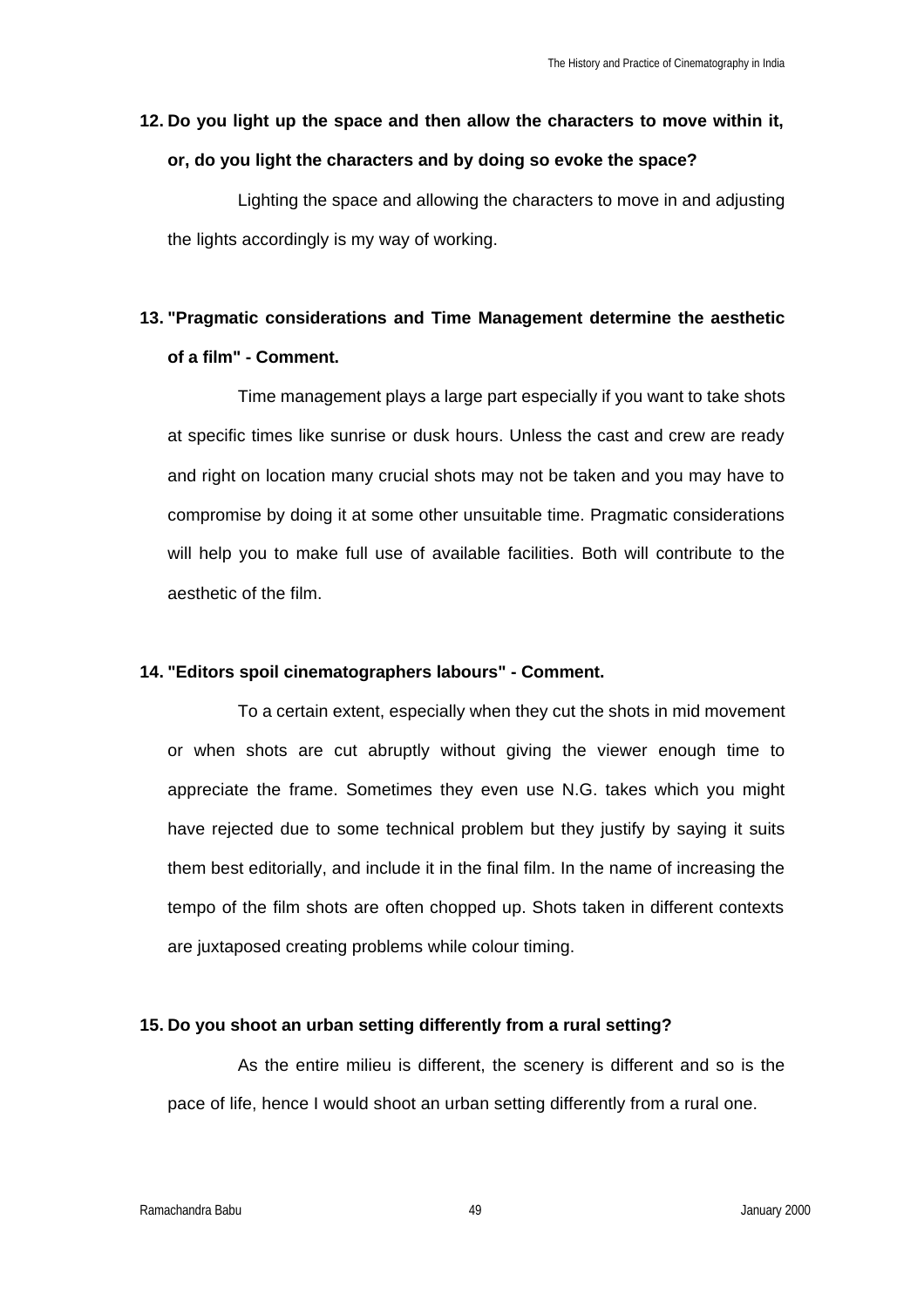## **12. Do you light up the space and then allow the characters to move within it, or, do you light the characters and by doing so evoke the space?**

Lighting the space and allowing the characters to move in and adjusting the lights accordingly is my way of working.

## **13. "Pragmatic considerations and Time Management determine the aesthetic of a film" - Comment.**

Time management plays a large part especially if you want to take shots at specific times like sunrise or dusk hours. Unless the cast and crew are ready and right on location many crucial shots may not be taken and you may have to compromise by doing it at some other unsuitable time. Pragmatic considerations will help you to make full use of available facilities. Both will contribute to the aesthetic of the film.

#### **14. "Editors spoil cinematographers labours" - Comment.**

To a certain extent, especially when they cut the shots in mid movement or when shots are cut abruptly without giving the viewer enough time to appreciate the frame. Sometimes they even use N.G. takes which you might have rejected due to some technical problem but they justify by saying it suits them best editorially, and include it in the final film. In the name of increasing the tempo of the film shots are often chopped up. Shots taken in different contexts are juxtaposed creating problems while colour timing.

#### **15. Do you shoot an urban setting differently from a rural setting?**

As the entire milieu is different, the scenery is different and so is the pace of life, hence I would shoot an urban setting differently from a rural one.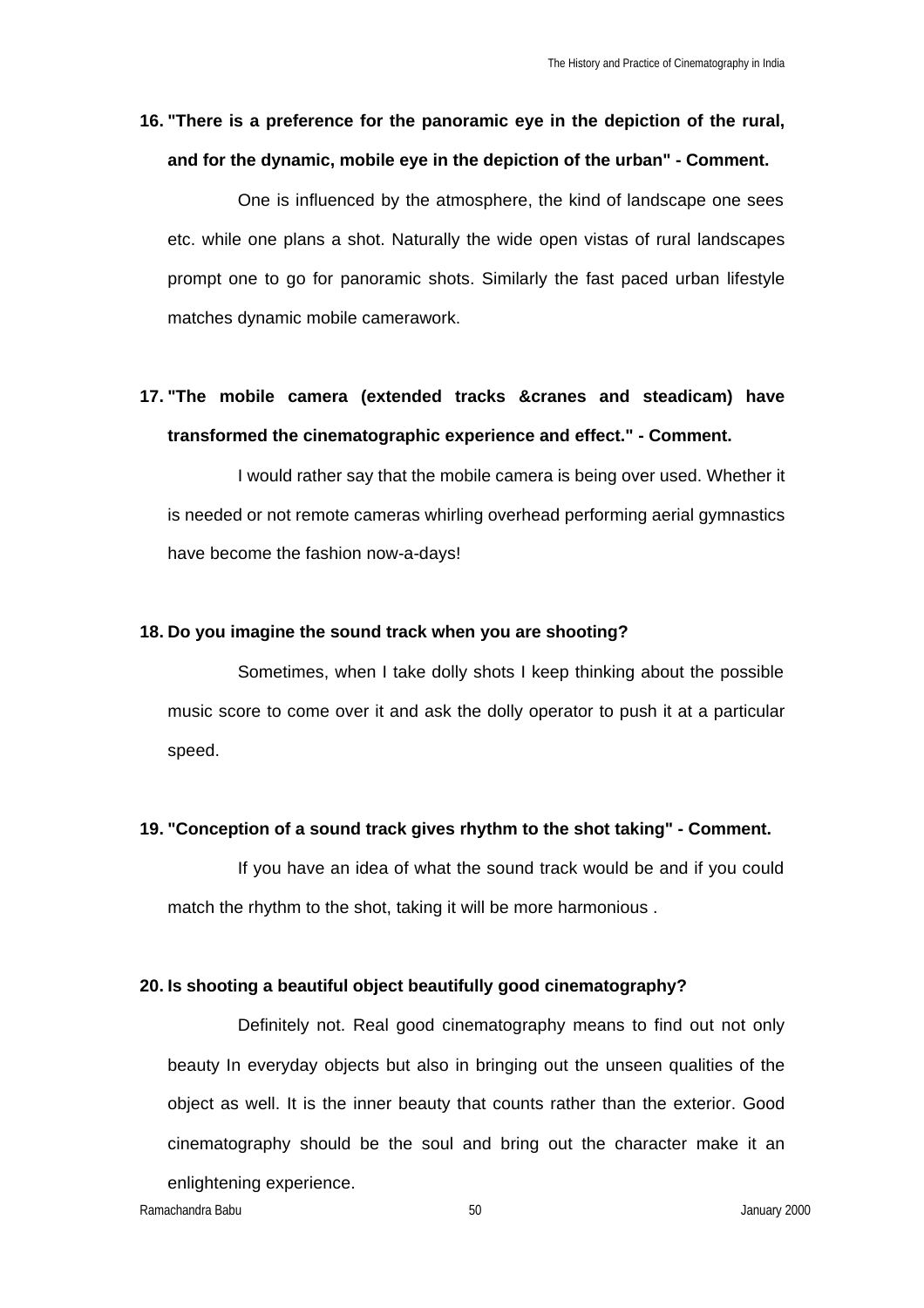### **16. "There is a preference for the panoramic eye in the depiction of the rural, and for the dynamic, mobile eye in the depiction of the urban" - Comment.**

One is influenced by the atmosphere, the kind of landscape one sees etc. while one plans a shot. Naturally the wide open vistas of rural landscapes prompt one to go for panoramic shots. Similarly the fast paced urban lifestyle matches dynamic mobile camerawork.

### **17. "The mobile camera (extended tracks &cranes and steadicam) have transformed the cinematographic experience and effect." - Comment.**

I would rather say that the mobile camera is being over used. Whether it is needed or not remote cameras whirling overhead performing aerial gymnastics have become the fashion now-a-days!

#### **18. Do you imagine the sound track when you are shooting?**

Sometimes, when I take dolly shots I keep thinking about the possible music score to come over it and ask the dolly operator to push it at a particular speed.

#### **19. "Conception of a sound track gives rhythm to the shot taking" - Comment.**

If you have an idea of what the sound track would be and if you could match the rhythm to the shot, taking it will be more harmonious .

#### **20. Is shooting a beautiful object beautifully good cinematography?**

Definitely not. Real good cinematography means to find out not only beauty In everyday objects but also in bringing out the unseen qualities of the object as well. It is the inner beauty that counts rather than the exterior. Good cinematography should be the soul and bring out the character make it an enlightening experience.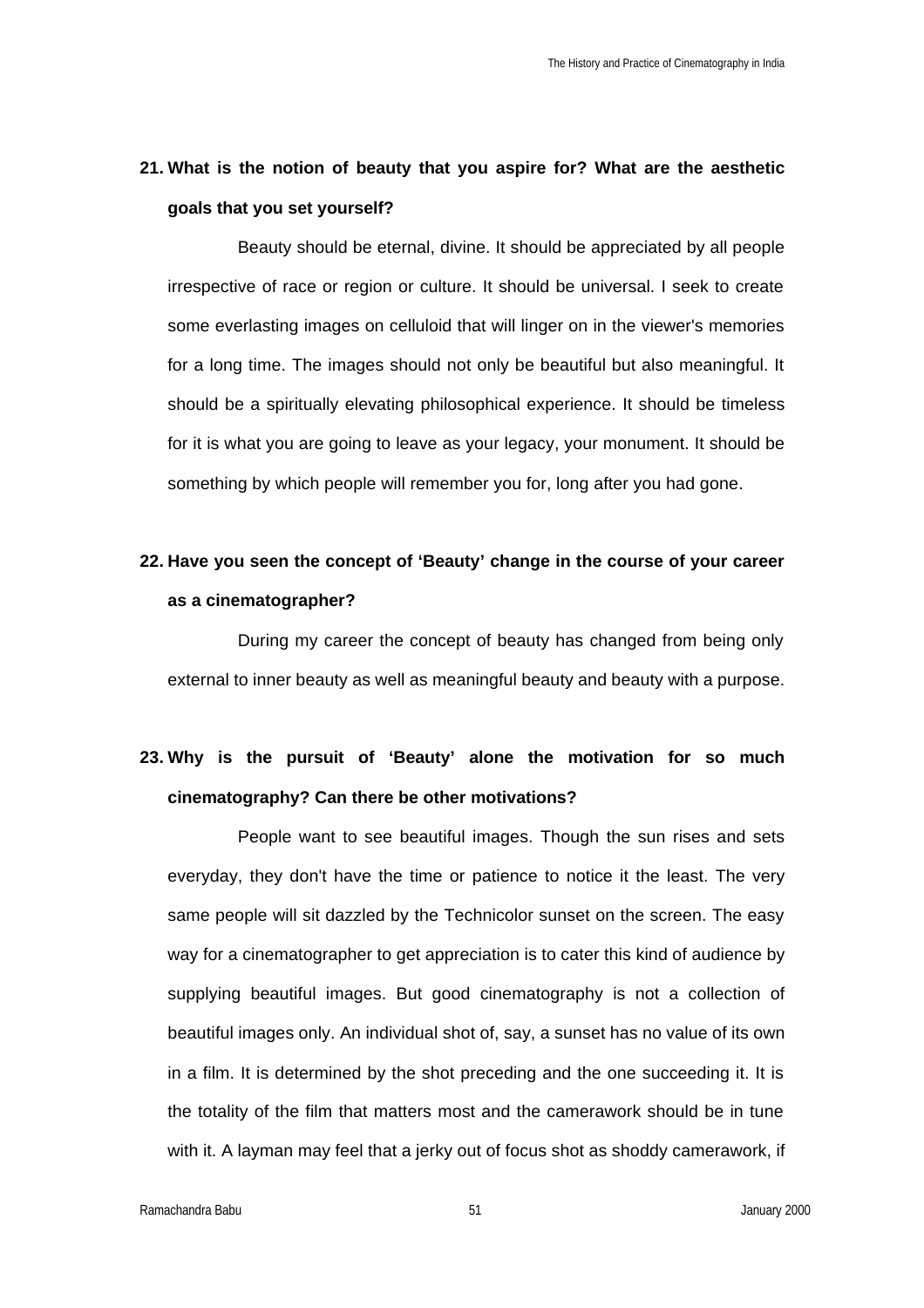### **21. What is the notion of beauty that you aspire for? What are the aesthetic goals that you set yourself?**

Beauty should be eternal, divine. It should be appreciated by all people irrespective of race or region or culture. It should be universal. I seek to create some everlasting images on celluloid that will linger on in the viewer's memories for a long time. The images should not only be beautiful but also meaningful. It should be a spiritually elevating philosophical experience. It should be timeless for it is what you are going to leave as your legacy, your monument. It should be something by which people will remember you for, long after you had gone.

### **22. Have you seen the concept of 'Beauty' change in the course of your career as a cinematographer?**

During my career the concept of beauty has changed from being only external to inner beauty as well as meaningful beauty and beauty with a purpose.

## **23. Why is the pursuit of 'Beauty' alone the motivation for so much cinematography? Can there be other motivations?**

People want to see beautiful images. Though the sun rises and sets everyday, they don't have the time or patience to notice it the least. The very same people will sit dazzled by the Technicolor sunset on the screen. The easy way for a cinematographer to get appreciation is to cater this kind of audience by supplying beautiful images. But good cinematography is not a collection of beautiful images only. An individual shot of, say, a sunset has no value of its own in a film. It is determined by the shot preceding and the one succeeding it. It is the totality of the film that matters most and the camerawork should be in tune with it. A layman may feel that a jerky out of focus shot as shoddy camerawork, if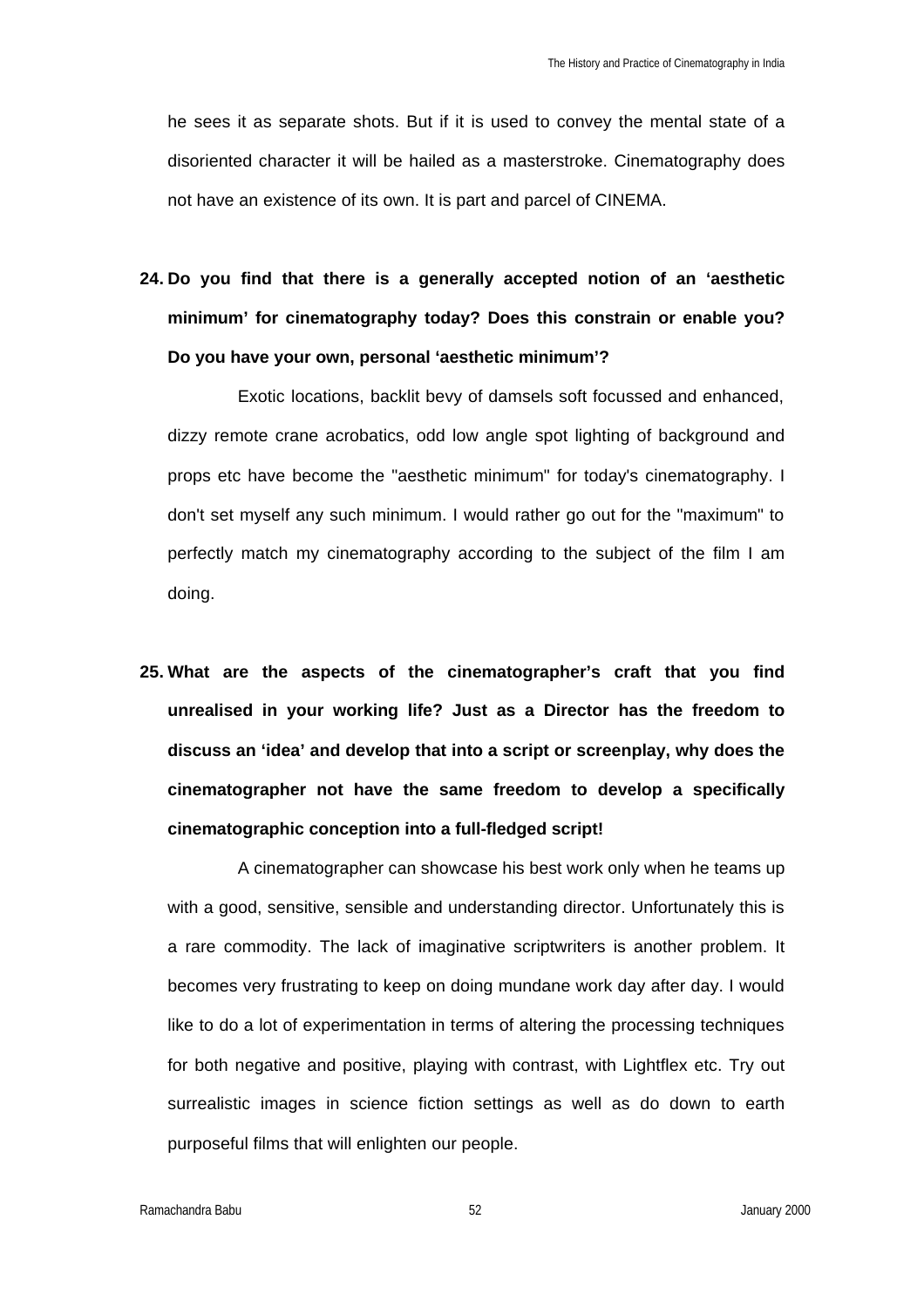he sees it as separate shots. But if it is used to convey the mental state of a disoriented character it will be hailed as a masterstroke. Cinematography does not have an existence of its own. It is part and parcel of CINEMA.

**24. Do you find that there is a generally accepted notion of an 'aesthetic minimum' for cinematography today? Does this constrain or enable you? Do you have your own, personal 'aesthetic minimum'?**

Exotic locations, backlit bevy of damsels soft focussed and enhanced, dizzy remote crane acrobatics, odd low angle spot lighting of background and props etc have become the "aesthetic minimum" for today's cinematography. I don't set myself any such minimum. I would rather go out for the "maximum" to perfectly match my cinematography according to the subject of the film I am doing.

**25. What are the aspects of the cinematographer's craft that you find unrealised in your working life? Just as a Director has the freedom to discuss an 'idea' and develop that into a script or screenplay, why does the cinematographer not have the same freedom to develop a specifically cinematographic conception into a full-fledged script!**

A cinematographer can showcase his best work only when he teams up with a good, sensitive, sensible and understanding director. Unfortunately this is a rare commodity. The lack of imaginative scriptwriters is another problem. It becomes very frustrating to keep on doing mundane work day after day. I would like to do a lot of experimentation in terms of altering the processing techniques for both negative and positive, playing with contrast, with Lightflex etc. Try out surrealistic images in science fiction settings as well as do down to earth purposeful films that will enlighten our people.